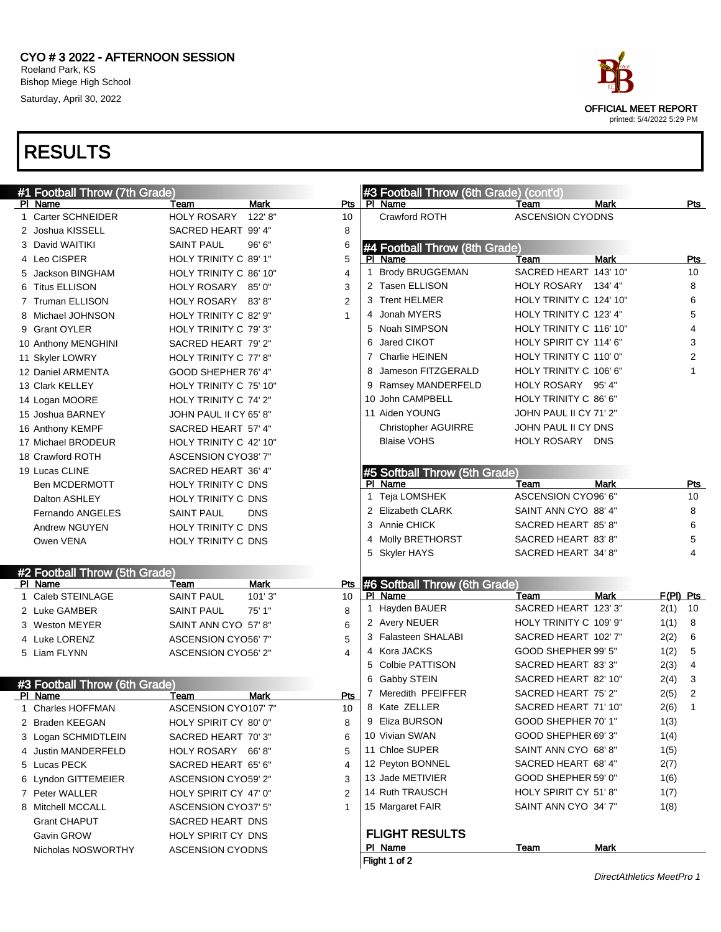

| #1 Football Throw (7th Grade) |                            |             |                 | #3 Football Throw (6th Grade) (cont'd) |                         |             |             |                |
|-------------------------------|----------------------------|-------------|-----------------|----------------------------------------|-------------------------|-------------|-------------|----------------|
| PI Name                       | Team                       | Mark        | Pts             | PI Name                                | Team                    | <b>Mark</b> |             | Pts            |
| 1 Carter SCHNEIDER            | <b>HOLY ROSARY</b>         | 122' 8"     | 10              | Crawford ROTH                          | <b>ASCENSION CYODNS</b> |             |             |                |
| 2 Joshua KISSELL              | SACRED HEART 99' 4"        |             | 8               |                                        |                         |             |             |                |
| 3 David WAITIKI               | <b>SAINT PAUL</b>          | 96'6"       | 6               | #4 Football Throw (8th Grade)          |                         |             |             |                |
| 4 Leo CISPER                  | HOLY TRINITY C 89' 1"      |             | 5               | PI Name                                | Team                    | <b>Mark</b> |             | <b>Pts</b>     |
| 5 Jackson BINGHAM             | HOLY TRINITY C 86' 10"     |             | 1<br>4          | <b>Brody BRUGGEMAN</b>                 | SACRED HEART 143' 10"   |             |             | 10             |
| 6 Titus ELLISON               | HOLY ROSARY 85' 0"         |             | 3               | 2 Tasen ELLISON                        | HOLY ROSARY 134' 4"     |             |             | 8              |
| 7 Truman ELLISON              | HOLY ROSARY 83'8"          |             | $\overline{2}$  | 3 Trent HELMER                         | HOLY TRINITY C 124' 10" |             |             | 6              |
| 8 Michael JOHNSON             | HOLY TRINITY C 82' 9"      |             | 1               | 4 Jonah MYERS                          | HOLY TRINITY C 123' 4"  |             |             | 5              |
| 9 Grant OYLER                 | HOLY TRINITY C 79'3"       |             |                 | 5 Noah SIMPSON                         | HOLY TRINITY C 116' 10" |             |             | 4              |
| 10 Anthony MENGHINI           | SACRED HEART 79' 2"        |             | 6               | Jared CIKOT                            | HOLY SPIRIT CY 114' 6"  |             |             | 3              |
| 11 Skyler LOWRY               | HOLY TRINITY C 77' 8"      |             |                 | 7 Charlie HEINEN                       | HOLY TRINITY C 110' 0"  |             |             | $\overline{2}$ |
| 12 Daniel ARMENTA             | GOOD SHEPHER 76' 4"        |             | 8               | Jameson FITZGERALD                     | HOLY TRINITY C 106' 6"  |             |             | 1              |
| 13 Clark KELLEY               | HOLY TRINITY C 75' 10"     |             |                 | 9 Ramsey MANDERFELD                    | HOLY ROSARY 95' 4"      |             |             |                |
| 14 Logan MOORE                | HOLY TRINITY C 74' 2"      |             |                 | 10 John CAMPBELL                       | HOLY TRINITY C 86' 6"   |             |             |                |
| 15 Joshua BARNEY              | JOHN PAUL II CY 65' 8"     |             |                 | 11 Aiden YOUNG                         | JOHN PAUL II CY 71' 2"  |             |             |                |
| 16 Anthony KEMPF              | SACRED HEART 57' 4"        |             |                 | <b>Christopher AGUIRRE</b>             | JOHN PAUL II CY DNS     |             |             |                |
| 17 Michael BRODEUR            | HOLY TRINITY C 42' 10"     |             |                 | <b>Blaise VOHS</b>                     | HOLY ROSARY DNS         |             |             |                |
| 18 Crawford ROTH              | <b>ASCENSION CYO38' 7"</b> |             |                 |                                        |                         |             |             |                |
| 19 Lucas CLINE                | SACRED HEART 36' 4"        |             |                 | #5 Softball Throw (5th Grade)          |                         |             |             |                |
| <b>Ben MCDERMOTT</b>          | HOLY TRINITY C DNS         |             |                 | PI Name                                | Team                    | <b>Mark</b> |             | Pts            |
| Dalton ASHLEY                 | HOLY TRINITY C DNS         |             |                 | 1 Teja LOMSHEK                         | ASCENSION CYO96' 6"     |             |             | 10             |
| Fernando ANGELES              | <b>SAINT PAUL</b>          | <b>DNS</b>  |                 | 2 Elizabeth CLARK                      | SAINT ANN CYO 88' 4"    |             |             | 8              |
| Andrew NGUYEN                 | HOLY TRINITY C DNS         |             |                 | 3 Annie CHICK                          | SACRED HEART 85' 8"     |             |             | 6              |
| Owen VENA                     | HOLY TRINITY C DNS         |             |                 | 4 Molly BRETHORST                      | SACRED HEART 83' 8"     |             |             | 5              |
|                               |                            |             |                 | 5 Skyler HAYS                          | SACRED HEART 34' 8"     |             |             | 4              |
| #2 Football Throw (5th Grade) |                            |             |                 |                                        |                         |             |             |                |
| PI Name                       | Team                       | <b>Mark</b> | <b>Pts</b>      | #6 Softball Throw (6th Grade)          |                         |             |             |                |
| 1 Caleb STEINLAGE             | <b>SAINT PAUL</b>          | 101'3"      | 10              | PI Name                                | Team                    | <b>Mark</b> | $F(PI)$ Pts |                |
| 2 Luke GAMBER                 | <b>SAINT PAUL</b>          | 75' 1"      | 8               | 1 Hayden BAUER                         | SACRED HEART 123' 3"    |             | 2(1)        | 10             |
| 3 Weston MEYER                | SAINT ANN CYO 57' 8"       |             | 6               | 2 Avery NEUER                          | HOLY TRINITY C 109' 9"  |             | 1(1)        | 8              |
| 4 Luke LORENZ                 | ASCENSION CYO56' 7"        |             | 5               | 3 Falasteen SHALABI                    | SACRED HEART 102' 7"    |             | 2(2)        | 6              |
| 5 Liam FLYNN                  | ASCENSION CYO56' 2"        |             | 4               | 4 Kora JACKS                           | GOOD SHEPHER 99' 5"     |             | 1(2)        | 5              |
|                               |                            |             |                 | 5 Colbie PATTISON                      | SACRED HEART 83' 3"     |             | 2(3)        | 4              |
| #3 Football Throw (6th Grade) |                            |             | 6               | Gabby STEIN                            | SACRED HEART 82' 10"    |             | 2(4)        | 3              |
| PI Name                       | Team                       | <b>Mark</b> | Pts             | 7 Meredith PFEIFFER                    | SACRED HEART 75' 2"     |             | 2(5)        | $\overline{2}$ |
| 1 Charles HOFFMAN             | ASCENSION CYO107' 7"       |             | 10 <sup>°</sup> | 8 Kate ZELLER                          | SACRED HEART 71' 10"    |             | 2(6)        | 1              |
| 2 Braden KEEGAN               | HOLY SPIRIT CY 80' 0"      |             | 8               | 9 Eliza BURSON                         | GOOD SHEPHER 70' 1"     |             | 1(3)        |                |
| 3 Logan SCHMIDTLEIN           | SACRED HEART 70'3"         |             | 6               | 10 Vivian SWAN                         | GOOD SHEPHER 69' 3"     |             | 1(4)        |                |
| 4 Justin MANDERFELD           | HOLY ROSARY 66'8"          |             | 5               | 11 Chloe SUPER                         | SAINT ANN CYO 68'8"     |             | 1(5)        |                |
| 5 Lucas PECK                  | SACRED HEART 65' 6"        |             | 4               | 12 Peyton BONNEL                       | SACRED HEART 68' 4"     |             | 2(7)        |                |
| 6 Lyndon GITTEMEIER           | ASCENSION CYO59' 2"        |             | 3               | 13 Jade METIVIER                       | GOOD SHEPHER 59' 0"     |             | 1(6)        |                |
| 7 Peter WALLER                | HOLY SPIRIT CY 47' 0"      |             | 2               | 14 Ruth TRAUSCH                        | HOLY SPIRIT CY 51'8"    |             | 1(7)        |                |
| 8 Mitchell MCCALL             | ASCENSION CYO37' 5"        |             | 1               | 15 Margaret FAIR                       | SAINT ANN CYO 34' 7"    |             | 1(8)        |                |
| <b>Grant CHAPUT</b>           | SACRED HEART DNS           |             |                 |                                        |                         |             |             |                |
| Gavin GROW                    | HOLY SPIRIT CY DNS         |             |                 | <b>FLIGHT RESULTS</b>                  |                         |             |             |                |
| Nicholas NOSWORTHY            | <b>ASCENSION CYODNS</b>    |             |                 | PI Name                                | Team                    | <b>Mark</b> |             |                |
|                               |                            |             |                 | Flight 1 of 2                          |                         |             |             |                |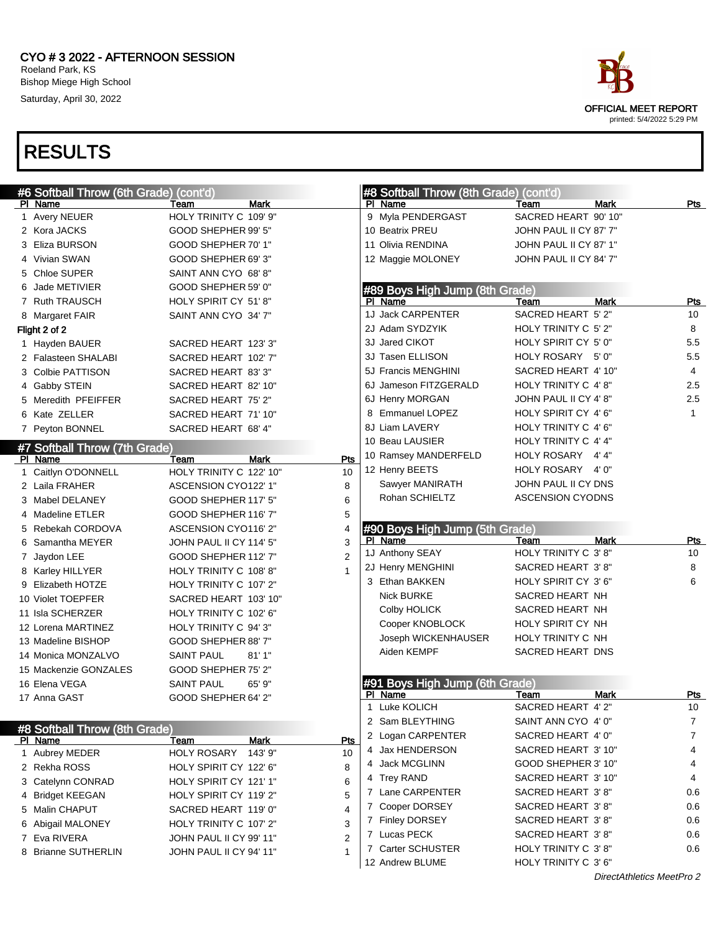

| #6 Softball Throw (6th Grade) (cont'd) |                         |                | #8 Softball Throw (8th Grade) (cont'd) |                         |                           |              |
|----------------------------------------|-------------------------|----------------|----------------------------------------|-------------------------|---------------------------|--------------|
| PI Name                                | Team                    | Mark           | PI Name                                | Team                    | <b>Mark</b>               | Pts          |
| 1 Avery NEUER                          | HOLY TRINITY C 109' 9"  |                | 9 Myla PENDERGAST                      | SACRED HEART 90' 10"    |                           |              |
| 2 Kora JACKS                           | GOOD SHEPHER 99' 5"     |                | 10 Beatrix PREU                        | JOHN PAUL II CY 87' 7"  |                           |              |
| 3 Eliza BURSON                         | GOOD SHEPHER 70' 1"     |                | 11 Olivia RENDINA                      | JOHN PAUL II CY 87' 1"  |                           |              |
| 4 Vivian SWAN                          | GOOD SHEPHER 69'3"      |                | 12 Maggie MOLONEY                      | JOHN PAUL II CY 84' 7"  |                           |              |
| 5 Chloe SUPER                          | SAINT ANN CYO 68'8"     |                |                                        |                         |                           |              |
| 6 Jade METIVIER                        | GOOD SHEPHER 59' 0"     |                | #89 Boys High Jump (8th Grade)         |                         |                           |              |
| 7 Ruth TRAUSCH                         | HOLY SPIRIT CY 51'8"    |                | PI Name                                | Team                    | <b>Mark</b>               | Pts          |
| 8 Margaret FAIR                        | SAINT ANN CYO 34' 7"    |                | 1J Jack CARPENTER                      | SACRED HEART 5' 2"      |                           | 10           |
| Flight 2 of 2                          |                         |                | 2J Adam SYDZYIK                        | HOLY TRINITY C 5' 2"    |                           | 8            |
| 1 Hayden BAUER                         | SACRED HEART 123' 3"    |                | 3J Jared CIKOT                         | HOLY SPIRIT CY 5' 0"    |                           | 5.5          |
| 2 Falasteen SHALABI                    | SACRED HEART 102' 7"    |                | 3J Tasen ELLISON                       | HOLY ROSARY 5'0"        |                           | 5.5          |
| 3 Colbie PATTISON                      | SACRED HEART 83' 3"     |                | 5J Francis MENGHINI                    | SACRED HEART 4' 10"     |                           | 4            |
| 4 Gabby STEIN                          | SACRED HEART 82' 10"    |                | 6J Jameson FITZGERALD                  | HOLY TRINITY C 4'8"     |                           | 2.5          |
| 5 Meredith PFEIFFER                    | SACRED HEART 75' 2"     |                | 6J Henry MORGAN                        | JOHN PAUL II CY 4' 8"   |                           | 2.5          |
| 6 Kate ZELLER                          | SACRED HEART 71' 10"    |                | 8 Emmanuel LOPEZ                       | HOLY SPIRIT CY 4'6"     |                           | $\mathbf{1}$ |
| 7 Peyton BONNEL                        | SACRED HEART 68' 4"     |                | 8J Liam LAVERY                         | HOLY TRINITY C 4' 6"    |                           |              |
| #7 Softball Throw (7th Grade)          |                         |                | 10 Beau LAUSIER                        | HOLY TRINITY C 4' 4"    |                           |              |
| PI Name                                | Team                    | Mark<br>Pts    | 10 Ramsey MANDERFELD                   | HOLY ROSARY 4'4"        |                           |              |
| 1 Caitlyn O'DONNELL                    | HOLY TRINITY C 122' 10" | 10             | 12 Henry BEETS                         | HOLY ROSARY 4'0"        |                           |              |
| 2 Laila FRAHER                         | ASCENSION CYO122' 1"    | 8              | Sawyer MANIRATH                        | JOHN PAUL II CY DNS     |                           |              |
| 3 Mabel DELANEY                        | GOOD SHEPHER 117' 5"    | 6              | Rohan SCHIELTZ                         | <b>ASCENSION CYODNS</b> |                           |              |
| 4 Madeline ETLER                       | GOOD SHEPHER 116' 7"    | 5              |                                        |                         |                           |              |
| 5 Rebekah CORDOVA                      | ASCENSION CYO116' 2"    | 4              | #90 Boys High Jump (5th Grade)         |                         |                           |              |
| 6 Samantha MEYER                       | JOHN PAUL II CY 114' 5" | 3              | PI Name                                | Team                    | <b>Mark</b>               | Pts          |
| 7 Jaydon LEE                           | GOOD SHEPHER 112' 7"    | $\overline{2}$ | 1J Anthony SEAY                        | HOLY TRINITY C 3'8"     |                           | 10           |
| 8 Karley HILLYER                       | HOLY TRINITY C 108' 8"  | $\mathbf{1}$   | 2J Henry MENGHINI                      | SACRED HEART 3'8"       |                           | 8            |
| 9 Elizabeth HOTZE                      | HOLY TRINITY C 107' 2"  |                | 3 Ethan BAKKEN                         | HOLY SPIRIT CY 3' 6"    |                           | 6            |
| 10 Violet TOEPFER                      | SACRED HEART 103' 10"   |                | <b>Nick BURKE</b>                      | SACRED HEART NH         |                           |              |
| 11 Isla SCHERZER                       | HOLY TRINITY C 102' 6"  |                | Colby HOLICK                           | SACRED HEART NH         |                           |              |
| 12 Lorena MARTINEZ                     | HOLY TRINITY C 94'3"    |                | Cooper KNOBLOCK                        | HOLY SPIRIT CY NH       |                           |              |
| 13 Madeline BISHOP                     | GOOD SHEPHER 88' 7"     |                | Joseph WICKENHAUSER                    | HOLY TRINITY C NH       |                           |              |
| 14 Monica MONZALVO                     | <b>SAINT PAUL</b>       | 81'1"          | Aiden KEMPF                            | SACRED HEART DNS        |                           |              |
| 15 Mackenzie GONZALES                  | GOOD SHEPHER 75' 2"     |                |                                        |                         |                           |              |
| 16 Elena VEGA                          | <b>SAINT PAUL</b>       | 65' 9"         | #91 Boys High Jump (6th Grade)         |                         |                           |              |
| 17 Anna GAST                           | GOOD SHEPHER 64' 2"     |                | PI Name                                | Team                    | <b>Mark</b>               | Pts          |
|                                        |                         |                | 1 Luke KOLICH                          | SACRED HEART 4' 2"      |                           | 10           |
| #8 Softball Throw (8th Grade)          |                         |                | 2 Sam BLEYTHING                        | SAINT ANN CYO 4' 0"     |                           | 7            |
| <u>PI Name</u>                         | Team                    | Pts<br>Mark    | 2 Logan CARPENTER                      | SACRED HEART 4' 0"      |                           | 7            |
| 1 Aubrey MEDER                         | HOLY ROSARY             | 10<br>143' 9"  | 4 Jax HENDERSON                        | SACRED HEART 3' 10"     |                           | 4            |
| 2 Rekha ROSS                           | HOLY SPIRIT CY 122' 6"  | 8              | 4 Jack MCGLINN                         | GOOD SHEPHER 3' 10"     |                           | 4            |
| 3 Catelynn CONRAD                      | HOLY SPIRIT CY 121' 1"  | 6              | 4 Trey RAND                            | SACRED HEART 3' 10"     |                           | 4            |
| 4 Bridget KEEGAN                       | HOLY SPIRIT CY 119' 2"  | 5              | 7 Lane CARPENTER                       | SACRED HEART 3'8"       |                           | 0.6          |
| 5 Malin CHAPUT                         | SACRED HEART 119' 0"    | 4              | 7 Cooper DORSEY                        | SACRED HEART 3'8"       |                           | 0.6          |
| 6 Abigail MALONEY                      | HOLY TRINITY C 107' 2"  | 3              | 7 Finley DORSEY                        | SACRED HEART 3'8"       |                           | 0.6          |
| 7 Eva RIVERA                           | JOHN PAUL II CY 99' 11" | $\overline{2}$ | 7 Lucas PECK                           | SACRED HEART 3'8"       |                           | 0.6          |
| 8 Brianne SUTHERLIN                    | JOHN PAUL II CY 94' 11" | 1              | 7 Carter SCHUSTER                      | HOLY TRINITY C 3'8"     |                           | 0.6          |
|                                        |                         |                | 12 Andrew BLUME                        | HOLY TRINITY C 3' 6"    |                           |              |
|                                        |                         |                |                                        |                         | DirectAthletics MeetPro 2 |              |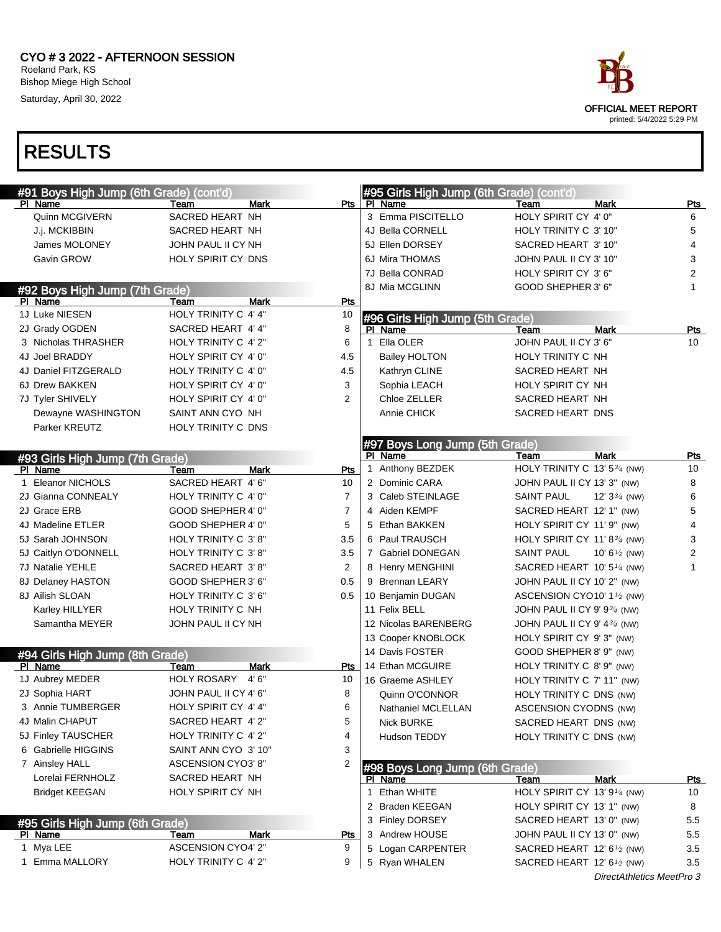#### CYO # 3 2022 - AFTERNOON SESSION Roeland Park, KS Bishop Miege High School Saturday, April 30, 2022



| #91 Boys High Jump (6th Grade) (cont'd) |                       |                |              | #95 Girls High Jump (6th Grade) (cont'd) |                                                     |                           |                  |
|-----------------------------------------|-----------------------|----------------|--------------|------------------------------------------|-----------------------------------------------------|---------------------------|------------------|
| PI Name                                 | Team                  | Mark           | Pts          | PI Name                                  | Team                                                | <b>Mark</b>               | Pts              |
| Quinn MCGIVERN                          | SACRED HEART NH       |                |              | 3 Emma PISCITELLO                        | HOLY SPIRIT CY 4' 0"                                |                           | 6                |
| J.j. MCKIBBIN                           | SACRED HEART NH       |                |              | 4J Bella CORNELL                         | HOLY TRINITY C 3' 10"                               |                           | 5                |
| James MOLONEY                           | JOHN PAUL II CY NH    |                |              | 5J Ellen DORSEY                          | SACRED HEART 3' 10"                                 |                           | $\overline{4}$   |
| Gavin GROW                              | HOLY SPIRIT CY DNS    |                |              | 6J Mira THOMAS                           | JOHN PAUL II CY 3' 10"                              |                           | 3                |
|                                         |                       |                |              | 7J Bella CONRAD                          | HOLY SPIRIT CY 3' 6"                                |                           | $\overline{2}$   |
| #92 Boys High Jump (7th Grade)          |                       |                |              | 8J Mia MCGLINN                           | GOOD SHEPHER 3' 6"                                  |                           | 1                |
| PI Name                                 | Team                  | <b>Mark</b>    | <b>Pts</b>   |                                          |                                                     |                           |                  |
| 1J Luke NIESEN                          | HOLY TRINITY C 4' 4"  | 10             |              | #96 Girls High Jump (5th Grade)          |                                                     |                           |                  |
| 2J Grady OGDEN                          | SACRED HEART 4' 4"    | 8              |              | PI Name                                  | Team                                                | <b>Mark</b>               | <b>Pts</b>       |
| 3 Nicholas THRASHER                     | HOLY TRINITY C 4' 2"  | 6              | $\mathbf{1}$ | Ella OLER                                | JOHN PAUL II CY 3' 6"                               |                           | 10               |
| 4J Joel BRADDY                          | HOLY SPIRIT CY 4' 0"  | 4.5            |              | <b>Bailey HOLTON</b>                     | HOLY TRINITY C NH                                   |                           |                  |
| 4J Daniel FITZGERALD                    | HOLY TRINITY C 4' 0"  | 4.5            |              | Kathryn CLINE                            | SACRED HEART NH                                     |                           |                  |
| 6J Drew BAKKEN                          | HOLY SPIRIT CY 4' 0"  | 3              |              | Sophia LEACH                             | HOLY SPIRIT CY NH                                   |                           |                  |
| 7J Tyler SHIVELY                        | HOLY SPIRIT CY 4' 0"  | $\overline{2}$ |              | Chloe ZELLER                             | SACRED HEART NH                                     |                           |                  |
| Dewayne WASHINGTON                      | SAINT ANN CYO NH      |                |              | Annie CHICK                              | SACRED HEART DNS                                    |                           |                  |
| Parker KREUTZ                           | HOLY TRINITY C DNS    |                |              |                                          |                                                     |                           |                  |
|                                         |                       |                |              | #97 Boys Long Jump (5th Grade)           |                                                     |                           |                  |
| #93 Girls High Jump (7th Grade)         |                       |                |              | PI Name                                  | Team                                                | <b>Mark</b>               | Pts              |
| PI Name                                 | Team                  | <b>Mark</b>    | Pts          | 1 Anthony BEZDEK                         | HOLY TRINITY C 13' 534 (NW)                         |                           | 10               |
| 1 Eleanor NICHOLS                       | SACRED HEART 4' 6"    | 10             |              | 2 Dominic CARA                           | JOHN PAUL II CY 13' 3" (NW)                         |                           | 8                |
| 2J Gianna CONNEALY                      | HOLY TRINITY C 4' 0"  | $\overline{7}$ |              | 3 Caleb STEINLAGE                        | SAINT PAUL                                          | 12' $3\frac{3}{4}$ (NW)   | 6                |
| 2J Grace ERB                            | GOOD SHEPHER 4' 0"    | $\overline{7}$ |              | 4 Aiden KEMPF                            | SACRED HEART 12' 1" (NW)                            |                           | 5                |
| 4J Madeline ETLER                       | GOOD SHEPHER 4' 0"    | 5              |              | 5 Ethan BAKKEN                           | HOLY SPIRIT CY 11' 9" (NW)                          |                           | 4                |
| 5J Sarah JOHNSON                        | HOLY TRINITY C 3'8"   | 3.5            |              | 6 Paul TRAUSCH                           | HOLY SPIRIT CY 11' 8 $\frac{3}{4}$ (NW)             |                           | 3                |
| 5J Caitlyn O'DONNELL                    | HOLY TRINITY C 3'8"   | 3.5            |              | 7 Gabriel DONEGAN                        | SAINT PAUL                                          | 10' 6 $\frac{1}{2}$ (NW)  | $\boldsymbol{2}$ |
| 7J Natalie YEHLE                        | SACRED HEART 3'8"     | 2              |              | 8 Henry MENGHINI                         | SACRED HEART 10' 5 <sup>1/4</sup> (NW)              |                           | $\mathbf{1}$     |
| 8J Delaney HASTON                       | GOOD SHEPHER 3' 6"    | 0.5            |              | 9 Brennan LEARY                          | JOHN PAUL II CY 10' 2" (NW)                         |                           |                  |
| 8J Ailish SLOAN                         | HOLY TRINITY C 3' 6"  | 0.5            |              | 10 Benjamin DUGAN                        | ASCENSION CYO10' 1 <sup>1</sup> /2 (NW)             |                           |                  |
| Karley HILLYER                          | HOLY TRINITY C NH     |                |              | 11 Felix BELL                            | JOHN PAUL II CY 9' 934 (NW)                         |                           |                  |
| Samantha MEYER                          | JOHN PAUL II CY NH    |                |              | 12 Nicolas BARENBERG                     | JOHN PAUL II CY 9' 434 (NW)                         |                           |                  |
|                                         |                       |                |              | 13 Cooper KNOBLOCK                       | HOLY SPIRIT CY 9'3" (NW)                            |                           |                  |
| #94 Girls High Jump (8th Grade)         |                       |                |              | 14 Davis FOSTER                          | GOOD SHEPHER 8' 9" (NW)                             |                           |                  |
| PI Name                                 | Team                  | <b>Mark</b>    | Pts          | 14 Ethan MCGUIRE                         | HOLY TRINITY C 8' 9" (NW)                           |                           |                  |
| 1J Aubrey MEDER                         | <b>HOLY ROSARY</b>    | 4'6''<br>10    |              | 16 Graeme ASHLEY                         | HOLY TRINITY C 7' 11" (NW)                          |                           |                  |
| 2J Sophia HART                          | JOHN PAUL II CY 4' 6" | 8              |              | Quinn O'CONNOR                           | HOLY TRINITY C DNS (NW)                             |                           |                  |
| 3 Annie TUMBERGER                       | HOLY SPIRIT CY 4' 4"  | 6              |              | Nathaniel MCLELLAN                       | ASCENSION CYODNS (NW)                               |                           |                  |
| 4J Malin CHAPUT                         | SACRED HEART 4' 2"    | 5              |              | <b>Nick BURKE</b>                        | SACRED HEART DNS (NW)                               |                           |                  |
| 5J Finley TAUSCHER                      | HOLY TRINITY C 4' 2"  | 4              |              | Hudson TEDDY                             | HOLY TRINITY C DNS (NW)                             |                           |                  |
| 6 Gabrielle HIGGINS                     | SAINT ANN CYO 3' 10"  | 3              |              |                                          |                                                     |                           |                  |
| 7 Ainsley HALL                          | ASCENSION CYO3' 8"    | 2              |              | #98 Boys Long Jump (6th Grade)           |                                                     |                           |                  |
| Lorelai FERNHOLZ                        | SACRED HEART NH       |                |              | PI Name                                  | Team                                                | <b>Mark</b>               | <u>Pts</u>       |
| <b>Bridget KEEGAN</b>                   | HOLY SPIRIT CY NH     |                | $\mathbf{1}$ | Ethan WHITE                              | HOLY SPIRIT CY 13' 9 <sup>1/4</sup> (NW)            |                           | 10               |
|                                         |                       |                |              | 2 Braden KEEGAN                          | HOLY SPIRIT CY 13' 1" (NW)                          |                           | 8                |
| #95 Girls High Jump (6th Grade)         |                       |                |              | 3 Finley DORSEY                          | SACRED HEART 13' 0" (NW)                            |                           | 5.5              |
| PI Name                                 | Team                  | <b>Mark</b>    | <b>Pts</b>   | 3 Andrew HOUSE                           | JOHN PAUL II CY 13' 0" (NW)                         |                           | 5.5              |
| 1 Mya LEE                               | ASCENSION CYO4' 2"    | 9              |              | 5 Logan CARPENTER                        | SACRED HEART 12' 6 <sup>1</sup> / <sub>2</sub> (NW) |                           | 3.5              |
| 1 Emma MALLORY                          | HOLY TRINITY C 4' 2"  | 9              |              | 5 Ryan WHALEN                            | SACRED HEART 12' 6 <sup>1</sup> / <sub>2</sub> (NW) |                           | 3.5              |
|                                         |                       |                |              |                                          |                                                     | DirectAthletics MeetPro 3 |                  |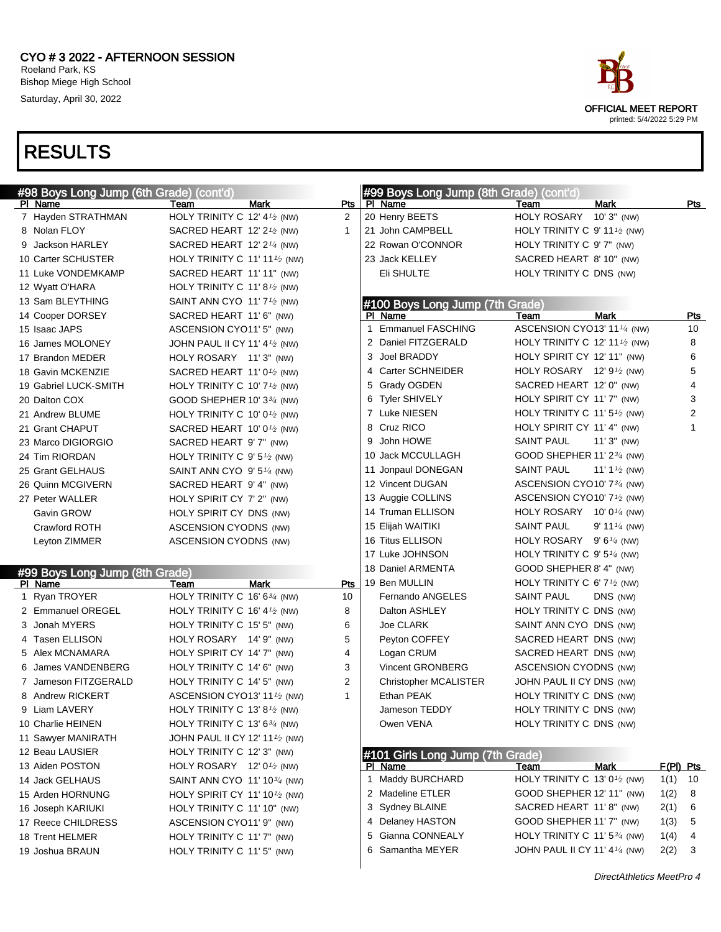

| #98 Boys Long Jump (6th Grade) (cont'd) |                                                         |             |                | #99 Boys Long Jump (8th Grade) (cont'd) |                                                         |                          |             |
|-----------------------------------------|---------------------------------------------------------|-------------|----------------|-----------------------------------------|---------------------------------------------------------|--------------------------|-------------|
| PI Name                                 | Team                                                    | Mark        | Pts            | PI Name                                 | Team                                                    | <b>Mark</b>              | Pts         |
| 7 Hayden STRATHMAN                      | HOLY TRINITY C 12' 4 <sup>1</sup> / <sub>2</sub> (NW)   |             | $\overline{2}$ | 20 Henry BEETS                          | HOLY ROSARY 10'3" (NW)                                  |                          |             |
| 8 Nolan FLOY                            | SACRED HEART 12' $2\frac{1}{2}$ (NW)                    |             | 1              | 21 John CAMPBELL                        | HOLY TRINITY C $9'$ 11 <sup>1</sup> / <sub>2</sub> (NW) |                          |             |
| 9 Jackson HARLEY                        | SACRED HEART 12' 2 $\frac{1}{4}$ (NW)                   |             |                | 22 Rowan O'CONNOR                       | HOLY TRINITY C 9' 7" (NW)                               |                          |             |
| 10 Carter SCHUSTER                      | HOLY TRINITY C 11' 11 $\frac{1}{2}$ (NW)                |             |                | 23 Jack KELLEY                          | SACRED HEART 8' 10" (NW)                                |                          |             |
| 11 Luke VONDEMKAMP                      | SACRED HEART 11' 11" (NW)                               |             |                | Eli SHULTE                              | HOLY TRINITY C DNS (NW)                                 |                          |             |
| 12 Wyatt O'HARA                         | HOLY TRINITY C 11' 8 <sup>1</sup> / <sub>2</sub> (NW)   |             |                |                                         |                                                         |                          |             |
| 13 Sam BLEYTHING                        | SAINT ANN CYO 11' $7\frac{1}{2}$ (NW)                   |             |                | #100 Boys Long Jump (7th Grade)         |                                                         |                          |             |
| 14 Cooper DORSEY                        | SACRED HEART 11' 6" (NW)                                |             |                | PI Name                                 | Team                                                    | <b>Mark</b>              | <b>Pts</b>  |
| 15 Isaac JAPS                           | ASCENSION CYO11' 5" (NW)                                |             | $\mathbf{1}$   | <b>Emmanuel FASCHING</b>                | ASCENSION CYO13' 11 <sup>1/4</sup> (NW)                 |                          | 10          |
| 16 James MOLONEY                        | JOHN PAUL II CY 11' 4 $\frac{1}{2}$ (NW)                |             | 2              | Daniel FITZGERALD                       | HOLY TRINITY C 12' 11 $\frac{1}{2}$ (NW)                |                          | 8           |
| 17 Brandon MEDER                        | HOLY ROSARY 11'3" (NW)                                  |             | 3              | Joel BRADDY                             | HOLY SPIRIT CY 12' 11" (NW)                             |                          | 6           |
| 18 Gavin MCKENZIE                       | SACRED HEART 11' $0\frac{1}{2}$ (NW)                    |             |                | 4 Carter SCHNEIDER                      | HOLY ROSARY $12' 91$ (NW)                               |                          | 5           |
| 19 Gabriel LUCK-SMITH                   | HOLY TRINITY C 10' $7\frac{1}{2}$ (NW)                  |             | 5              | Grady OGDEN                             | SACRED HEART 12' 0" (NW)                                |                          | 4           |
| 20 Dalton COX                           | GOOD SHEPHER 10' $3\frac{3}{4}$ (NW)                    |             |                | 6 Tyler SHIVELY                         | HOLY SPIRIT CY 11'7" (NW)                               |                          | 3           |
| 21 Andrew BLUME                         | HOLY TRINITY C 10' $0\frac{1}{2}$ (NW)                  |             |                | 7 Luke NIESEN                           | HOLY TRINITY C 11' 5 <sup>1</sup> / <sub>2</sub> (NW)   |                          | 2           |
| 21 Grant CHAPUT                         | SACRED HEART 10' 0 $\frac{1}{2}$ (NW)                   |             |                | 8 Cruz RICO                             | HOLY SPIRIT CY 11' 4" (NW)                              |                          | 1           |
| 23 Marco DIGIORGIO                      | SACRED HEART 9' 7" (NW)                                 |             | 9              | John HOWE                               | <b>SAINT PAUL</b>                                       | $11'3''$ (NW)            |             |
| 24 Tim RIORDAN                          | HOLY TRINITY C $9'5\frac{1}{2}$ (NW)                    |             |                | 10 Jack MCCULLAGH                       | GOOD SHEPHER 11' 23/4 (NW)                              |                          |             |
| 25 Grant GELHAUS                        | SAINT ANN CYO 9' 5 <sup>1/4</sup> (NW)                  |             |                | 11 Jonpaul DONEGAN                      | <b>SAINT PAUL</b>                                       | 11' 1 $\frac{1}{2}$ (NW) |             |
| 26 Quinn MCGIVERN                       | SACRED HEART 9' 4" (NW)                                 |             |                | 12 Vincent DUGAN                        | ASCENSION CYO10' 73/4 (NW)                              |                          |             |
| 27 Peter WALLER                         | HOLY SPIRIT CY 7' 2" (NW)                               |             |                | 13 Auggie COLLINS                       | ASCENSION CYO10' 7 <sup>1</sup> /2 (NW)                 |                          |             |
| Gavin GROW                              | HOLY SPIRIT CY DNS (NW)                                 |             |                | 14 Truman ELLISON                       | HOLY ROSARY $10'0'4$ (NW)                               |                          |             |
| Crawford ROTH                           | ASCENSION CYODNS (NW)                                   |             |                | 15 Elijah WAITIKI                       | <b>SAINT PAUL</b>                                       | 9' 11 $\frac{1}{4}$ (NW) |             |
| Leyton ZIMMER                           | ASCENSION CYODNS (NW)                                   |             |                | 16 Titus ELLISON                        | HOLY ROSARY $9'6''$ (NW)                                |                          |             |
|                                         |                                                         |             |                | 17 Luke JOHNSON                         | HOLY TRINITY C $9'5\frac{1}{4}$ (NW)                    |                          |             |
| #99 Boys Long Jump (8th Grade)          |                                                         |             |                | 18 Daniel ARMENTA                       | GOOD SHEPHER 8' 4" (NW)                                 |                          |             |
| PI Name                                 | Team                                                    | <b>Mark</b> | Pts            | 19 Ben MULLIN                           | HOLY TRINITY C 6' $7\frac{1}{2}$ (NW)                   |                          |             |
| 1 Ryan TROYER                           | HOLY TRINITY C 16' 634 (NW)                             |             | 10             | Fernando ANGELES                        | <b>SAINT PAUL</b>                                       | DNS (NW)                 |             |
| 2 Emmanuel OREGEL                       | HOLY TRINITY C 16' $4\frac{1}{2}$ (NW)                  |             | 8              | Dalton ASHLEY                           | HOLY TRINITY C DNS (NW)                                 |                          |             |
| 3 Jonah MYERS                           | HOLY TRINITY C 15' 5" (NW)                              |             | 6              | Joe CLARK                               | SAINT ANN CYO DNS (NW)                                  |                          |             |
| 4 Tasen ELLISON                         | HOLY ROSARY 14' 9" (NW)                                 |             | 5              | Peyton COFFEY                           | SACRED HEART DNS (NW)                                   |                          |             |
| 5 Alex MCNAMARA                         | HOLY SPIRIT CY 14' 7" (NW)                              |             | 4              | Logan CRUM                              | SACRED HEART DNS (NW)                                   |                          |             |
| 6 James VANDENBERG                      | HOLY TRINITY C 14' 6" (NW)                              |             | 3              | Vincent GRONBERG                        | ASCENSION CYODNS (NW)                                   |                          |             |
| 7 Jameson FITZGERALD                    | HOLY TRINITY C 14' 5" (NW)                              |             | 2              | <b>Christopher MCALISTER</b>            | JOHN PAUL II CY DNS (NW)                                |                          |             |
| 8 Andrew RICKERT                        | ASCENSION CYO13' 11 <sup>1</sup> /2 (NW)                |             | 1              | Ethan PEAK                              | HOLY TRINITY C DNS (NW)                                 |                          |             |
| 9 Liam LAVERY                           | HOLY TRINITY C 13' 8 <sup>1/2</sup> (NW)                |             |                | Jameson TEDDY                           | HOLY TRINITY C DNS (NW)                                 |                          |             |
| 10 Charlie HEINEN                       | HOLY TRINITY C 13' $6\frac{3}{4}$ (NW)                  |             |                | Owen VENA                               | HOLY TRINITY C DNS (NW)                                 |                          |             |
| 11 Sawyer MANIRATH                      | JOHN PAUL II CY 12' 11 <sup>1</sup> / <sub>2</sub> (NW) |             |                |                                         |                                                         |                          |             |
| 12 Beau LAUSIER                         | HOLY TRINITY C 12' 3" (NW)                              |             |                | #101 Girls Long Jump (7th Grade)        |                                                         |                          |             |
| 13 Aiden POSTON                         | HOLY ROSARY $12'0\frac{1}{2}$ (NW)                      |             |                | PI Name                                 | Team                                                    | Mark                     | $F(PI)$ Pts |
| 14 Jack GELHAUS                         | SAINT ANN CYO 11' 10 <sup>3/4</sup> (NW)                |             |                | 1 Maddy BURCHARD                        | HOLY TRINITY C 13' 0 <sup>1/2</sup> (NW)                |                          | 1(1)<br>10  |
| 15 Arden HORNUNG                        | HOLY SPIRIT CY 11' 10 $\frac{1}{2}$ (NW)                |             |                | 2 Madeline ETLER                        | GOOD SHEPHER 12' 11" (NW)                               |                          | 1(2)<br>8   |
| 16 Joseph KARIUKI                       | HOLY TRINITY C 11' 10" (NW)                             |             |                | 3 Sydney BLAINE                         | SACRED HEART 11'8" (NW)                                 |                          | 2(1)<br>6   |
| 17 Reece CHILDRESS                      | ASCENSION CYO11' 9" (NW)                                |             |                | 4 Delaney HASTON                        | GOOD SHEPHER 11' 7" (NW)                                |                          | 1(3)<br>5   |
| 18 Trent HELMER                         | HOLY TRINITY C 11' 7" (NW)                              |             |                | 5 Gianna CONNEALY                       | HOLY TRINITY C 11' 53/4 (NW)                            |                          | 1(4)<br>4   |
| 19 Joshua BRAUN                         | HOLY TRINITY C 11' 5" (NW)                              |             |                | 6 Samantha MEYER                        | JOHN PAUL II CY 11' 4 $\frac{1}{4}$ (NW)                |                          | 2(2)<br>3   |
|                                         |                                                         |             |                |                                         |                                                         |                          |             |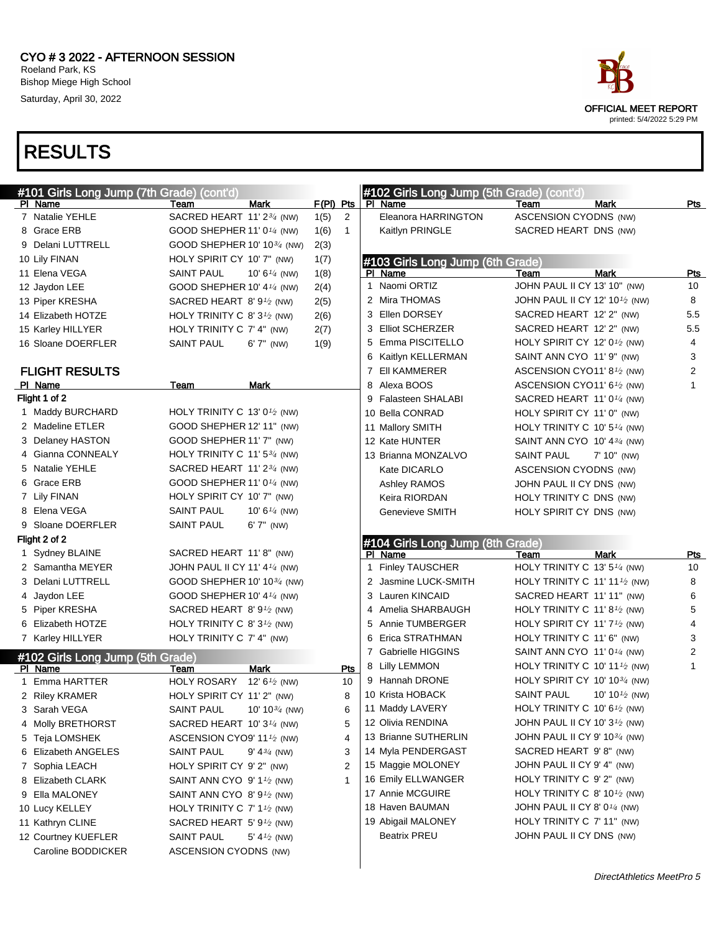

| #101 Girls Long Jump (7th Grade) (cont'd)   |                                                        |                          |                      |              | #102 Girls Long Jump (5th Grade) (cont'd)   |                                                       |                           |                         |
|---------------------------------------------|--------------------------------------------------------|--------------------------|----------------------|--------------|---------------------------------------------|-------------------------------------------------------|---------------------------|-------------------------|
| PI Name                                     | Team                                                   | Mark                     | $F(PI)$ Pts          |              | PI Name                                     | Team                                                  | <b>Mark</b>               | Pts                     |
| 7 Natalie YEHLE                             | SACRED HEART 11' 2 <sup>3/4</sup> (NW)                 |                          | 1(5)<br>2            |              | Eleanora HARRINGTON                         | ASCENSION CYODNS (NW)                                 |                           |                         |
| 8 Grace ERB                                 | GOOD SHEPHER 11' 0 <sup>1/4</sup> (NW)                 |                          | $\mathbf{1}$<br>1(6) |              | Kaitlyn PRINGLE                             | SACRED HEART DNS (NW)                                 |                           |                         |
| 9 Delani LUTTRELL                           | GOOD SHEPHER 10' 10 <sup>3/4</sup> (NW)                |                          | 2(3)                 |              |                                             |                                                       |                           |                         |
| 10 Lily FINAN                               | HOLY SPIRIT CY 10' 7" (NW)                             |                          | 1(7)                 |              | #103 Girls Long Jump (6th Grade)            |                                                       |                           |                         |
| 11 Elena VEGA                               | <b>SAINT PAUL</b>                                      | 10' $6\frac{1}{4}$ (NW)  | 1(8)                 |              | PI Name                                     | Team                                                  | <b>Mark</b>               | Pts                     |
| 12 Jaydon LEE                               | GOOD SHEPHER 10' 4 <sup>1/4</sup> (NW)                 |                          | 2(4)                 | $\mathbf{1}$ | Naomi ORTIZ                                 | JOHN PAUL II CY 13' 10" (NW)                          |                           | 10                      |
| 13 Piper KRESHA                             | SACRED HEART 8'9 $\frac{1}{2}$ (NW)                    |                          | 2(5)                 |              | 2 Mira THOMAS                               | JOHN PAUL II CY 12' 101/2 (NW)                        |                           | 8                       |
| 14 Elizabeth HOTZE                          | HOLY TRINITY C 8' $3^{1/2}$ (NW)                       |                          | 2(6)                 |              | 3 Ellen DORSEY                              | SACRED HEART 12' 2" (NW)                              |                           | 5.5                     |
| 15 Karley HILLYER                           | HOLY TRINITY C 7' 4" (NW)                              |                          | 2(7)                 |              | 3 Elliot SCHERZER                           | SACRED HEART 12' 2" (NW)                              |                           | 5.5                     |
| 16 Sloane DOERFLER                          | <b>SAINT PAUL</b>                                      | $6'7''$ (NW)             | 1(9)                 | 5            | Emma PISCITELLO                             | HOLY SPIRIT CY 12' $0\frac{1}{2}$ (NW)                |                           | 4                       |
|                                             |                                                        |                          |                      |              | 6 Kaitlyn KELLERMAN                         | SAINT ANN CYO 11' 9" (NW)                             |                           | 3                       |
| <b>FLIGHT RESULTS</b>                       |                                                        |                          |                      | 7            | EII KAMMERER                                | ASCENSION CYO11' 8 <sup>1</sup> /2 (NW)               |                           | $\overline{\mathbf{c}}$ |
| PI Name                                     | Team                                                   | Mark                     |                      | 8            | Alexa BOOS                                  | ASCENSION CYO11' $6\frac{1}{2}$ (NW)                  |                           | 1                       |
| Flight 1 of 2                               |                                                        |                          |                      |              | 9 Falasteen SHALABI                         | SACRED HEART 11' 0 <sup>1/4</sup> (NW)                |                           |                         |
| 1 Maddy BURCHARD                            | HOLY TRINITY C 13' 0 <sup>1</sup> / <sub>2</sub> (NW)  |                          |                      |              | 10 Bella CONRAD                             | HOLY SPIRIT CY 11' 0" (NW)                            |                           |                         |
| 2 Madeline ETLER                            | GOOD SHEPHER 12' 11" (NW)                              |                          |                      |              | 11 Mallory SMITH                            | HOLY TRINITY C 10' $5\frac{1}{4}$ (NW)                |                           |                         |
| 3 Delaney HASTON                            | GOOD SHEPHER 11' 7" (NW)                               |                          |                      |              | 12 Kate HUNTER                              | SAINT ANN CYO 10' 4 $\frac{3}{4}$ (NW)                |                           |                         |
| 4 Gianna CONNEALY                           | HOLY TRINITY C 11' 5 $\frac{3}{4}$ (NW)                |                          |                      |              | 13 Brianna MONZALVO                         | <b>SAINT PAUL</b>                                     | 7' 10" (NW)               |                         |
| 5 Natalie YEHLE                             | SACRED HEART 11' 2 <sup>3/4</sup> (NW)                 |                          |                      |              | Kate DICARLO                                | ASCENSION CYODNS (NW)                                 |                           |                         |
| 6 Grace ERB                                 | GOOD SHEPHER 11' 0 <sup>1/4</sup> (NW)                 |                          |                      |              | Ashley RAMOS                                | JOHN PAUL II CY DNS (NW)                              |                           |                         |
| 7 Lily FINAN                                | HOLY SPIRIT CY 10' 7" (NW)                             |                          |                      |              | Keira RIORDAN                               | HOLY TRINITY C DNS (NW)                               |                           |                         |
| 8 Elena VEGA                                | <b>SAINT PAUL</b>                                      | 10' 6 $\frac{1}{4}$ (NW) |                      |              | Genevieve SMITH                             | HOLY SPIRIT CY DNS (NW)                               |                           |                         |
| 9 Sloane DOERFLER                           | SAINT PAUL                                             | 6' 7" (NW)               |                      |              |                                             |                                                       |                           |                         |
|                                             |                                                        |                          |                      |              |                                             |                                                       |                           |                         |
| Flight 2 of 2                               |                                                        |                          |                      |              |                                             |                                                       |                           |                         |
| 1 Sydney BLAINE                             | SACRED HEART 11'8" (NW)                                |                          |                      |              | #104 Girls Long Jump (8th Grade)<br>PI Name | Team                                                  | <b>Mark</b>               | <u>Pts</u>              |
| 2 Samantha MEYER                            | JOHN PAUL II CY 11' 4 $\frac{1}{4}$ (NW)               |                          |                      | 1.           | <b>Finley TAUSCHER</b>                      | HOLY TRINITY C 13' $5\frac{1}{4}$ (NW)                |                           | 10                      |
| 3 Delani LUTTRELL                           | GOOD SHEPHER 10' 10 $\frac{3}{4}$ (NW)                 |                          |                      |              | 2 Jasmine LUCK-SMITH                        | HOLY TRINITY C 11' 11 $\frac{1}{2}$ (NW)              |                           | 8                       |
| 4 Jaydon LEE                                | GOOD SHEPHER 10' 4 $\frac{1}{4}$ (NW)                  |                          |                      |              | 3 Lauren KINCAID                            | SACRED HEART 11' 11" (NW)                             |                           | 6                       |
| 5 Piper KRESHA                              | SACRED HEART 8'91/2 (NW)                               |                          |                      |              | 4 Amelia SHARBAUGH                          | HOLY TRINITY C 11' 8 <sup>1</sup> / <sub>2</sub> (NW) |                           | 5                       |
| 6 Elizabeth HOTZE                           | HOLY TRINITY C 8' $3^{1/2}$ (NW)                       |                          |                      | 5            | Annie TUMBERGER                             | HOLY SPIRIT CY 11' $7\frac{1}{2}$ (NW)                |                           | 4                       |
| 7 Karley HILLYER                            | HOLY TRINITY C 7' 4" (NW)                              |                          |                      | 6            | Erica STRATHMAN                             | HOLY TRINITY C 11' 6" (NW)                            |                           | 3                       |
|                                             |                                                        |                          |                      |              | 7 Gabrielle HIGGINS                         | SAINT ANN CYO 11' 0 $\frac{1}{4}$ (NW)                |                           | $\overline{\mathbf{c}}$ |
| #102 Girls Long Jump (5th Grade)<br>PI Name | Team                                                   | <b>Mark</b>              | Pts                  |              | 8 Lilly LEMMON                              | HOLY TRINITY C 10' 11 $\frac{1}{2}$ (NW)              |                           | 1                       |
| 1 Emma HARTTER                              | <b>HOLY ROSARY</b>                                     | 12' $6\frac{1}{2}$ (NW)  | 10                   |              | 9 Hannah DRONE                              | HOLY SPIRIT CY 10' 10 $\frac{3}{4}$ (NW)              |                           |                         |
| 2 Riley KRAMER                              | HOLY SPIRIT CY 11' 2" (NW)                             |                          | 8                    |              | 10 Krista HOBACK                            | <b>SAINT PAUL</b>                                     | 10' 10 $\frac{1}{2}$ (NW) |                         |
| 3 Sarah VEGA                                | SAINT PAUL 10' 10 <sup>3/4</sup> (NW)                  |                          | 6                    |              | 11 Maddy LAVERY                             | HOLY TRINITY C 10' 6 $\frac{1}{2}$ (NW)               |                           |                         |
| 4 Molly BRETHORST                           | SACRED HEART 10' 3 <sup>1/4</sup> (NW)                 |                          | 5                    |              | 12 Olivia RENDINA                           | JOHN PAUL II CY 10' 31⁄2 (NW)                         |                           |                         |
| 5 Teja LOMSHEK                              | ASCENSION CYO9' 11 $\frac{1}{2}$ (NW)                  |                          | 4                    |              | 13 Brianne SUTHERLIN                        | JOHN PAUL II CY 9' 10 <sup>3/4</sup> (NW)             |                           |                         |
| 6 Elizabeth ANGELES                         | SAINT PAUL                                             | $9' 4^{3/4}$ (NW)        | 3                    |              | 14 Myla PENDERGAST                          | SACRED HEART 9'8" (NW)                                |                           |                         |
| 7 Sophia LEACH                              | HOLY SPIRIT CY 9' 2" (NW)                              |                          | 2                    |              | 15 Maggie MOLONEY                           | JOHN PAUL II CY 9' 4" (NW)                            |                           |                         |
| 8 Elizabeth CLARK                           | SAINT ANN CYO $9' 11$ /2 (NW)                          |                          |                      |              | 16 Emily ELLWANGER                          | HOLY TRINITY C 9' 2" (NW)                             |                           |                         |
| 9 Ella MALONEY                              | SAINT ANN CYO 8' $91$ /2 (NW)                          |                          |                      |              | 17 Annie MCGUIRE                            | HOLY TRINITY C 8' 10 <sup>1/2</sup> (NW)              |                           |                         |
| 10 Lucy KELLEY                              | HOLY TRINITY C $7'$ 1 <sup>1</sup> / <sub>2</sub> (NW) |                          |                      |              | 18 Haven BAUMAN                             | JOHN PAUL II CY 8' 0 <sup>1/4</sup> (NW)              |                           |                         |
| 11 Kathryn CLINE                            | SACRED HEART 5' 9 <sup>1</sup> /2 (NW)                 |                          |                      |              | 19 Abigail MALONEY                          | HOLY TRINITY C 7' 11" (NW)                            |                           |                         |
| 12 Courtney KUEFLER                         | SAINT PAUL                                             | 5' 4 $\frac{1}{2}$ (NW)  |                      |              | <b>Beatrix PREU</b>                         | JOHN PAUL II CY DNS (NW)                              |                           |                         |
| Caroline BODDICKER                          | ASCENSION CYODNS (NW)                                  |                          |                      |              |                                             |                                                       |                           |                         |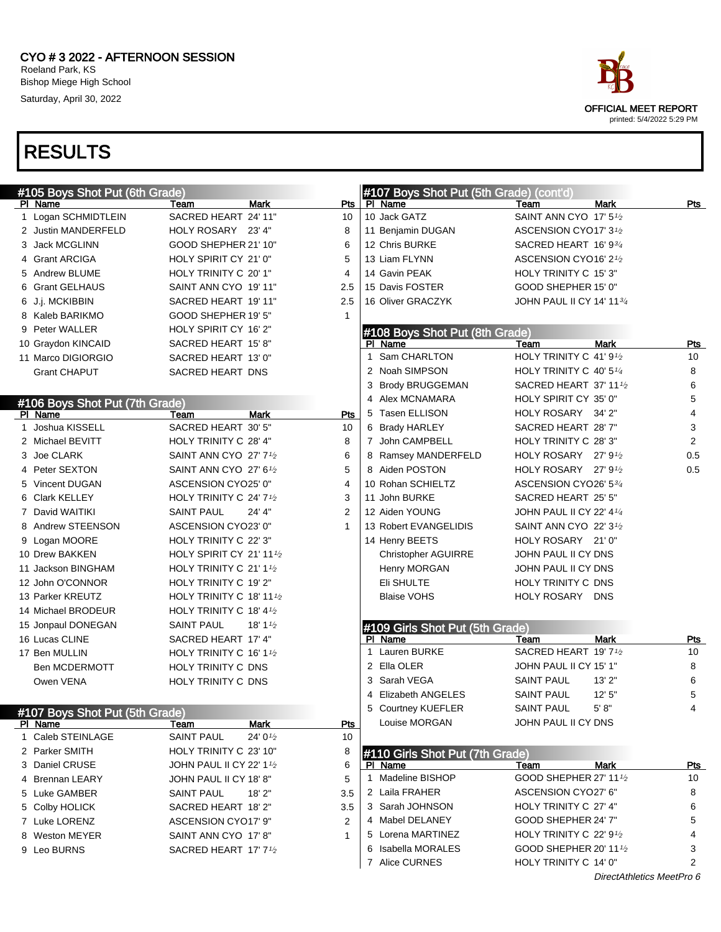

DirectAthletics MeetPro 6



printed: 5/4/2022 5:29 PM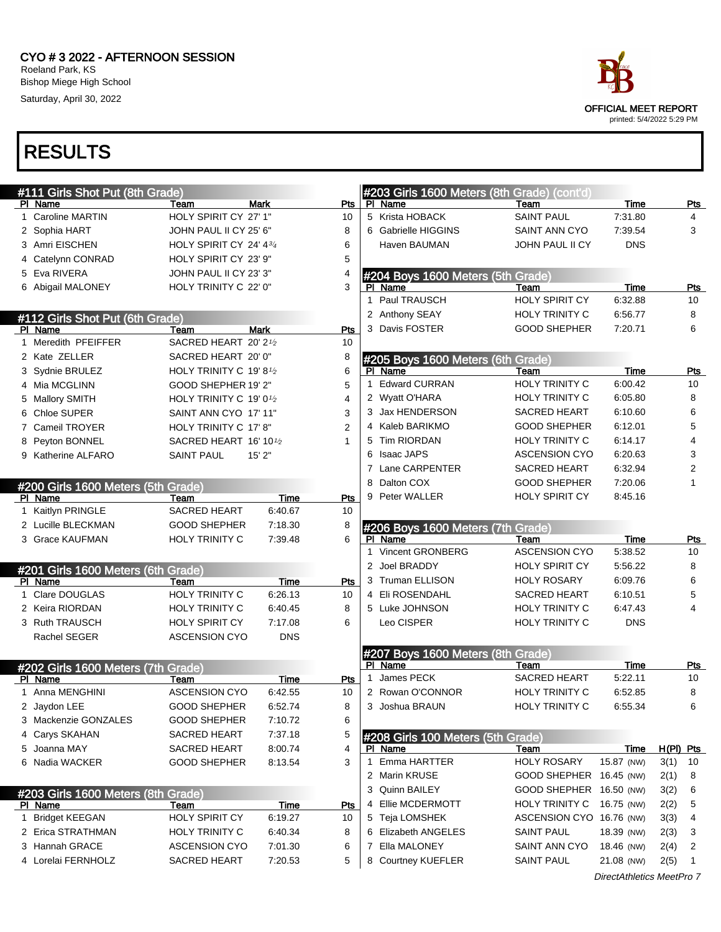

| #111 Girls Shot Put (8th Grade)    |                                                  |             |                |              | #203 Girls 1600 Meters (8th Grade) (cont'd) |                          |            |              |
|------------------------------------|--------------------------------------------------|-------------|----------------|--------------|---------------------------------------------|--------------------------|------------|--------------|
| PI Name                            | Team                                             | Mark        | Pts            |              | PI Name                                     | Team                     | Time       | <u>Pts</u>   |
| 1 Caroline MARTIN                  | HOLY SPIRIT CY 27' 1"                            |             | 10             |              | 5 Krista HOBACK                             | <b>SAINT PAUL</b>        | 7:31.80    | 4            |
| 2 Sophia HART                      | JOHN PAUL II CY 25' 6"                           |             | 8              |              | 6 Gabrielle HIGGINS                         | <b>SAINT ANN CYO</b>     | 7:39.54    | 3            |
| 3 Amri EISCHEN                     | HOLY SPIRIT CY 24' 43/4                          |             | 6              |              | Haven BAUMAN                                | JOHN PAUL II CY          | <b>DNS</b> |              |
| 4 Catelynn CONRAD                  | HOLY SPIRIT CY 23' 9"                            |             | 5              |              |                                             |                          |            |              |
| 5 Eva RIVERA                       | JOHN PAUL II CY 23' 3"                           |             | 4              |              | #204 Boys 1600 Meters (5th Grade)           |                          |            |              |
| 6 Abigail MALONEY                  | HOLY TRINITY C 22' 0"                            |             | 3              |              | PI Name                                     | Team                     | Time       | <b>Pts</b>   |
|                                    |                                                  |             |                | 1            | Paul TRAUSCH                                | HOLY SPIRIT CY           | 6:32.88    | 10           |
| #112 Girls Shot Put (6th Grade)    |                                                  |             |                |              | 2 Anthony SEAY                              | HOLY TRINITY C           | 6:56.77    | 8            |
| PI Name                            | Team                                             | <b>Mark</b> | <b>Pts</b>     |              | 3 Davis FOSTER                              | <b>GOOD SHEPHER</b>      | 7:20.71    | 6            |
| 1 Meredith PFEIFFER                | SACRED HEART 20' 21/2                            |             | 10             |              |                                             |                          |            |              |
| 2 Kate ZELLER                      | SACRED HEART 20' 0"                              |             | 8              |              | #205 Boys 1600 Meters (6th Grade)           |                          |            |              |
| 3 Sydnie BRULEZ                    | HOLY TRINITY C 19' 8 <sup>1/2</sup>              |             | 6              |              | PI Name                                     | Team                     | Time       | Pts          |
| 4 Mia MCGLINN                      | GOOD SHEPHER 19' 2"                              |             | 5              | 1            | <b>Edward CURRAN</b>                        | HOLY TRINITY C           | 6:00.42    | 10           |
| 5 Mallory SMITH                    | HOLY TRINITY C 19' 0 <sup>1</sup> / <sub>2</sub> |             | 4              |              | 2 Wyatt O'HARA                              | HOLY TRINITY C           | 6:05.80    | 8            |
| 6 Chloe SUPER                      | SAINT ANN CYO 17' 11"                            |             | 3              |              | 3 Jax HENDERSON                             | <b>SACRED HEART</b>      | 6:10.60    | 6            |
| 7 Cameil TROYER                    | HOLY TRINITY C 17' 8"                            |             | $\overline{2}$ |              | 4 Kaleb BARIKMO                             | <b>GOOD SHEPHER</b>      | 6:12.01    | 5            |
| 8 Peyton BONNEL                    | SACRED HEART 16' 101/2                           |             | 1              |              | 5 Tim RIORDAN                               | <b>HOLY TRINITY C</b>    | 6:14.17    | 4            |
| 9 Katherine ALFARO                 | <b>SAINT PAUL</b>                                | 15'2"       |                | 6            | Isaac JAPS                                  | <b>ASCENSION CYO</b>     | 6:20.63    | 3            |
|                                    |                                                  |             |                |              | 7 Lane CARPENTER                            | <b>SACRED HEART</b>      | 6:32.94    | 2            |
| #200 Girls 1600 Meters (5th Grade) |                                                  |             |                | 8            | Dalton COX                                  | <b>GOOD SHEPHER</b>      | 7:20.06    | $\mathbf{1}$ |
| PI Name                            | Team                                             | Time        | Pts            |              | 9 Peter WALLER                              | <b>HOLY SPIRIT CY</b>    | 8:45.16    |              |
| 1 Kaitlyn PRINGLE                  | <b>SACRED HEART</b>                              | 6:40.67     | 10             |              |                                             |                          |            |              |
| 2 Lucille BLECKMAN                 | <b>GOOD SHEPHER</b>                              | 7:18.30     | 8              |              | #206 Boys 1600 Meters (7th Grade)           |                          |            |              |
| 3 Grace KAUFMAN                    | <b>HOLY TRINITY C</b>                            | 7:39.48     | 6              |              | PI Name                                     | Team                     | Time       | <u>Pts</u>   |
|                                    |                                                  |             |                | $\mathbf{1}$ | Vincent GRONBERG                            | <b>ASCENSION CYO</b>     | 5:38.52    | 10           |
| #201 Girls 1600 Meters (6th Grade) |                                                  |             |                | 2            | Joel BRADDY                                 | HOLY SPIRIT CY           | 5:56.22    | 8            |
| PI Name                            | Team                                             | Time        | Pts            |              | 3 Truman ELLISON                            | <b>HOLY ROSARY</b>       | 6:09.76    | 6            |
| 1 Clare DOUGLAS                    | HOLY TRINITY C                                   | 6:26.13     | 10             |              | 4 Eli ROSENDAHL                             | <b>SACRED HEART</b>      | 6:10.51    | 5            |
| 2 Keira RIORDAN                    | HOLY TRINITY C                                   | 6:40.45     | 8              |              | 5 Luke JOHNSON                              | <b>HOLY TRINITY C</b>    | 6:47.43    | 4            |
| 3 Ruth TRAUSCH                     | HOLY SPIRIT CY                                   | 7:17.08     | 6              |              | Leo CISPER                                  | <b>HOLY TRINITY C</b>    | <b>DNS</b> |              |
| Rachel SEGER                       | <b>ASCENSION CYO</b>                             | <b>DNS</b>  |                |              |                                             |                          |            |              |
|                                    |                                                  |             |                |              |                                             |                          |            |              |
|                                    |                                                  |             |                |              | #207 Boys 1600 Meters (8th Grade)           |                          |            |              |
| #202 Girls 1600 Meters (7th Grade) |                                                  |             |                |              | PI Name                                     | Team                     | Time       | <u>Pts</u>   |
| PI Name                            | Team                                             | Time        | <b>Pts</b>     | $\mathbf{1}$ | James PECK                                  | <b>SACRED HEART</b>      | 5:22.11    | 10           |
| 1 Anna MENGHINI                    | <b>ASCENSION CYO</b>                             | 6:42.55     | 10             |              | 2 Rowan O'CONNOR                            | HOLY TRINITY C           | 6:52.85    | 8            |
| 2 Javdon LEE                       | <b>GOOD SHEPHER</b>                              | 6:52.74     | 8              |              | 3 Joshua BRAUN                              | <b>HOLY TRINITY C</b>    | 6:55.34    | 6            |
| 3 Mackenzie GONZALES               | GOOD SHEPHER                                     | 7:10.72     | 6              |              |                                             |                          |            |              |
| 4 Carys SKAHAN                     | SACRED HEART                                     | 7:37.18     | 5              |              | #208 Girls 100 Meters (5th Grade)           |                          |            |              |
| 5 Joanna MAY                       | SACRED HEART                                     | 8:00.74     | 4              |              | PI Name                                     | Team                     | Time       | $H(PI)$ Pts  |
| 6 Nadia WACKER                     | <b>GOOD SHEPHER</b>                              | 8:13.54     | 3              | 1            | Emma HARTTER                                | <b>HOLY ROSARY</b>       | 15.87 (NW) | 3(1)<br>10   |
|                                    |                                                  |             |                |              | 2 Marin KRUSE                               | GOOD SHEPHER 16.45 (NW)  |            | 2(1)<br>8    |
| #203 Girls 1600 Meters (8th Grade) |                                                  |             |                |              | 3 Quinn BAILEY                              | GOOD SHEPHER 16.50 (NW)  |            | 3(2)<br>6    |
| PI Name                            | Team                                             | Time        | Pts            |              | 4 Ellie MCDERMOTT                           | HOLY TRINITY C           | 16.75 (NW) | 5<br>2(2)    |
| 1 Bridget KEEGAN                   | <b>HOLY SPIRIT CY</b>                            | 6:19.27     | 10             |              | 5 Teja LOMSHEK                              | ASCENSION CYO 16.76 (NW) |            | 3(3)<br>4    |
| 2 Erica STRATHMAN                  | <b>HOLY TRINITY C</b>                            | 6:40.34     | 8              |              | 6 Elizabeth ANGELES                         | <b>SAINT PAUL</b>        | 18.39 (NW) | 2(3)<br>3    |
| 3 Hannah GRACE                     | <b>ASCENSION CYO</b>                             | 7:01.30     | 6              |              | 7 Ella MALONEY                              | SAINT ANN CYO            | 18.46 (NW) | 2(4)<br>2    |
| 4 Lorelai FERNHOLZ                 | SACRED HEART                                     | 7:20.53     | 5              |              | 8 Courtney KUEFLER                          | <b>SAINT PAUL</b>        | 21.08 (NW) | 2(5)<br>1    |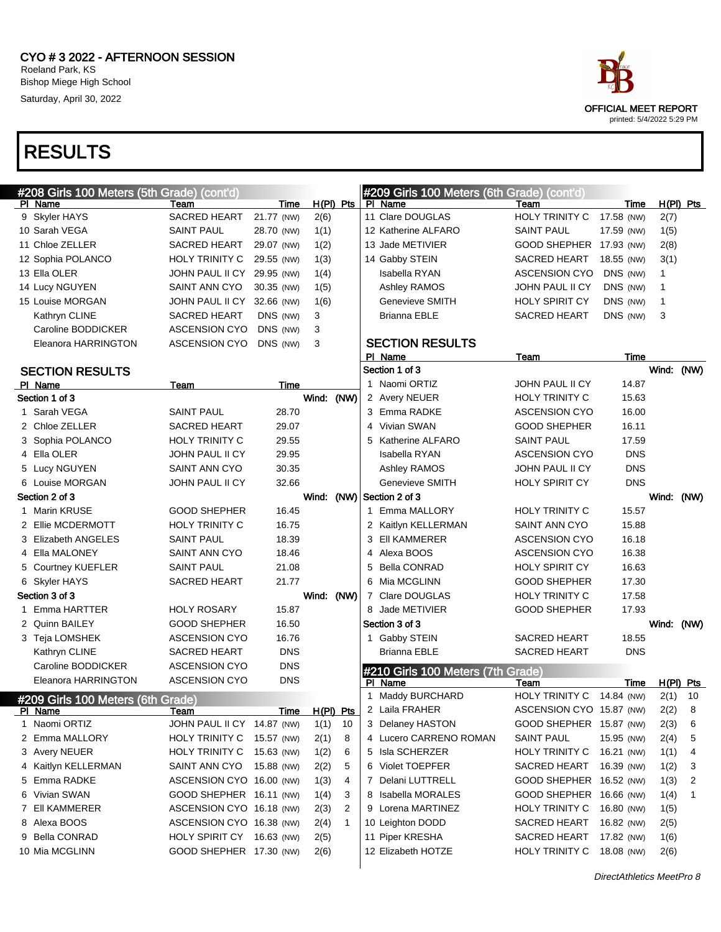

| #208 Girls 100 Meters (5th Grade) (cont'd)          |                            |             |            |              |   | #209 Girls 100 Meters (6th Grade) (cont'd)   |                           |            |              |              |
|-----------------------------------------------------|----------------------------|-------------|------------|--------------|---|----------------------------------------------|---------------------------|------------|--------------|--------------|
| PI Name                                             | Team                       | Time        | H(PI) Pts  |              |   | PI Name                                      | Team                      | Time       |              | $H(PI)$ Pts  |
| 9 Skyler HAYS                                       | <b>SACRED HEART</b>        | 21.77 (NW)  | 2(6)       |              |   | 11 Clare DOUGLAS                             | HOLY TRINITY C            | 17.58 (NW) | 2(7)         |              |
| 10 Sarah VEGA                                       | <b>SAINT PAUL</b>          | 28.70 (NW)  | 1(1)       |              |   | 12 Katherine ALFARO                          | <b>SAINT PAUL</b>         | 17.59 (NW) | 1(5)         |              |
| 11 Chloe ZELLER                                     | SACRED HEART               | 29.07 (NW)  | 1(2)       |              |   | 13 Jade METIVIER                             | GOOD SHEPHER 17.93 (NW)   |            | 2(8)         |              |
| 12 Sophia POLANCO                                   | HOLY TRINITY C             | 29.55 (NW)  | 1(3)       |              |   | 14 Gabby STEIN                               | SACRED HEART              | 18.55 (NW) | 3(1)         |              |
| 13 Ella OLER                                        | JOHN PAUL II CY 29.95 (NW) |             | 1(4)       |              |   | Isabella RYAN                                | <b>ASCENSION CYO</b>      | DNS (NW)   | 1            |              |
| 14 Lucy NGUYEN                                      | SAINT ANN CYO              | 30.35 (NW)  | 1(5)       |              |   | Ashley RAMOS                                 | JOHN PAUL II CY           | DNS (NW)   | 1            |              |
| 15 Louise MORGAN                                    | JOHN PAUL II CY            | 32.66 (NW)  | 1(6)       |              |   | Genevieve SMITH                              | <b>HOLY SPIRIT CY</b>     | DNS (NW)   | $\mathbf{1}$ |              |
| Kathryn CLINE                                       | <b>SACRED HEART</b>        | DNS (NW)    | 3          |              |   | <b>Brianna EBLE</b>                          | <b>SACRED HEART</b>       | DNS (NW)   | 3            |              |
| Caroline BODDICKER                                  | <b>ASCENSION CYO</b>       | DNS (NW)    | 3          |              |   |                                              |                           |            |              |              |
| Eleanora HARRINGTON                                 | ASCENSION CYO              | DNS (NW)    | 3          |              |   | <b>SECTION RESULTS</b>                       |                           |            |              |              |
|                                                     |                            |             |            |              |   | PI Name                                      | Team                      | Time       |              |              |
| <b>SECTION RESULTS</b>                              |                            |             |            |              |   | Section 1 of 3                               |                           |            | Wind: (NW)   |              |
| PI Name                                             | Team                       | Time        |            |              |   | 1 Naomi ORTIZ                                | <b>JOHN PAUL II CY</b>    | 14.87      |              |              |
| Section 1 of 3                                      |                            |             | Wind:      | (NW)         |   | 2 Avery NEUER                                | HOLY TRINITY C            | 15.63      |              |              |
| 1 Sarah VEGA                                        | <b>SAINT PAUL</b>          | 28.70       |            |              |   | 3 Emma RADKE                                 | <b>ASCENSION CYO</b>      | 16.00      |              |              |
| 2 Chloe ZELLER                                      | <b>SACRED HEART</b>        | 29.07       |            |              |   | 4 Vivian SWAN                                | <b>GOOD SHEPHER</b>       | 16.11      |              |              |
| 3 Sophia POLANCO                                    | <b>HOLY TRINITY C</b>      | 29.55       |            |              |   | 5 Katherine ALFARO                           | <b>SAINT PAUL</b>         | 17.59      |              |              |
| 4 Ella OLER                                         | JOHN PAUL II CY            | 29.95       |            |              |   | <b>Isabella RYAN</b>                         | <b>ASCENSION CYO</b>      | <b>DNS</b> |              |              |
| 5 Lucy NGUYEN                                       | SAINT ANN CYO              | 30.35       |            |              |   | Ashley RAMOS                                 | JOHN PAUL II CY           | <b>DNS</b> |              |              |
| 6 Louise MORGAN                                     | JOHN PAUL II CY            | 32.66       |            |              |   | Genevieve SMITH                              | HOLY SPIRIT CY            | <b>DNS</b> |              |              |
| Section 2 of 3                                      |                            |             | Wind: (NW) |              |   | Section 2 of 3                               |                           |            | Wind: (NW)   |              |
| 1 Marin KRUSE                                       | <b>GOOD SHEPHER</b>        | 16.45       |            |              |   | 1 Emma MALLORY                               | HOLY TRINITY C            | 15.57      |              |              |
| 2 Ellie MCDERMOTT                                   | HOLY TRINITY C             | 16.75       |            |              |   | 2 Kaitlyn KELLERMAN                          | SAINT ANN CYO             | 15.88      |              |              |
| 3 Elizabeth ANGELES                                 | <b>SAINT PAUL</b>          | 18.39       |            |              |   | 3 EII KAMMERER                               | <b>ASCENSION CYO</b>      | 16.18      |              |              |
| 4 Ella MALONEY                                      | SAINT ANN CYO              | 18.46       |            |              |   | 4 Alexa BOOS                                 | <b>ASCENSION CYO</b>      | 16.38      |              |              |
| 5 Courtney KUEFLER                                  | <b>SAINT PAUL</b>          | 21.08       |            |              | 5 | <b>Bella CONRAD</b>                          | <b>HOLY SPIRIT CY</b>     | 16.63      |              |              |
| 6 Skyler HAYS                                       | <b>SACRED HEART</b>        | 21.77       |            |              |   | 6 Mia MCGLINN                                | <b>GOOD SHEPHER</b>       | 17.30      |              |              |
| Section 3 of 3                                      |                            |             | Wind: (NW) |              |   | 7 Clare DOUGLAS                              | <b>HOLY TRINITY C</b>     | 17.58      |              |              |
| 1 Emma HARTTER                                      | <b>HOLY ROSARY</b>         | 15.87       |            |              |   | 8 Jade METIVIER                              | <b>GOOD SHEPHER</b>       | 17.93      |              |              |
| 2 Quinn BAILEY                                      | <b>GOOD SHEPHER</b>        | 16.50       |            |              |   | Section 3 of 3                               |                           |            | Wind: (NW)   |              |
| 3 Teja LOMSHEK                                      | <b>ASCENSION CYO</b>       | 16.76       |            |              |   | 1 Gabby STEIN                                | <b>SACRED HEART</b>       | 18.55      |              |              |
| Kathryn CLINE                                       | <b>SACRED HEART</b>        | <b>DNS</b>  |            |              |   | Brianna EBLE                                 | <b>SACRED HEART</b>       | DNS        |              |              |
| Caroline BODDICKER                                  | <b>ASCENSION CYO</b>       | <b>DNS</b>  |            |              |   |                                              |                           |            |              |              |
| Eleanora HARRINGTON                                 | <b>ASCENSION CYO</b>       | <b>DNS</b>  |            |              |   | #210 Girls 100 Meters (7th Grade)<br>PI Name | Team                      | Time       |              | $H(PI)$ Pts  |
|                                                     |                            |             |            |              |   | 1 Maddy BURCHARD                             | <b>HOLY TRINITY C</b>     | 14.84 (NW) | 2(1)         | 10           |
| #209 Girls 100 Meters (6th Grade)<br><u>PI Name</u> | <u>ream</u>                | <b>Time</b> | H(PI) Pts  |              |   | 2 Laila FRAHER                               | ASCENSION CYO 15.87 (NW)  |            | 2(2)         | 8            |
| 1 Naomi ORTIZ                                       | JOHN PAUL II CY 14.87 (NW) |             | 1(1)       | 10           |   | 3 Delaney HASTON                             | GOOD SHEPHER 15.87 (NW)   |            | 2(3)         | -6           |
| 2 Emma MALLORY                                      | HOLY TRINITY C 15.57 (NW)  |             | 2(1)       | 8            |   | 4 Lucero CARRENO ROMAN                       | <b>SAINT PAUL</b>         | 15.95 (NW) | 2(4)         | 5            |
| 3 Avery NEUER                                       | HOLY TRINITY C 15.63 (NW)  |             | 1(2)       | 6            |   | 5 Isla SCHERZER                              | HOLY TRINITY C 16.21 (NW) |            | 1(1)         | 4            |
| 4 Kaitlyn KELLERMAN                                 | SAINT ANN CYO 15.88 (NW)   |             | 2(2)       | 5            |   | 6 Violet TOEPFER                             | SACRED HEART 16.39 (NW)   |            | 1(2)         | 3            |
| 5 Emma RADKE                                        | ASCENSION CYO 16.00 (NW)   |             | 1(3)       | 4            |   | 7 Delani LUTTRELL                            | GOOD SHEPHER 16.52 (NW)   |            | 1(3)         | 2            |
| 6 Vivian SWAN                                       | GOOD SHEPHER 16.11 (NW)    |             | 1(4)       | 3            |   | 8 Isabella MORALES                           | GOOD SHEPHER 16.66 (NW)   |            | 1(4)         | $\mathbf{1}$ |
| 7 EII KAMMERER                                      | ASCENSION CYO 16.18 (NW)   |             | 2(3)       | 2            |   | 9 Lorena MARTINEZ                            | HOLY TRINITY C 16.80 (NW) |            | 1(5)         |              |
| 8 Alexa BOOS                                        | ASCENSION CYO 16.38 (NW)   |             | 2(4)       | $\mathbf{1}$ |   | 10 Leighton DODD                             | SACRED HEART 16.82 (NW)   |            | 2(5)         |              |
| 9 Bella CONRAD                                      | HOLY SPIRIT CY 16.63 (NW)  |             | 2(5)       |              |   | 11 Piper KRESHA                              | SACRED HEART 17.82 (NW)   |            | 1(6)         |              |
| 10 Mia MCGLINN                                      | GOOD SHEPHER 17.30 (NW)    |             | 2(6)       |              |   | 12 Elizabeth HOTZE                           | <b>HOLY TRINITY C</b>     | 18.08 (NW) |              |              |
|                                                     |                            |             |            |              |   |                                              |                           |            | 2(6)         |              |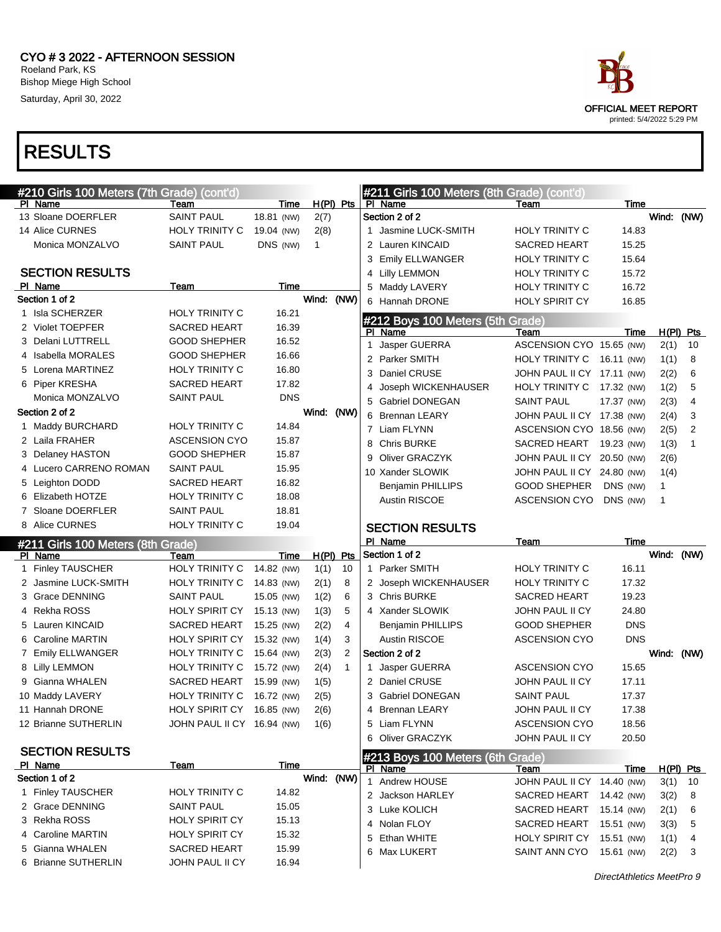

| #210 Girls 100 Meters (7th Grade) (cont'd)   |                            |            |              |              | #211 Girls 100 Meters (8th Grade) (cont'd) |                                            |                |                               |          |
|----------------------------------------------|----------------------------|------------|--------------|--------------|--------------------------------------------|--------------------------------------------|----------------|-------------------------------|----------|
| PI Name                                      | Team                       | Time       | $H(PI)$ Pts  |              | PI Name                                    | Team                                       | Time           |                               |          |
| 13 Sloane DOERFLER                           | <b>SAINT PAUL</b>          | 18.81 (NW) | 2(7)         |              | Section 2 of 2                             |                                            |                | Wind: (NW)                    |          |
| 14 Alice CURNES                              | <b>HOLY TRINITY C</b>      | 19.04 (NW) | 2(8)         |              | 1 Jasmine LUCK-SMITH                       | HOLY TRINITY C                             | 14.83          |                               |          |
| Monica MONZALVO                              | <b>SAINT PAUL</b>          | DNS (NW)   | $\mathbf{1}$ |              | 2 Lauren KINCAID                           | SACRED HEART                               | 15.25          |                               |          |
|                                              |                            |            |              |              | 3 Emily ELLWANGER                          | <b>HOLY TRINITY C</b>                      | 15.64          |                               |          |
| <b>SECTION RESULTS</b>                       |                            |            |              |              | 4 Lilly LEMMON                             | HOLY TRINITY C                             | 15.72          |                               |          |
| PI Name                                      | Team                       | Time       |              |              | 5 Maddy LAVERY                             | HOLY TRINITY C                             | 16.72          |                               |          |
| Section 1 of 2                               |                            |            | Wind:        | (NW)         | 6 Hannah DRONE                             | <b>HOLY SPIRIT CY</b>                      | 16.85          |                               |          |
| 1 Isla SCHERZER                              | <b>HOLY TRINITY C</b>      | 16.21      |              |              | #212 Boys 100 Meters (5th Grade)           |                                            |                |                               |          |
| 2 Violet TOEPFER                             | <b>SACRED HEART</b>        | 16.39      |              |              | PI Name                                    | Team                                       | Time           | $H(PI)$ Pts                   |          |
| 3 Delani LUTTRELL                            | <b>GOOD SHEPHER</b>        | 16.52      |              |              | 1 Jasper GUERRA                            | ASCENSION CYO 15.65 (NW)                   |                | 2(1)                          | 10       |
| 4 Isabella MORALES                           | <b>GOOD SHEPHER</b>        | 16.66      |              |              | 2 Parker SMITH                             | HOLY TRINITY C 16.11 (NW)                  |                | 1(1)                          | 8        |
| 5 Lorena MARTINEZ                            | <b>HOLY TRINITY C</b>      | 16.80      |              |              | Daniel CRUSE<br>3                          | JOHN PAUL II CY 17.11 (NW)                 |                | 2(2)                          | 6        |
| 6 Piper KRESHA                               | <b>SACRED HEART</b>        | 17.82      |              |              | Joseph WICKENHAUSER<br>4                   | HOLY TRINITY C                             | 17.32 (NW)     | 1(2)                          | 5        |
| Monica MONZALVO                              | <b>SAINT PAUL</b>          | <b>DNS</b> |              |              | <b>Gabriel DONEGAN</b><br>5                | <b>SAINT PAUL</b>                          | 17.37 (NW)     | 2(3)                          | 4        |
| Section 2 of 2                               |                            |            | Wind: (NW)   |              | 6 Brennan LEARY                            | JOHN PAUL II CY 17.38 (NW)                 |                | 2(4)                          | 3        |
| 1 Maddy BURCHARD                             | <b>HOLY TRINITY C</b>      | 14.84      |              |              | 7 Liam FLYNN                               | ASCENSION CYO 18.56 (NW)                   |                | 2(5)                          | 2        |
| 2 Laila FRAHER                               | <b>ASCENSION CYO</b>       | 15.87      |              |              | <b>Chris BURKE</b><br>8                    | SACRED HEART 19.23 (NW)                    |                | 1(3)                          | 1        |
| 3 Delaney HASTON                             | <b>GOOD SHEPHER</b>        | 15.87      |              |              | <b>Oliver GRACZYK</b><br>9                 | JOHN PAUL II CY 20.50 (NW)                 |                | 2(6)                          |          |
| 4 Lucero CARRENO ROMAN                       | <b>SAINT PAUL</b>          | 15.95      |              |              | 10 Xander SLOWIK                           | JOHN PAUL II CY 24.80 (NW)                 |                | 1(4)                          |          |
| 5 Leighton DODD                              | <b>SACRED HEART</b>        | 16.82      |              |              | <b>Benjamin PHILLIPS</b>                   | <b>GOOD SHEPHER</b>                        | DNS (NW)       | 1                             |          |
| 6 Elizabeth HOTZE                            | <b>HOLY TRINITY C</b>      | 18.08      |              |              | Austin RISCOE                              | ASCENSION CYO                              | DNS (NW)       | 1                             |          |
| 7 Sloane DOERFLER                            | <b>SAINT PAUL</b>          | 18.81      |              |              |                                            |                                            |                |                               |          |
| 8 Alice CURNES                               | <b>HOLY TRINITY C</b>      | 19.04      |              |              |                                            |                                            |                |                               |          |
|                                              |                            |            |              |              |                                            |                                            |                |                               |          |
|                                              |                            |            |              |              | <b>SECTION RESULTS</b><br>PI Name          | Team                                       | <b>Time</b>    |                               |          |
| #211 Girls 100 Meters (8th Grade)<br>PI Name | Team                       | Time       | $H(PI)$ Pts  |              | Section 1 of 2                             |                                            |                | Wind: (NW)                    |          |
| 1 Finley TAUSCHER                            | <b>HOLY TRINITY C</b>      | 14.82 (NW) | 1(1)         | 10           | 1 Parker SMITH                             | <b>HOLY TRINITY C</b>                      | 16.11          |                               |          |
| 2 Jasmine LUCK-SMITH                         | <b>HOLY TRINITY C</b>      | 14.83 (NW) | 2(1)         | 8            | 2 Joseph WICKENHAUSER                      | <b>HOLY TRINITY C</b>                      | 17.32          |                               |          |
| 3 Grace DENNING                              | <b>SAINT PAUL</b>          | 15.05 (NW) | 1(2)         | 6            | 3 Chris BURKE                              | <b>SACRED HEART</b>                        | 19.23          |                               |          |
| 4 Rekha ROSS                                 | <b>HOLY SPIRIT CY</b>      | 15.13 (NW) | 1(3)         | 5            | 4 Xander SLOWIK                            | JOHN PAUL II CY                            | 24.80          |                               |          |
| 5 Lauren KINCAID                             | SACRED HEART               | 15.25 (NW) | 2(2)         | 4            | <b>Benjamin PHILLIPS</b>                   | <b>GOOD SHEPHER</b>                        | <b>DNS</b>     |                               |          |
| 6 Caroline MARTIN                            | <b>HOLY SPIRIT CY</b>      | 15.32 (NW) | 1(4)         | 3            | <b>Austin RISCOE</b>                       | <b>ASCENSION CYO</b>                       | <b>DNS</b>     |                               |          |
| 7 Emily ELLWANGER                            | HOLY TRINITY C             | 15.64 (NW) | 2(3)         | 2            | Section 2 of 2                             |                                            |                | Wind: (NW)                    |          |
| 8 Lilly LEMMON                               | HOLY TRINITY C             | 15.72 (NW) | 2(4)         | $\mathbf{1}$ | 1 Jasper GUERRA                            | <b>ASCENSION CYO</b>                       | 15.65          |                               |          |
| 9 Gianna WHALEN                              | SACRED HEART               | 15.99 (NW) | 1(5)         |              | 2 Daniel CRUSE                             | JOHN PAUL II CY                            | 17.11          |                               |          |
| 10 Maddy LAVERY                              | HOLY TRINITY C             | 16.72 (NW) |              |              | 3 Gabriel DONEGAN                          | <b>SAINT PAUL</b>                          | 17.37          |                               |          |
| 11 Hannah DRONE                              | HOLY SPIRIT CY 16.85 (NW)  |            | 2(5)         |              | 4                                          |                                            |                |                               |          |
| 12 Brianne SUTHERLIN                         | JOHN PAUL II CY 16.94 (NW) |            | 2(6)<br>1(6) |              | <b>Brennan LEARY</b><br>5 Liam FLYNN       | JOHN PAUL II CY<br><b>ASCENSION CYO</b>    | 17.38<br>18.56 |                               |          |
|                                              |                            |            |              |              | 6 Oliver GRACZYK                           | JOHN PAUL II CY                            | 20.50          |                               |          |
| <b>SECTION RESULTS</b>                       |                            |            |              |              |                                            |                                            |                |                               |          |
| <b>PI Name</b>                               | Team                       | Time       |              |              | #213 Boys 100 Meters (6th Grade)           |                                            |                |                               |          |
| Section 1 of 2                               |                            |            | Wind: (NW)   |              | <u>PI Name</u><br>1 Andrew HOUSE           | <u>Team</u>                                | <u>Time</u>    | <u>H(PI) Pts</u><br>$3(1)$ 10 |          |
| 1 Finley TAUSCHER                            | <b>HOLY TRINITY C</b>      | 14.82      |              |              | 2 Jackson HARLEY                           | JOHN PAUL II CY 14.40 (NW)                 |                |                               |          |
| 2 Grace DENNING                              | <b>SAINT PAUL</b>          | 15.05      |              |              |                                            | SACRED HEART 14.42 (NW)                    |                | 3(2)                          | -8       |
| 3 Rekha ROSS                                 | <b>HOLY SPIRIT CY</b>      | 15.13      |              |              | 3 Luke KOLICH                              | SACRED HEART                               | 15.14 (NW)     | 2(1)                          | 6        |
| 4 Caroline MARTIN                            | <b>HOLY SPIRIT CY</b>      | 15.32      |              |              | 4 Nolan FLOY                               | SACRED HEART                               | 15.51 (NW)     | 3(3)                          | 5        |
| 5 Gianna WHALEN                              | SACRED HEART               | 15.99      |              |              | 5 Ethan WHITE<br>6 Max LUKERT              | HOLY SPIRIT CY 15.51 (NW)<br>SAINT ANN CYO | 15.61 (NW)     | 1(1)<br>2(2)                  | 4<br>- 3 |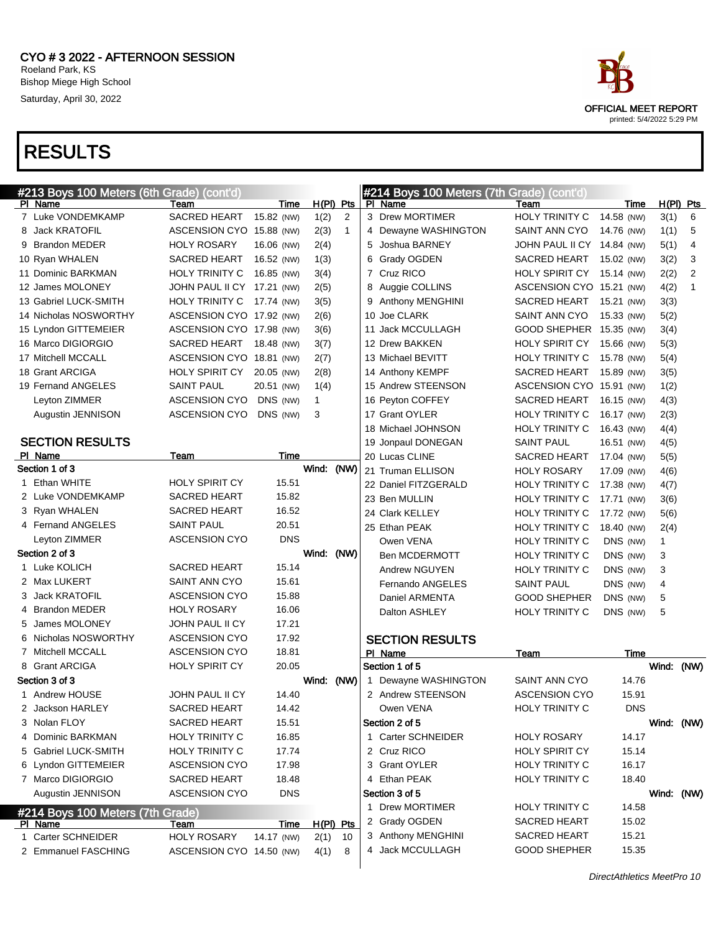|   | #213 Boys 100 Meters (6th Grade) (cont'd)<br>PI Name | Team                       |                    |                     |              | #214 Boys 100 Meters (7th Grade) (cont'd)<br>PI Name | Team                       |                    |            |                  |
|---|------------------------------------------------------|----------------------------|--------------------|---------------------|--------------|------------------------------------------------------|----------------------------|--------------------|------------|------------------|
|   | 7 Luke VONDEMKAMP                                    | <b>SACRED HEART</b>        | Time<br>15.82 (NW) | $H(PI)$ Pts<br>1(2) | 2            | 3 Drew MORTIMER                                      | <b>HOLY TRINITY C</b>      | Time<br>14.58 (NW) | 3(1)       | $H(PI)$ Pts<br>6 |
|   | 8 Jack KRATOFIL                                      | ASCENSION CYO 15.88 (NW)   |                    | 2(3)                | $\mathbf{1}$ | 4 Dewayne WASHINGTON                                 | SAINT ANN CYO              | 14.76 (NW)         | 1(1)       | 5                |
|   | 9 Brandon MEDER                                      | <b>HOLY ROSARY</b>         | 16.06 (NW)         | 2(4)                |              | 5 Joshua BARNEY                                      | JOHN PAUL II CY 14.84 (NW) |                    | 5(1)       | 4                |
|   | 10 Ryan WHALEN                                       | <b>SACRED HEART</b>        | 16.52 (NW)         | 1(3)                |              | 6 Grady OGDEN                                        | <b>SACRED HEART</b>        | 15.02 (NW)         | 3(2)       | 3                |
|   | 11 Dominic BARKMAN                                   | HOLY TRINITY C             | 16.85 (NW)         | 3(4)                |              | 7 Cruz RICO                                          | <b>HOLY SPIRIT CY</b>      | 15.14 (NW)         | 2(2)       | $\overline{2}$   |
|   | 12 James MOLONEY                                     | JOHN PAUL II CY 17.21 (NW) |                    | 2(5)                |              | 8 Auggie COLLINS                                     | ASCENSION CYO 15.21 (NW)   |                    | 4(2)       | $\mathbf{1}$     |
|   | 13 Gabriel LUCK-SMITH                                | <b>HOLY TRINITY C</b>      | 17.74 (NW)         | 3(5)                |              | 9 Anthony MENGHINI                                   | <b>SACRED HEART</b>        | 15.21 (NW)         | 3(3)       |                  |
|   | 14 Nicholas NOSWORTHY                                | ASCENSION CYO 17.92 (NW)   |                    | 2(6)                |              | 10 Joe CLARK                                         | SAINT ANN CYO              | 15.33 (NW)         | 5(2)       |                  |
|   | 15 Lyndon GITTEMEIER                                 | ASCENSION CYO 17.98 (NW)   |                    | 3(6)                |              | 11 Jack MCCULLAGH                                    | GOOD SHEPHER 15.35 (NW)    |                    | 3(4)       |                  |
|   | 16 Marco DIGIORGIO                                   | <b>SACRED HEART</b>        | 18.48 (NW)         | 3(7)                |              | 12 Drew BAKKEN                                       | <b>HOLY SPIRIT CY</b>      | 15.66 (NW)         | 5(3)       |                  |
|   | 17 Mitchell MCCALL                                   | ASCENSION CYO 18.81 (NW)   |                    | 2(7)                |              | 13 Michael BEVITT                                    | HOLY TRINITY C             | 15.78 (NW)         | 5(4)       |                  |
|   | 18 Grant ARCIGA                                      | <b>HOLY SPIRIT CY</b>      | 20.05 (NW)         | 2(8)                |              | 14 Anthony KEMPF                                     | <b>SACRED HEART</b>        | 15.89 (NW)         | 3(5)       |                  |
|   | 19 Fernand ANGELES                                   | <b>SAINT PAUL</b>          | 20.51 (NW)         | 1(4)                |              | 15 Andrew STEENSON                                   | ASCENSION CYO 15.91 (NW)   |                    | 1(2)       |                  |
|   | Leyton ZIMMER                                        | <b>ASCENSION CYO</b>       | DNS (NW)           | $\mathbf{1}$        |              | 16 Peyton COFFEY                                     | <b>SACRED HEART</b>        | 16.15 (NW)         | 4(3)       |                  |
|   | Augustin JENNISON                                    | <b>ASCENSION CYO</b>       | DNS (NW)           | 3                   |              | 17 Grant OYLER                                       | HOLY TRINITY C             | 16.17 (NW)         | 2(3)       |                  |
|   |                                                      |                            |                    |                     |              | 18 Michael JOHNSON                                   | <b>HOLY TRINITY C</b>      | 16.43 (NW)         | 4(4)       |                  |
|   | <b>SECTION RESULTS</b>                               |                            |                    |                     |              | 19 Jonpaul DONEGAN                                   | <b>SAINT PAUL</b>          | 16.51 (NW)         | 4(5)       |                  |
|   | PI Name                                              | Team                       | Time               |                     |              | 20 Lucas CLINE                                       | <b>SACRED HEART</b>        | 17.04 (NW)         | 5(5)       |                  |
|   | Section 1 of 3                                       |                            |                    | Wind:               | (NW)         | 21 Truman ELLISON                                    | <b>HOLY ROSARY</b>         | 17.09 (NW)         | 4(6)       |                  |
| 1 | Ethan WHITE                                          | <b>HOLY SPIRIT CY</b>      | 15.51              |                     |              | 22 Daniel FITZGERALD                                 | <b>HOLY TRINITY C</b>      | 17.38 (NW)         | 4(7)       |                  |
|   | 2 Luke VONDEMKAMP                                    | <b>SACRED HEART</b>        | 15.82              |                     |              | 23 Ben MULLIN                                        | HOLY TRINITY C             | 17.71 (NW)         | 3(6)       |                  |
|   | 3 Ryan WHALEN                                        | <b>SACRED HEART</b>        | 16.52              |                     |              | 24 Clark KELLEY                                      | HOLY TRINITY C             | 17.72 (NW)         | 5(6)       |                  |
|   | 4 Fernand ANGELES                                    | <b>SAINT PAUL</b>          | 20.51              |                     |              | 25 Ethan PEAK                                        | HOLY TRINITY C             | 18.40 (NW)         | 2(4)       |                  |
|   | Leyton ZIMMER                                        | <b>ASCENSION CYO</b>       | <b>DNS</b>         |                     |              | Owen VENA                                            | HOLY TRINITY C             | DNS (NW)           | 1          |                  |
|   | Section 2 of 3                                       |                            |                    | Wind:               | (NW)         | <b>Ben MCDERMOTT</b>                                 | <b>HOLY TRINITY C</b>      | DNS (NW)           | 3          |                  |
|   | 1 Luke KOLICH                                        | <b>SACRED HEART</b>        | 15.14              |                     |              | Andrew NGUYEN                                        | <b>HOLY TRINITY C</b>      | DNS (NW)           | 3          |                  |
|   | 2 Max LUKERT                                         | SAINT ANN CYO              | 15.61              |                     |              | Fernando ANGELES                                     | <b>SAINT PAUL</b>          | DNS (NW)           | 4          |                  |
|   | 3 Jack KRATOFIL                                      | <b>ASCENSION CYO</b>       | 15.88              |                     |              | Daniel ARMENTA                                       | <b>GOOD SHEPHER</b>        | DNS (NW)           | 5          |                  |
|   | 4 Brandon MEDER                                      | <b>HOLY ROSARY</b>         | 16.06              |                     |              | Dalton ASHLEY                                        | <b>HOLY TRINITY C</b>      | DNS (NW)           | 5          |                  |
| 5 | James MOLONEY                                        | JOHN PAUL II CY            | 17.21              |                     |              |                                                      |                            |                    |            |                  |
|   | 6 Nicholas NOSWORTHY                                 | <b>ASCENSION CYO</b>       | 17.92              |                     |              | <b>SECTION RESULTS</b>                               |                            |                    |            |                  |
|   | 7 Mitchell MCCALL                                    | <b>ASCENSION CYO</b>       | 18.81              |                     |              | PI Name                                              | Team                       | Time               |            |                  |
|   | 8 Grant ARCIGA                                       | HOLY SPIRIT CY             | 20.05              |                     |              | Section 1 of 5                                       |                            |                    | Wind: (NW) |                  |
|   | Section 3 of 3                                       |                            |                    | Wind: (NW)          |              | 1 Dewayne WASHINGTON                                 | SAINT ANN CYO              | 14.76              |            |                  |
|   | 1 Andrew HOUSE                                       | JOHN PAUL II CY            | 14.40              |                     |              | 2 Andrew STEENSON                                    | <b>ASCENSION CYO</b>       | 15.91              |            |                  |
|   | 2 Jackson HARLEY                                     | <b>SACRED HEART</b>        | 14.42              |                     |              | Owen VENA                                            | <b>HOLY TRINITY C</b>      | <b>DNS</b>         |            |                  |
|   | 3 Nolan FLOY                                         | SACRED HEART               | 15.51              |                     |              | Section 2 of 5                                       |                            |                    | Wind: (NW) |                  |
|   | Dominic BARKMAN                                      | <b>HOLY TRINITY C</b>      | 16.85              |                     |              | 1 Carter SCHNEIDER                                   | <b>HOLY ROSARY</b>         | 14.17              |            |                  |
|   | 5 Gabriel LUCK-SMITH                                 | <b>HOLY TRINITY C</b>      | 17.74              |                     |              | 2 Cruz RICO                                          | <b>HOLY SPIRIT CY</b>      | 15.14              |            |                  |
|   | 6 Lyndon GITTEMEIER                                  | <b>ASCENSION CYO</b>       | 17.98              |                     |              | 3 Grant OYLER                                        | HOLY TRINITY C             | 16.17              |            |                  |
|   | 7 Marco DIGIORGIO                                    | <b>SACRED HEART</b>        | 18.48              |                     |              | 4 Ethan PEAK                                         | HOLY TRINITY C             | 18.40              |            |                  |
|   | Augustin JENNISON                                    | <b>ASCENSION CYO</b>       | <b>DNS</b>         |                     |              | Section 3 of 5                                       |                            |                    | Wind: (NW) |                  |
|   | #214 Boys 100 Meters (7th Grade)                     |                            |                    |                     |              | 1 Drew MORTIMER                                      | HOLY TRINITY C             | 14.58              |            |                  |
|   | PI Name                                              | Team                       | <u>Time</u>        | $H(PI)$ Pts         |              | 2 Grady OGDEN                                        | <b>SACRED HEART</b>        | 15.02              |            |                  |
|   | 1 Carter SCHNEIDER                                   | <b>HOLY ROSARY</b>         | 14.17 (NW)         | 2(1)                | 10           | 3 Anthony MENGHINI                                   | SACRED HEART               | 15.21              |            |                  |
|   | 2 Emmanuel FASCHING                                  | ASCENSION CYO 14.50 (NW)   |                    | 4(1)                | 8            | 4 Jack MCCULLAGH                                     | <b>GOOD SHEPHER</b>        | 15.35              |            |                  |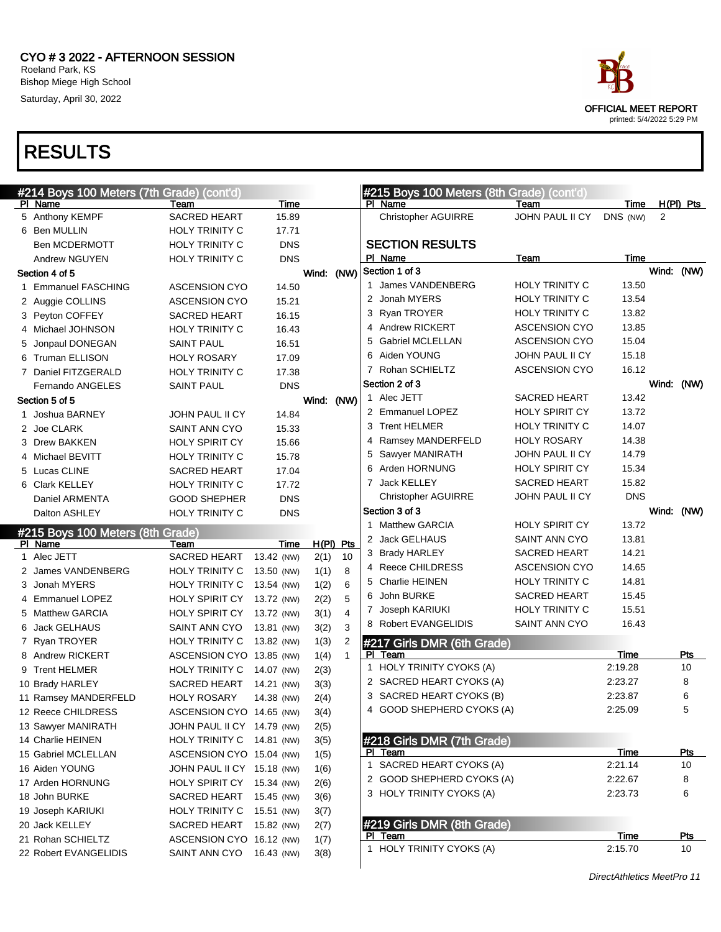



printed: 5/4/2022 5:29 PM

DirectAthletics MeetPro 11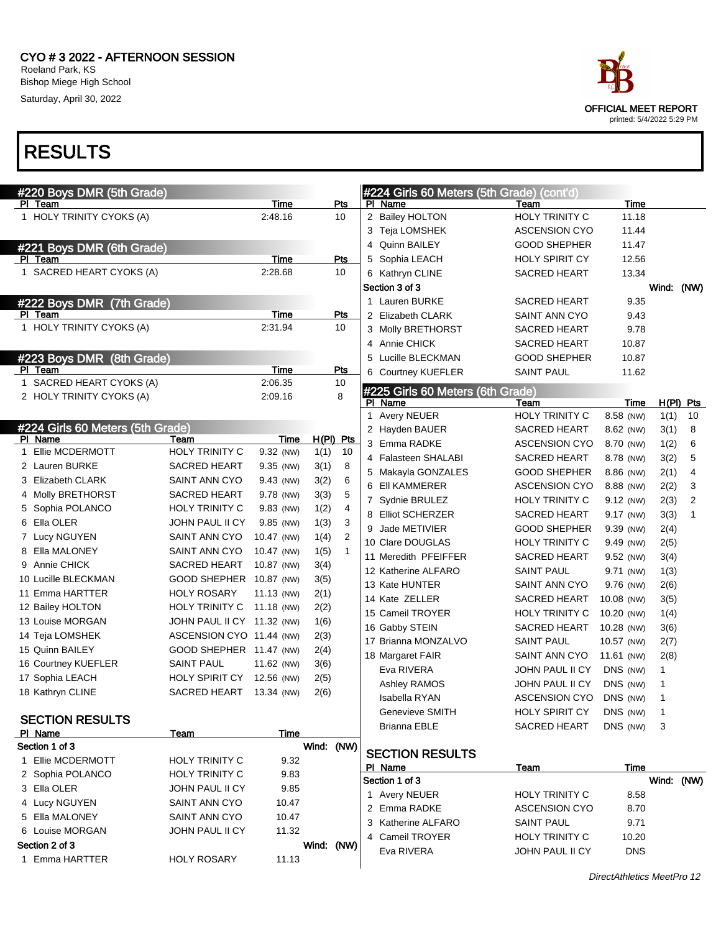



| #220 Boys DMR (5th Grade)        |                            |            |             |                |   | #224 Girls 60 Meters (5th Grade) (cont'd) |                       |            |              |                |
|----------------------------------|----------------------------|------------|-------------|----------------|---|-------------------------------------------|-----------------------|------------|--------------|----------------|
| PI Team                          |                            | Time       |             | Pts            |   | PI Name                                   | Team                  | Time       |              |                |
| 1 HOLY TRINITY CYOKS (A)         |                            | 2:48.16    |             | 10             |   | 2 Bailey HOLTON                           | <b>HOLY TRINITY C</b> | 11.18      |              |                |
|                                  |                            |            |             |                |   | 3 Teja LOMSHEK                            | <b>ASCENSION CYO</b>  | 11.44      |              |                |
| #221 Boys DMR (6th Grade)        |                            |            |             |                |   | 4 Quinn BAILEY                            | <b>GOOD SHEPHER</b>   | 11.47      |              |                |
| PI Team                          |                            | Time       |             | Pts            |   | 5 Sophia LEACH                            | HOLY SPIRIT CY        | 12.56      |              |                |
| 1 SACRED HEART CYOKS (A)         |                            | 2:28.68    |             | 10             |   | 6 Kathryn CLINE                           | <b>SACRED HEART</b>   | 13.34      |              |                |
|                                  |                            |            |             |                |   | Section 3 of 3                            |                       |            | Wind: (NW)   |                |
| #222 Boys DMR (7th Grade)        |                            |            |             |                |   | 1 Lauren BURKE                            | <b>SACRED HEART</b>   | 9.35       |              |                |
| PI Team                          |                            | Time       |             | Pts            |   | 2 Elizabeth CLARK                         | SAINT ANN CYO         | 9.43       |              |                |
| 1 HOLY TRINITY CYOKS (A)         |                            | 2:31.94    |             | 10             |   | 3 Molly BRETHORST                         | <b>SACRED HEART</b>   | 9.78       |              |                |
|                                  |                            |            |             |                |   | 4 Annie CHICK                             | <b>SACRED HEART</b>   | 10.87      |              |                |
| #223 Boys DMR (8th Grade)        |                            |            |             |                | 5 | Lucille BLECKMAN                          | <b>GOOD SHEPHER</b>   | 10.87      |              |                |
| PI Team                          |                            | Time       |             | Pts            |   | 6 Courtney KUEFLER                        | <b>SAINT PAUL</b>     | 11.62      |              |                |
| 1 SACRED HEART CYOKS (A)         |                            | 2:06.35    |             | 10             |   | #225 Girls 60 Meters (6th Grade)          |                       |            |              |                |
| 2 HOLY TRINITY CYOKS (A)         |                            | 2:09.16    |             | 8              |   | PI Name                                   | Team                  | Time       |              | $H(PI)$ Pts    |
|                                  |                            |            |             |                |   | 1 Avery NEUER                             | HOLY TRINITY C        | 8.58 (NW)  | 1(1)         | 10             |
| #224 Girls 60 Meters (5th Grade) |                            |            |             |                |   | 2 Hayden BAUER                            | <b>SACRED HEART</b>   | 8.62 (NW)  | 3(1)         | 8              |
| PI Name                          | Team                       | Time       | $H(PI)$ Pts |                |   | 3 Emma RADKE                              | <b>ASCENSION CYO</b>  | 8.70 (NW)  | 1(2)         | 6              |
| Ellie MCDERMOTT<br>$\mathbf 1$   | <b>HOLY TRINITY C</b>      | 9.32 (NW)  | 1(1)        | 10             |   | 4 Falasteen SHALABI                       | <b>SACRED HEART</b>   | 8.78 (NW)  | 3(2)         | 5              |
| 2 Lauren BURKE                   | <b>SACRED HEART</b>        | 9.35 (NW)  | 3(1)        | 8              |   | 5 Makayla GONZALES                        | <b>GOOD SHEPHER</b>   | 8.86 (NW)  | 2(1)         | 4              |
| <b>Elizabeth CLARK</b><br>3      | SAINT ANN CYO              | 9.43 (NW)  | 3(2)        | 6              |   | 6 EII KAMMERER                            | <b>ASCENSION CYO</b>  | 8.88 (NW)  | 2(2)         | 3              |
| 4 Molly BRETHORST                | <b>SACRED HEART</b>        | 9.78 (NW)  | 3(3)        | 5              |   | 7 Sydnie BRULEZ                           | HOLY TRINITY C        | 9.12 (NW)  | 2(3)         | $\overline{2}$ |
| 5 Sophia POLANCO                 | HOLY TRINITY C             | 9.83 (NW)  | 1(2)        | 4              |   | 8 Elliot SCHERZER                         | SACRED HEART          | 9.17 (NW)  | 3(3)         | $\mathbf{1}$   |
| 6 Ella OLER                      | JOHN PAUL II CY            | 9.85 (NW)  | 1(3)        | 3              |   | 9 Jade METIVIER                           | <b>GOOD SHEPHER</b>   | 9.39 (NW)  | 2(4)         |                |
| 7 Lucy NGUYEN                    | SAINT ANN CYO              | 10.47 (NW) | 1(4)        | $\overline{2}$ |   | 10 Clare DOUGLAS                          | HOLY TRINITY C        | 9.49 (NW)  | 2(5)         |                |
| Ella MALONEY<br>8                | SAINT ANN CYO              | 10.47 (NW) | 1(5)        | $\mathbf{1}$   |   | 11 Meredith PFEIFFER                      | <b>SACRED HEART</b>   | 9.52 (NW)  | 3(4)         |                |
| Annie CHICK<br>9                 | <b>SACRED HEART</b>        | 10.87 (NW) | 3(4)        |                |   | 12 Katherine ALFARO                       | <b>SAINT PAUL</b>     | 9.71 (NW)  | 1(3)         |                |
| 10 Lucille BLECKMAN              | GOOD SHEPHER 10.87 (NW)    |            | 3(5)        |                |   | 13 Kate HUNTER                            | SAINT ANN CYO         | 9.76 (NW)  | 2(6)         |                |
| 11 Emma HARTTER                  | <b>HOLY ROSARY</b>         | 11.13 (NW) | 2(1)        |                |   | 14 Kate ZELLER                            | <b>SACRED HEART</b>   | 10.08 (NW) | 3(5)         |                |
| 12 Bailey HOLTON                 | HOLY TRINITY C             | 11.18 (NW) | 2(2)        |                |   | 15 Cameil TROYER                          | HOLY TRINITY C        | 10.20 (NW) | 1(4)         |                |
| 13 Louise MORGAN                 | JOHN PAUL II CY 11.32 (NW) |            | 1(6)        |                |   | 16 Gabby STEIN                            | <b>SACRED HEART</b>   | 10.28 (NW) | 3(6)         |                |
| 14 Teja LOMSHEK                  | ASCENSION CYO 11.44 (NW)   |            | 2(3)        |                |   | 17 Brianna MONZALVO                       | <b>SAINT PAUL</b>     | 10.57 (NW) | 2(7)         |                |
| 15 Quinn BAILEY                  | GOOD SHEPHER 11.47 (NW)    |            | 2(4)        |                |   | 18 Margaret FAIR                          | SAINT ANN CYO         | 11.61 (NW) | 2(8)         |                |
| 16 Courtney KUEFLER              | <b>SAINT PAUL</b>          | 11.62 (NW) | 3(6)        |                |   | Eva RIVERA                                | JOHN PAUL II CY       | DNS (NW)   | 1            |                |
| 17 Sophia LEACH                  | HOLY SPIRIT CY             | 12.56 (NW) | 2(5)        |                |   | Ashley RAMOS                              | JOHN PAUL II CY       | DNS (NW)   | 1            |                |
| 18 Kathryn CLINE                 | SACRED HEART               | 13.34 (NW) | 2(6)        |                |   | Isabella RYAN                             | <b>ASCENSION CYO</b>  | DNS (NW)   | 1            |                |
| <b>SECTION RESULTS</b>           |                            |            |             |                |   | Genevieve SMITH                           | <b>HOLY SPIRIT CY</b> | DNS (NW)   | $\mathbf{1}$ |                |
| PI Name                          | Team                       | Time       |             |                |   | <b>Brianna EBLE</b>                       | <b>SACRED HEART</b>   | DNS (NW)   | 3            |                |
| Section 1 of 3                   |                            |            | Wind: (NW)  |                |   |                                           |                       |            |              |                |
| 1 Ellie MCDERMOTT                | HOLY TRINITY C             | 9.32       |             |                |   | <b>SECTION RESULTS</b>                    |                       |            |              |                |
| 2 Sophia POLANCO                 | HOLY TRINITY C             | 9.83       |             |                |   | PI Name                                   | <u>Team</u>           | Time       |              |                |
| 3 Ella OLER                      | JOHN PAUL II CY            | 9.85       |             |                |   | Section 1 of 3                            |                       |            | Wind: (NW)   |                |
| 4 Lucy NGUYEN                    | SAINT ANN CYO              | 10.47      |             |                |   | 1 Avery NEUER                             | HOLY TRINITY C        | 8.58       |              |                |
| 5 Ella MALONEY                   | SAINT ANN CYO              | 10.47      |             |                |   | 2 Emma RADKE                              | <b>ASCENSION CYO</b>  | 8.70       |              |                |
| 6 Louise MORGAN                  | JOHN PAUL II CY            | 11.32      |             |                |   | 3 Katherine ALFARO                        | <b>SAINT PAUL</b>     | 9.71       |              |                |
| Section 2 of 3                   |                            |            | Wind: (NW)  |                |   | 4 Cameil TROYER                           | HOLY TRINITY C        | 10.20      |              |                |
| 1 Emma HARTTER                   | <b>HOLY ROSARY</b>         | 11.13      |             |                |   | Eva RIVERA                                | JOHN PAUL II CY       | <b>DNS</b> |              |                |
|                                  |                            |            |             |                |   |                                           |                       |            |              |                |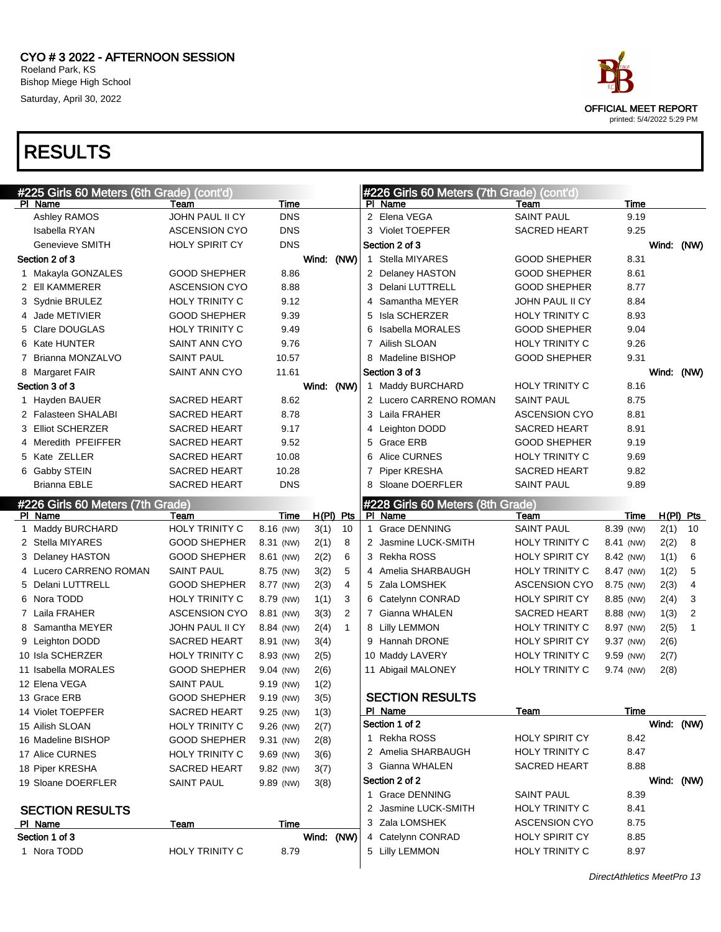



DirectAthletics MeetPro 13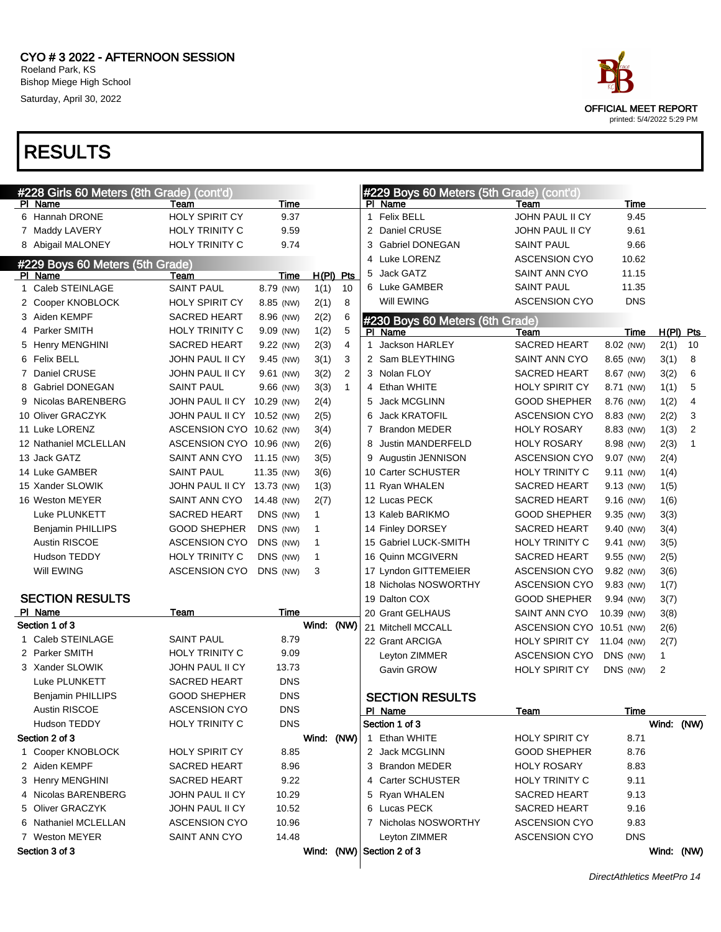

| #228 Girls 60 Meters (8th Grade) (cont'd) |                            |             |              |                |              | #229 Boys 60 Meters (5th Grade) (cont'd) |                          |            |             |              |                |
|-------------------------------------------|----------------------------|-------------|--------------|----------------|--------------|------------------------------------------|--------------------------|------------|-------------|--------------|----------------|
| PI Name                                   | Team                       | Time        |              |                |              | PI Name                                  | Team                     |            | Time        |              |                |
| 6 Hannah DRONE                            | <b>HOLY SPIRIT CY</b>      | 9.37        |              |                | $\mathbf{1}$ | <b>Felix BELL</b>                        | JOHN PAUL II CY          |            | 9.45        |              |                |
| 7 Maddy LAVERY                            | <b>HOLY TRINITY C</b>      | 9.59        |              |                |              | 2 Daniel CRUSE                           | <b>JOHN PAUL II CY</b>   |            | 9.61        |              |                |
| 8 Abigail MALONEY                         | <b>HOLY TRINITY C</b>      | 9.74        |              |                | 3            | <b>Gabriel DONEGAN</b>                   | <b>SAINT PAUL</b>        |            | 9.66        |              |                |
| #229 Boys 60 Meters (5th Grade)           |                            |             |              |                |              | 4 Luke LORENZ                            | <b>ASCENSION CYO</b>     |            | 10.62       |              |                |
| PI Name                                   | Team                       | Time        | $H(PI)$ Pts  |                | 5            | Jack GATZ                                | SAINT ANN CYO            |            | 11.15       |              |                |
| 1 Caleb STEINLAGE                         | <b>SAINT PAUL</b>          | 8.79 (NW)   | 1(1)         | 10             |              | 6 Luke GAMBER                            | SAINT PAUL               |            | 11.35       |              |                |
| 2 Cooper KNOBLOCK                         | <b>HOLY SPIRIT CY</b>      | 8.85 (NW)   | 2(1)         | 8              |              | Will EWING                               | <b>ASCENSION CYO</b>     |            | <b>DNS</b>  |              |                |
| 3 Aiden KEMPF                             | <b>SACRED HEART</b>        | 8.96 (NW)   | 2(2)         | 6              |              | #230 Boys 60 Meters (6th Grade)          |                          |            |             |              |                |
| 4 Parker SMITH                            | HOLY TRINITY C             | 9.09 (NW)   | 1(2)         | 5              | PI.          | Name                                     | Team                     |            | Time        |              | $H(PI)$ Pts    |
| 5 Henry MENGHINI                          | <b>SACRED HEART</b>        | 9.22 (NW)   | 2(3)         | 4              | 1            | Jackson HARLEY                           | SACRED HEART             | 8.02 (NW)  |             | 2(1)         | 10             |
| 6 Felix BELL                              | JOHN PAUL II CY            | 9.45 (NW)   | 3(1)         | 3              |              | 2 Sam BLEYTHING                          | SAINT ANN CYO            | 8.65 (NW)  |             | 3(1)         | 8              |
| 7 Daniel CRUSE                            | JOHN PAUL II CY            | 9.61 (NW)   | 3(2)         | $\overline{2}$ |              | 3 Nolan FLOY                             | <b>SACRED HEART</b>      | 8.67 (NW)  |             | 3(2)         | 6              |
| 8 Gabriel DONEGAN                         | <b>SAINT PAUL</b>          | 9.66 (NW)   | 3(3)         | $\mathbf{1}$   |              | 4 Ethan WHITE                            | <b>HOLY SPIRIT CY</b>    | 8.71 (NW)  |             | 1(1)         | 5              |
| 9 Nicolas BARENBERG                       | JOHN PAUL II CY 10.29 (NW) |             | 2(4)         |                | 5            | Jack MCGLINN                             | <b>GOOD SHEPHER</b>      | 8.76 (NW)  |             | 1(2)         | 4              |
| 10 Oliver GRACZYK                         | JOHN PAUL II CY 10.52 (NW) |             | 2(5)         |                | 6            | <b>Jack KRATOFIL</b>                     | <b>ASCENSION CYO</b>     | 8.83 (NW)  |             | 2(2)         | 3              |
| 11 Luke LORENZ                            | ASCENSION CYO 10.62 (NW)   |             | 3(4)         |                | 7            | <b>Brandon MEDER</b>                     | <b>HOLY ROSARY</b>       | 8.83 (NW)  |             | 1(3)         | $\overline{2}$ |
| 12 Nathaniel MCLELLAN                     | ASCENSION CYO 10.96 (NW)   |             | 2(6)         |                | 8            | Justin MANDERFELD                        | <b>HOLY ROSARY</b>       | 8.98 (NW)  |             | 2(3)         | $\mathbf{1}$   |
| 13 Jack GATZ                              | SAINT ANN CYO              | 11.15 (NW)  | 3(5)         |                | 9            | Augustin JENNISON                        | <b>ASCENSION CYO</b>     | 9.07 (NW)  |             | 2(4)         |                |
| 14 Luke GAMBER                            | <b>SAINT PAUL</b>          | 11.35 (NW)  | 3(6)         |                |              | 10 Carter SCHUSTER                       | HOLY TRINITY C           | 9.11 (NW)  |             | 1(4)         |                |
| 15 Xander SLOWIK                          | JOHN PAUL II CY 13.73 (NW) |             | 1(3)         |                |              | 11 Ryan WHALEN                           | <b>SACRED HEART</b>      | 9.13 (NW)  |             | 1(5)         |                |
| 16 Weston MEYER                           | SAINT ANN CYO              | 14.48 (NW)  | 2(7)         |                |              | 12 Lucas PECK                            | SACRED HEART             | 9.16 (NW)  |             | 1(6)         |                |
| Luke PLUNKETT                             | <b>SACRED HEART</b>        | DNS (NW)    | $\mathbf{1}$ |                |              | 13 Kaleb BARIKMO                         | <b>GOOD SHEPHER</b>      | 9.35 (NW)  |             | 3(3)         |                |
| <b>Benjamin PHILLIPS</b>                  | <b>GOOD SHEPHER</b>        | DNS (NW)    | $\mathbf 1$  |                |              | 14 Finley DORSEY                         | <b>SACRED HEART</b>      | 9.40 (NW)  |             | 3(4)         |                |
| Austin RISCOE                             | <b>ASCENSION CYO</b>       | DNS (NW)    | $\mathbf 1$  |                |              | 15 Gabriel LUCK-SMITH                    | HOLY TRINITY C           | 9.41 (NW)  |             | 3(5)         |                |
| Hudson TEDDY                              | HOLY TRINITY C             | DNS (NW)    | $\mathbf{1}$ |                |              | 16 Quinn MCGIVERN                        | SACRED HEART             | 9.55 (NW)  |             | 2(5)         |                |
| Will EWING                                | <b>ASCENSION CYO</b>       | DNS (NW)    | 3            |                |              | 17 Lyndon GITTEMEIER                     | <b>ASCENSION CYO</b>     | 9.82 (NW)  |             | 3(6)         |                |
|                                           |                            |             |              |                |              | 18 Nicholas NOSWORTHY                    | <b>ASCENSION CYO</b>     | 9.83 (NW)  |             | 1(7)         |                |
| <b>SECTION RESULTS</b>                    |                            |             |              |                |              | 19 Dalton COX                            | GOOD SHEPHER             | 9.94 (NW)  |             | 3(7)         |                |
| PI Name                                   | Team                       | <b>Time</b> |              |                |              | 20 Grant GELHAUS                         | SAINT ANN CYO            | 10.39 (NW) |             | 3(8)         |                |
| Section 1 of 3                            |                            |             | Wind: (NW)   |                |              | 21 Mitchell MCCALL                       | ASCENSION CYO 10.51 (NW) |            |             | 2(6)         |                |
| 1 Caleb STEINLAGE                         | <b>SAINT PAUL</b>          | 8.79        |              |                |              | 22 Grant ARCIGA                          | <b>HOLY SPIRIT CY</b>    | 11.04 (NW) |             | 2(7)         |                |
| 2 Parker SMITH                            | <b>HOLY TRINITY C</b>      | 9.09        |              |                |              | Leyton ZIMMER                            | <b>ASCENSION CYO</b>     | DNS (NW)   |             | $\mathbf{1}$ |                |
| 3 Xander SLOWIK                           | JOHN PAUL II CY            | 13.73       |              |                |              | Gavin GROW                               | HOLY SPIRIT CY           | DNS (NW)   |             | 2            |                |
| Luke PLUNKETT                             | <b>SACRED HEART</b>        | <b>DNS</b>  |              |                |              |                                          |                          |            |             |              |                |
| <b>Benjamin PHILLIPS</b>                  | <b>GOOD SHEPHER</b>        | <b>DNS</b>  |              |                |              | <b>SECTION RESULTS</b>                   |                          |            |             |              |                |
| Austin RISCOE                             | <b>ASCENSION CYO</b>       | <b>DNS</b>  |              |                |              | PI Name                                  | <u>Team</u>              |            | <b>Time</b> |              |                |
| Hudson TEDDY                              | <b>HOLY TRINITY C</b>      | <b>DNS</b>  |              |                |              | Section 1 of 3                           |                          |            |             |              | Wind: (NW)     |
| Section 2 of 3                            |                            |             | Wind: (NW)   |                |              | 1 Ethan WHITE                            | HOLY SPIRIT CY           |            | 8.71        |              |                |
| 1 Cooper KNOBLOCK                         | <b>HOLY SPIRIT CY</b>      | 8.85        |              |                |              | 2 Jack MCGLINN                           | <b>GOOD SHEPHER</b>      |            | 8.76        |              |                |
| 2 Aiden KEMPF                             | SACRED HEART               | 8.96        |              |                |              | 3 Brandon MEDER                          | <b>HOLY ROSARY</b>       |            | 8.83        |              |                |
| 3 Henry MENGHINI                          | <b>SACRED HEART</b>        | 9.22        |              |                |              | 4 Carter SCHUSTER                        | <b>HOLY TRINITY C</b>    |            | 9.11        |              |                |
| 4 Nicolas BARENBERG                       | JOHN PAUL II CY            | 10.29       |              |                |              | 5 Ryan WHALEN                            | SACRED HEART             |            | 9.13        |              |                |
| 5 Oliver GRACZYK                          | JOHN PAUL II CY            | 10.52       |              |                |              | 6 Lucas PECK                             | SACRED HEART             |            | 9.16        |              |                |
| 6 Nathaniel MCLELLAN                      | <b>ASCENSION CYO</b>       | 10.96       |              |                |              | 7 Nicholas NOSWORTHY                     | <b>ASCENSION CYO</b>     |            | 9.83        |              |                |
| 7 Weston MEYER                            | SAINT ANN CYO              | 14.48       |              |                |              | Leyton ZIMMER                            | <b>ASCENSION CYO</b>     |            | <b>DNS</b>  |              |                |
| Section 3 of 3                            |                            |             |              |                |              | Wind: (NW) Section 2 of 3                |                          |            |             |              | Wind: (NW)     |

DirectAthletics MeetPro 14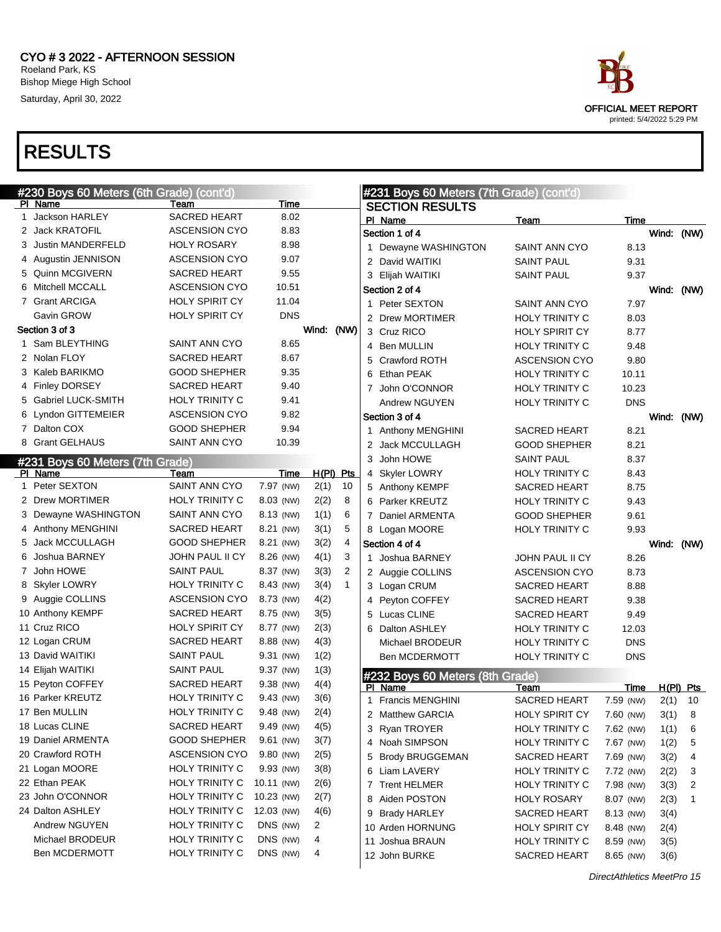

|   | #230 Boys 60 Meters (6th Grade) (cont'd)   |                       |            |                      | #231 Boys 60 Meters (7th Grade) (cont'd) |                       |            |      |             |
|---|--------------------------------------------|-----------------------|------------|----------------------|------------------------------------------|-----------------------|------------|------|-------------|
|   | PI Name                                    | Team                  | Time       |                      | <b>SECTION RESULTS</b>                   |                       |            |      |             |
| 1 | Jackson HARLEY                             | <b>SACRED HEART</b>   | 8.02       |                      | PI Name                                  | Team                  | Time       |      |             |
|   | 2 Jack KRATOFIL                            | <b>ASCENSION CYO</b>  | 8.83       |                      | Section 1 of 4                           |                       |            |      | Wind: (NW)  |
|   | 3 Justin MANDERFELD                        | <b>HOLY ROSARY</b>    | 8.98       |                      | 1 Dewayne WASHINGTON                     | SAINT ANN CYO         | 8.13       |      |             |
|   | 4 Augustin JENNISON                        | <b>ASCENSION CYO</b>  | 9.07       |                      | 2 David WAITIKI                          | <b>SAINT PAUL</b>     | 9.31       |      |             |
|   | 5 Quinn MCGIVERN                           | <b>SACRED HEART</b>   | 9.55       |                      | 3 Elijah WAITIKI                         | <b>SAINT PAUL</b>     | 9.37       |      |             |
|   | 6 Mitchell MCCALL                          | <b>ASCENSION CYO</b>  | 10.51      |                      | Section 2 of 4                           |                       |            |      | Wind: (NW)  |
|   | 7 Grant ARCIGA                             | HOLY SPIRIT CY        | 11.04      |                      | 1 Peter SEXTON                           | <b>SAINT ANN CYO</b>  | 7.97       |      |             |
|   | Gavin GROW                                 | <b>HOLY SPIRIT CY</b> | <b>DNS</b> |                      | 2 Drew MORTIMER                          | <b>HOLY TRINITY C</b> | 8.03       |      |             |
|   | Section 3 of 3                             |                       |            | Wind: (NW)           | 3 Cruz RICO                              | <b>HOLY SPIRIT CY</b> | 8.77       |      |             |
|   | Sam BLEYTHING                              | SAINT ANN CYO         | 8.65       |                      | 4 Ben MULLIN                             | <b>HOLY TRINITY C</b> | 9.48       |      |             |
|   | 2 Nolan FLOY                               | <b>SACRED HEART</b>   | 8.67       |                      | 5 Crawford ROTH                          | <b>ASCENSION CYO</b>  | 9.80       |      |             |
|   | 3 Kaleb BARIKMO                            | <b>GOOD SHEPHER</b>   | 9.35       |                      | 6 Ethan PEAK                             | HOLY TRINITY C        | 10.11      |      |             |
|   | 4 Finley DORSEY                            | <b>SACRED HEART</b>   | 9.40       |                      | 7 John O'CONNOR                          | <b>HOLY TRINITY C</b> | 10.23      |      |             |
|   | 5 Gabriel LUCK-SMITH                       | <b>HOLY TRINITY C</b> | 9.41       |                      | Andrew NGUYEN                            | HOLY TRINITY C        | <b>DNS</b> |      |             |
|   | 6 Lyndon GITTEMEIER                        | <b>ASCENSION CYO</b>  | 9.82       |                      | Section 3 of 4                           |                       |            |      | Wind: (NW)  |
|   | 7 Dalton COX                               | <b>GOOD SHEPHER</b>   | 9.94       |                      | 1 Anthony MENGHINI                       | <b>SACRED HEART</b>   | 8.21       |      |             |
|   | 8 Grant GELHAUS                            | SAINT ANN CYO         | 10.39      |                      | 2 Jack MCCULLAGH                         | <b>GOOD SHEPHER</b>   | 8.21       |      |             |
|   |                                            |                       |            |                      | 3 John HOWE                              | <b>SAINT PAUL</b>     | 8.37       |      |             |
|   | #231 Boys 60 Meters (7th Grade)<br>PI Name | Team                  | Time       | $H(PI)$ Pts          | 4 Skyler LOWRY                           | HOLY TRINITY C        | 8.43       |      |             |
|   | 1 Peter SEXTON                             | SAINT ANN CYO         | 7.97 (NW)  | 2(1)<br>10           | 5 Anthony KEMPF                          | <b>SACRED HEART</b>   | 8.75       |      |             |
|   | 2 Drew MORTIMER                            | <b>HOLY TRINITY C</b> | 8.03 (NW)  | 8<br>2(2)            | 6 Parker KREUTZ                          | HOLY TRINITY C        | 9.43       |      |             |
|   | 3 Dewayne WASHINGTON                       | SAINT ANN CYO         | 8.13 (NW)  | 6<br>1(1)            |                                          |                       | 9.61       |      |             |
|   | 4 Anthony MENGHINI                         | <b>SACRED HEART</b>   | 8.21 (NW)  | 3(1)<br>5            | 7 Daniel ARMENTA                         | <b>GOOD SHEPHER</b>   |            |      |             |
|   | 5 Jack MCCULLAGH                           |                       |            | $\overline{4}$       | 8 Logan MOORE                            | HOLY TRINITY C        | 9.93       |      |             |
|   |                                            | <b>GOOD SHEPHER</b>   | 8.21 (NW)  | 3(2)                 | Section 4 of 4                           |                       |            |      | Wind: (NW)  |
|   | 6 Joshua BARNEY                            | JOHN PAUL II CY       | 8.26 (NW)  | 4(1)<br>3            | 1 Joshua BARNEY                          | JOHN PAUL II CY       | 8.26       |      |             |
|   | 7 John HOWE                                | SAINT PAUL            | 8.37 (NW)  | 2<br>3(3)            | 2 Auggie COLLINS                         | <b>ASCENSION CYO</b>  | 8.73       |      |             |
|   | 8 Skyler LOWRY                             | <b>HOLY TRINITY C</b> | 8.43 (NW)  | $\mathbf{1}$<br>3(4) | 3 Logan CRUM                             | <b>SACRED HEART</b>   | 8.88       |      |             |
|   | 9 Auggie COLLINS                           | <b>ASCENSION CYO</b>  | 8.73 (NW)  | 4(2)                 | 4 Peyton COFFEY                          | <b>SACRED HEART</b>   | 9.38       |      |             |
|   | 10 Anthony KEMPF                           | SACRED HEART          | 8.75 (NW)  | 3(5)                 | 5 Lucas CLINE                            | <b>SACRED HEART</b>   | 9.49       |      |             |
|   | 11 Cruz RICO                               | <b>HOLY SPIRIT CY</b> | 8.77 (NW)  | 2(3)                 | 6 Dalton ASHLEY                          | <b>HOLY TRINITY C</b> | 12.03      |      |             |
|   | 12 Logan CRUM                              | <b>SACRED HEART</b>   | 8.88 (NW)  | 4(3)                 | Michael BRODEUR                          | <b>HOLY TRINITY C</b> | <b>DNS</b> |      |             |
|   | 13 David WAITIKI                           | <b>SAINT PAUL</b>     | 9.31 (NW)  | 1(2)                 | Ben MCDERMOTT                            | HOLY TRINITY C        | DNS        |      |             |
|   | 14 Elijah WAITIKI                          | SAINT PAUL            | 9.37 (NW)  | 1(3)                 | #232 Boys 60 Meters (8th Grade)          |                       |            |      |             |
|   | 15 Peyton COFFEY                           | SACRED HEART          | 9.38 (NW)  | 4(4)                 | PI Name                                  | Team                  | Time       |      | $H(PI)$ Pts |
|   | 16 Parker KREUTZ                           | <b>HOLY TRINITY C</b> | 9.43 (NW)  | 3(6)                 | 1 Francis MENGHINI                       | <b>SACRED HEART</b>   | 7.59 (NW)  | 2(1) | - 10        |
|   | 17 Ben MULLIN                              | <b>HOLY TRINITY C</b> | 9.48 (NW)  | 2(4)                 | 2 Matthew GARCIA                         | HOLY SPIRIT CY        | 7.60 (NW)  | 3(1) | - 8         |
|   | 18 Lucas CLINE                             | <b>SACRED HEART</b>   | 9.49 (NW)  | 4(5)                 | 3 Ryan TROYER                            | <b>HOLY TRINITY C</b> | 7.62 (NW)  | 1(1) | 6           |
|   | 19 Daniel ARMENTA                          | <b>GOOD SHEPHER</b>   | 9.61 (NW)  | 3(7)                 | 4 Noah SIMPSON                           | HOLY TRINITY C        | 7.67 (NW)  | 1(2) | 5           |
|   | 20 Crawford ROTH                           | <b>ASCENSION CYO</b>  | 9.80 (NW)  | 2(5)                 | 5 Brody BRUGGEMAN                        | <b>SACRED HEART</b>   | 7.69 (NW)  | 3(2) | 4           |
|   | 21 Logan MOORE                             | <b>HOLY TRINITY C</b> | 9.93 (NW)  | 3(8)                 | 6 Liam LAVERY                            | HOLY TRINITY C        | 7.72 (NW)  | 2(2) | 3           |
|   | 22 Ethan PEAK                              | <b>HOLY TRINITY C</b> | 10.11 (NW) | 2(6)                 | 7 Trent HELMER                           | HOLY TRINITY C        | 7.98 (NW)  | 3(3) | 2           |
|   | 23 John O'CONNOR                           | <b>HOLY TRINITY C</b> | 10.23 (NW) | 2(7)                 | 8 Aiden POSTON                           | <b>HOLY ROSARY</b>    | 8.07 (NW)  | 2(3) | 1           |
|   | 24 Dalton ASHLEY                           | <b>HOLY TRINITY C</b> | 12.03 (NW) | 4(6)                 | 9 Brady HARLEY                           | <b>SACRED HEART</b>   | 8.13 (NW)  | 3(4) |             |
|   | Andrew NGUYEN                              | <b>HOLY TRINITY C</b> | DNS (NW)   | 2                    | 10 Arden HORNUNG                         | <b>HOLY SPIRIT CY</b> | 8.48 (NW)  | 2(4) |             |
|   | Michael BRODEUR                            | HOLY TRINITY C        | DNS (NW)   | 4                    | 11 Joshua BRAUN                          | HOLY TRINITY C        | 8.59 (NW)  | 3(5) |             |
|   | Ben MCDERMOTT                              | <b>HOLY TRINITY C</b> | DNS (NW)   | 4                    | 12 John BURKE                            | <b>SACRED HEART</b>   | 8.65 (NW)  |      |             |
|   |                                            |                       |            |                      |                                          |                       |            | 3(6) |             |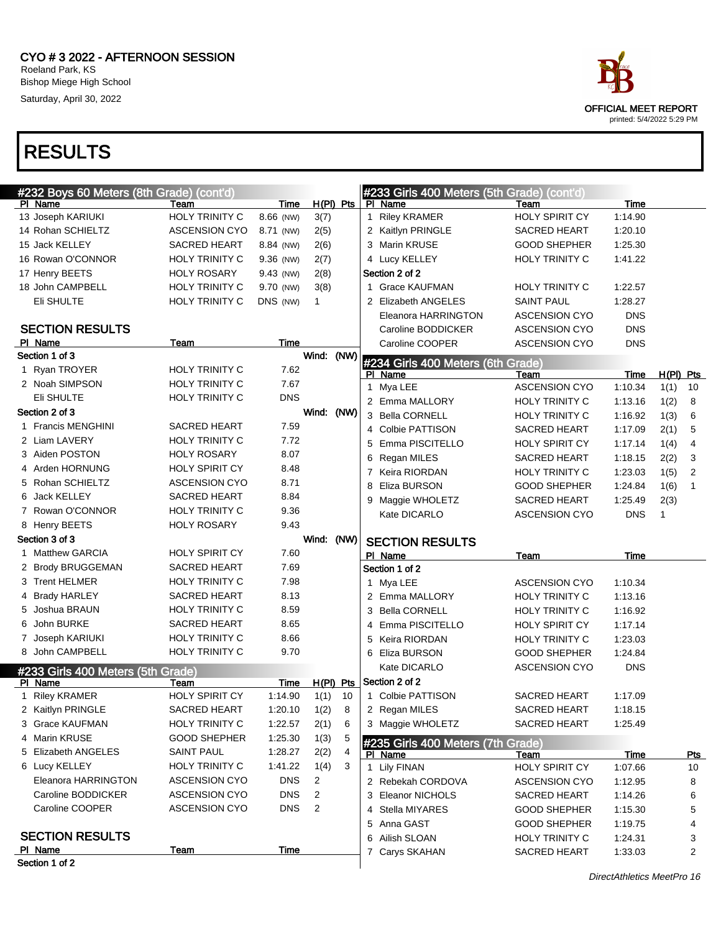

| #232 Boys 60 Meters (8th Grade) (cont'd)<br>#233 Girls 400 Meters (5th Grade) (cont'd)<br>$H(PI)$ Pts<br>Time<br>PI Name<br>Time<br>PI Name<br>Team<br>Team<br>HOLY TRINITY C<br>1 Riley KRAMER<br>HOLY SPIRIT CY<br>1:14.90<br>13 Joseph KARIUKI<br>8.66 (NW)<br>3(7)<br>14 Rohan SCHIELTZ<br><b>ASCENSION CYO</b><br>2(5)<br>2 Kaitlyn PRINGLE<br><b>SACRED HEART</b><br>1:20.10<br>8.71 (NW)<br>15 Jack KELLEY<br><b>SACRED HEART</b><br>2(6)<br>3 Marin KRUSE<br><b>GOOD SHEPHER</b><br>1:25.30<br>8.84 (NW)<br>16 Rowan O'CONNOR<br>HOLY TRINITY C<br>2(7)<br>4 Lucy KELLEY<br>HOLY TRINITY C<br>1:41.22<br>9.36 (NW)<br>Section 2 of 2<br>17 Henry BEETS<br><b>HOLY ROSARY</b><br>2(8)<br>9.43 (NW)<br>18 John CAMPBELL<br>HOLY TRINITY C<br>3(8)<br>1 Grace KAUFMAN<br><b>HOLY TRINITY C</b><br>1:22.57<br>9.70 (NW)<br>Eli SHULTE<br><b>HOLY TRINITY C</b><br>DNS (NW)<br>2 Elizabeth ANGELES<br><b>SAINT PAUL</b><br>1:28.27<br>$\mathbf{1}$<br>Eleanora HARRINGTON<br><b>ASCENSION CYO</b><br><b>DNS</b><br><b>SECTION RESULTS</b><br><b>DNS</b><br>Caroline BODDICKER<br><b>ASCENSION CYO</b><br>PI Name<br>Time<br>Team<br>Caroline COOPER<br><b>DNS</b><br><b>ASCENSION CYO</b><br>Wind:<br>(NW)<br>Section 1 of 3<br>#234 Girls 400 Meters (6th Grade) |                |
|----------------------------------------------------------------------------------------------------------------------------------------------------------------------------------------------------------------------------------------------------------------------------------------------------------------------------------------------------------------------------------------------------------------------------------------------------------------------------------------------------------------------------------------------------------------------------------------------------------------------------------------------------------------------------------------------------------------------------------------------------------------------------------------------------------------------------------------------------------------------------------------------------------------------------------------------------------------------------------------------------------------------------------------------------------------------------------------------------------------------------------------------------------------------------------------------------------------------------------------------------------------------|----------------|
|                                                                                                                                                                                                                                                                                                                                                                                                                                                                                                                                                                                                                                                                                                                                                                                                                                                                                                                                                                                                                                                                                                                                                                                                                                                                      |                |
|                                                                                                                                                                                                                                                                                                                                                                                                                                                                                                                                                                                                                                                                                                                                                                                                                                                                                                                                                                                                                                                                                                                                                                                                                                                                      |                |
|                                                                                                                                                                                                                                                                                                                                                                                                                                                                                                                                                                                                                                                                                                                                                                                                                                                                                                                                                                                                                                                                                                                                                                                                                                                                      |                |
|                                                                                                                                                                                                                                                                                                                                                                                                                                                                                                                                                                                                                                                                                                                                                                                                                                                                                                                                                                                                                                                                                                                                                                                                                                                                      |                |
|                                                                                                                                                                                                                                                                                                                                                                                                                                                                                                                                                                                                                                                                                                                                                                                                                                                                                                                                                                                                                                                                                                                                                                                                                                                                      |                |
|                                                                                                                                                                                                                                                                                                                                                                                                                                                                                                                                                                                                                                                                                                                                                                                                                                                                                                                                                                                                                                                                                                                                                                                                                                                                      |                |
|                                                                                                                                                                                                                                                                                                                                                                                                                                                                                                                                                                                                                                                                                                                                                                                                                                                                                                                                                                                                                                                                                                                                                                                                                                                                      |                |
|                                                                                                                                                                                                                                                                                                                                                                                                                                                                                                                                                                                                                                                                                                                                                                                                                                                                                                                                                                                                                                                                                                                                                                                                                                                                      |                |
|                                                                                                                                                                                                                                                                                                                                                                                                                                                                                                                                                                                                                                                                                                                                                                                                                                                                                                                                                                                                                                                                                                                                                                                                                                                                      |                |
|                                                                                                                                                                                                                                                                                                                                                                                                                                                                                                                                                                                                                                                                                                                                                                                                                                                                                                                                                                                                                                                                                                                                                                                                                                                                      |                |
|                                                                                                                                                                                                                                                                                                                                                                                                                                                                                                                                                                                                                                                                                                                                                                                                                                                                                                                                                                                                                                                                                                                                                                                                                                                                      |                |
|                                                                                                                                                                                                                                                                                                                                                                                                                                                                                                                                                                                                                                                                                                                                                                                                                                                                                                                                                                                                                                                                                                                                                                                                                                                                      |                |
| <b>HOLY TRINITY C</b><br>1 Ryan TROYER<br>7.62<br>Time<br>$H(PI)$ Pts<br>PI Name<br>Team                                                                                                                                                                                                                                                                                                                                                                                                                                                                                                                                                                                                                                                                                                                                                                                                                                                                                                                                                                                                                                                                                                                                                                             |                |
| HOLY TRINITY C<br>2 Noah SIMPSON<br>7.67<br>Mya LEE<br><b>ASCENSION CYO</b><br>1:10.34<br>1(1)<br>1                                                                                                                                                                                                                                                                                                                                                                                                                                                                                                                                                                                                                                                                                                                                                                                                                                                                                                                                                                                                                                                                                                                                                                  | 10             |
| <b>DNS</b><br>Eli SHULTE<br><b>HOLY TRINITY C</b><br>2 Emma MALLORY<br>HOLY TRINITY C<br>1:13.16<br>1(2)                                                                                                                                                                                                                                                                                                                                                                                                                                                                                                                                                                                                                                                                                                                                                                                                                                                                                                                                                                                                                                                                                                                                                             | 8              |
| Section 2 of 3<br>Wind: (NW)<br>3 Bella CORNELL<br>HOLY TRINITY C<br>1:16.92<br>1(3)                                                                                                                                                                                                                                                                                                                                                                                                                                                                                                                                                                                                                                                                                                                                                                                                                                                                                                                                                                                                                                                                                                                                                                                 | 6              |
| 1 Francis MENGHINI<br><b>SACRED HEART</b><br>7.59<br>4 Colbie PATTISON<br><b>SACRED HEART</b><br>1:17.09<br>2(1)                                                                                                                                                                                                                                                                                                                                                                                                                                                                                                                                                                                                                                                                                                                                                                                                                                                                                                                                                                                                                                                                                                                                                     | 5              |
| <b>HOLY TRINITY C</b><br>2 Liam LAVERY<br>7.72<br>5 Emma PISCITELLO<br>HOLY SPIRIT CY<br>1:17.14<br>1(4)                                                                                                                                                                                                                                                                                                                                                                                                                                                                                                                                                                                                                                                                                                                                                                                                                                                                                                                                                                                                                                                                                                                                                             | $\overline{4}$ |
| 3 Aiden POSTON<br><b>HOLY ROSARY</b><br>8.07<br>6 Regan MILES<br><b>SACRED HEART</b><br>1:18.15<br>2(2)                                                                                                                                                                                                                                                                                                                                                                                                                                                                                                                                                                                                                                                                                                                                                                                                                                                                                                                                                                                                                                                                                                                                                              | 3              |
| 4 Arden HORNUNG<br><b>HOLY SPIRIT CY</b><br>8.48<br>Keira RIORDAN<br>HOLY TRINITY C<br>1:23.03<br>1(5)<br>$\mathbf{7}$                                                                                                                                                                                                                                                                                                                                                                                                                                                                                                                                                                                                                                                                                                                                                                                                                                                                                                                                                                                                                                                                                                                                               | $\overline{2}$ |
| 5 Rohan SCHIELTZ<br><b>ASCENSION CYO</b><br>8.71<br>Eliza BURSON<br><b>GOOD SHEPHER</b><br>1(6)<br>8<br>1:24.84                                                                                                                                                                                                                                                                                                                                                                                                                                                                                                                                                                                                                                                                                                                                                                                                                                                                                                                                                                                                                                                                                                                                                      | $\mathbf{1}$   |
| <b>Jack KELLEY</b><br><b>SACRED HEART</b><br>8.84<br>6<br>Maggie WHOLETZ<br><b>SACRED HEART</b><br>1:25.49<br>2(3)<br>9                                                                                                                                                                                                                                                                                                                                                                                                                                                                                                                                                                                                                                                                                                                                                                                                                                                                                                                                                                                                                                                                                                                                              |                |
| 7 Rowan O'CONNOR<br>HOLY TRINITY C<br>9.36<br><b>DNS</b><br>Kate DICARLO<br><b>ASCENSION CYO</b><br>1                                                                                                                                                                                                                                                                                                                                                                                                                                                                                                                                                                                                                                                                                                                                                                                                                                                                                                                                                                                                                                                                                                                                                                |                |
| 9.43<br>8 Henry BEETS<br><b>HOLY ROSARY</b>                                                                                                                                                                                                                                                                                                                                                                                                                                                                                                                                                                                                                                                                                                                                                                                                                                                                                                                                                                                                                                                                                                                                                                                                                          |                |
| Section 3 of 3<br>Wind:<br>(NW)<br><b>SECTION RESULTS</b>                                                                                                                                                                                                                                                                                                                                                                                                                                                                                                                                                                                                                                                                                                                                                                                                                                                                                                                                                                                                                                                                                                                                                                                                            |                |
| HOLY SPIRIT CY<br>1 Matthew GARCIA<br>7.60<br>PI Name<br>Team<br>Time                                                                                                                                                                                                                                                                                                                                                                                                                                                                                                                                                                                                                                                                                                                                                                                                                                                                                                                                                                                                                                                                                                                                                                                                |                |
| 2 Brody BRUGGEMAN<br><b>SACRED HEART</b><br>7.69<br>Section 1 of 2                                                                                                                                                                                                                                                                                                                                                                                                                                                                                                                                                                                                                                                                                                                                                                                                                                                                                                                                                                                                                                                                                                                                                                                                   |                |
| <b>HOLY TRINITY C</b><br>3 Trent HELMER<br>7.98<br>Mya LEE<br><b>ASCENSION CYO</b><br>1:10.34<br>1                                                                                                                                                                                                                                                                                                                                                                                                                                                                                                                                                                                                                                                                                                                                                                                                                                                                                                                                                                                                                                                                                                                                                                   |                |
| <b>SACRED HEART</b><br>8.13<br><b>Brady HARLEY</b><br>4<br>2 Emma MALLORY<br>HOLY TRINITY C<br>1:13.16                                                                                                                                                                                                                                                                                                                                                                                                                                                                                                                                                                                                                                                                                                                                                                                                                                                                                                                                                                                                                                                                                                                                                               |                |
| HOLY TRINITY C<br>Joshua BRAUN<br>8.59<br>5<br><b>Bella CORNELL</b><br>HOLY TRINITY C<br>1:16.92<br>3                                                                                                                                                                                                                                                                                                                                                                                                                                                                                                                                                                                                                                                                                                                                                                                                                                                                                                                                                                                                                                                                                                                                                                |                |
| John BURKE<br><b>SACRED HEART</b><br>8.65<br>6<br>Emma PISCITELLO<br>HOLY SPIRIT CY<br>1:17.14<br>4                                                                                                                                                                                                                                                                                                                                                                                                                                                                                                                                                                                                                                                                                                                                                                                                                                                                                                                                                                                                                                                                                                                                                                  |                |
| HOLY TRINITY C<br>Joseph KARIUKI<br>8.66<br>7<br>Keira RIORDAN<br>HOLY TRINITY C<br>1:23.03<br>5                                                                                                                                                                                                                                                                                                                                                                                                                                                                                                                                                                                                                                                                                                                                                                                                                                                                                                                                                                                                                                                                                                                                                                     |                |
| 8 John CAMPBELL<br>HOLY TRINITY C<br>9.70<br>6 Eliza BURSON<br><b>GOOD SHEPHER</b><br>1:24.84                                                                                                                                                                                                                                                                                                                                                                                                                                                                                                                                                                                                                                                                                                                                                                                                                                                                                                                                                                                                                                                                                                                                                                        |                |
| Kate DICARLO<br><b>ASCENSION CYO</b><br><b>DNS</b><br>#233 Girls 400 Meters (5th Grade)                                                                                                                                                                                                                                                                                                                                                                                                                                                                                                                                                                                                                                                                                                                                                                                                                                                                                                                                                                                                                                                                                                                                                                              |                |
| $H(PI)$ Pts Section 2 of 2<br>Team<br>Time<br>PI Name                                                                                                                                                                                                                                                                                                                                                                                                                                                                                                                                                                                                                                                                                                                                                                                                                                                                                                                                                                                                                                                                                                                                                                                                                |                |
| <b>HOLY SPIRIT CY</b><br>1 Riley KRAMER<br>1:14.90<br>1(1)<br>1 Colbie PATTISON<br><b>SACRED HEART</b><br>10<br>1:17.09                                                                                                                                                                                                                                                                                                                                                                                                                                                                                                                                                                                                                                                                                                                                                                                                                                                                                                                                                                                                                                                                                                                                              |                |
| 2 Kaitlyn PRINGLE<br>SACRED HEART<br>1:20.10<br>1(2)<br>2 Regan MILES<br>SACRED HEART<br>1:18.15<br>8                                                                                                                                                                                                                                                                                                                                                                                                                                                                                                                                                                                                                                                                                                                                                                                                                                                                                                                                                                                                                                                                                                                                                                |                |
| HOLY TRINITY C<br>3 Maggie WHOLETZ<br><b>SACRED HEART</b><br>3 Grace KAUFMAN<br>1:22.57<br>2(1)<br>6<br>1:25.49                                                                                                                                                                                                                                                                                                                                                                                                                                                                                                                                                                                                                                                                                                                                                                                                                                                                                                                                                                                                                                                                                                                                                      |                |
| 4 Marin KRUSE<br><b>GOOD SHEPHER</b><br>1:25.30<br>1(3)<br>5                                                                                                                                                                                                                                                                                                                                                                                                                                                                                                                                                                                                                                                                                                                                                                                                                                                                                                                                                                                                                                                                                                                                                                                                         |                |
| #235 Girls 400 Meters (7th Grade)<br>5 Elizabeth ANGELES<br>1.28.27<br>4<br>SAINT PAUL<br>2(2)<br><u>Time</u><br>PI Name<br>Team                                                                                                                                                                                                                                                                                                                                                                                                                                                                                                                                                                                                                                                                                                                                                                                                                                                                                                                                                                                                                                                                                                                                     | <u>Pts</u>     |
| 6 Lucy KELLEY<br><b>HOLY TRINITY C</b><br>1:41.22<br>1(4)<br>3<br>1 Lily FINAN<br>HOLY SPIRIT CY<br>1:07.66                                                                                                                                                                                                                                                                                                                                                                                                                                                                                                                                                                                                                                                                                                                                                                                                                                                                                                                                                                                                                                                                                                                                                          | 10             |
| Eleanora HARRINGTON<br><b>ASCENSION CYO</b><br><b>DNS</b><br>2<br>2 Rebekah CORDOVA<br><b>ASCENSION CYO</b><br>1:12.95                                                                                                                                                                                                                                                                                                                                                                                                                                                                                                                                                                                                                                                                                                                                                                                                                                                                                                                                                                                                                                                                                                                                               | 8              |
| Caroline BODDICKER<br><b>ASCENSION CYO</b><br><b>DNS</b><br>2<br>3 Eleanor NICHOLS<br>SACRED HEART<br>1:14.26                                                                                                                                                                                                                                                                                                                                                                                                                                                                                                                                                                                                                                                                                                                                                                                                                                                                                                                                                                                                                                                                                                                                                        | 6              |
| Caroline COOPER<br><b>ASCENSION CYO</b><br><b>DNS</b><br>$\overline{2}$<br>4 Stella MIYARES<br><b>GOOD SHEPHER</b><br>1:15.30                                                                                                                                                                                                                                                                                                                                                                                                                                                                                                                                                                                                                                                                                                                                                                                                                                                                                                                                                                                                                                                                                                                                        | 5              |
| 5 Anna GAST<br><b>GOOD SHEPHER</b><br>1:19.75                                                                                                                                                                                                                                                                                                                                                                                                                                                                                                                                                                                                                                                                                                                                                                                                                                                                                                                                                                                                                                                                                                                                                                                                                        | 4              |
| <b>SECTION RESULTS</b><br>6 Ailish SLOAN<br>HOLY TRINITY C<br>1:24.31                                                                                                                                                                                                                                                                                                                                                                                                                                                                                                                                                                                                                                                                                                                                                                                                                                                                                                                                                                                                                                                                                                                                                                                                | 3              |
| PI Name<br><b>Team</b><br>Time<br>7 Carys SKAHAN<br>SACRED HEART<br>1:33.03                                                                                                                                                                                                                                                                                                                                                                                                                                                                                                                                                                                                                                                                                                                                                                                                                                                                                                                                                                                                                                                                                                                                                                                          | $\overline{2}$ |
| Section 1 of 2                                                                                                                                                                                                                                                                                                                                                                                                                                                                                                                                                                                                                                                                                                                                                                                                                                                                                                                                                                                                                                                                                                                                                                                                                                                       |                |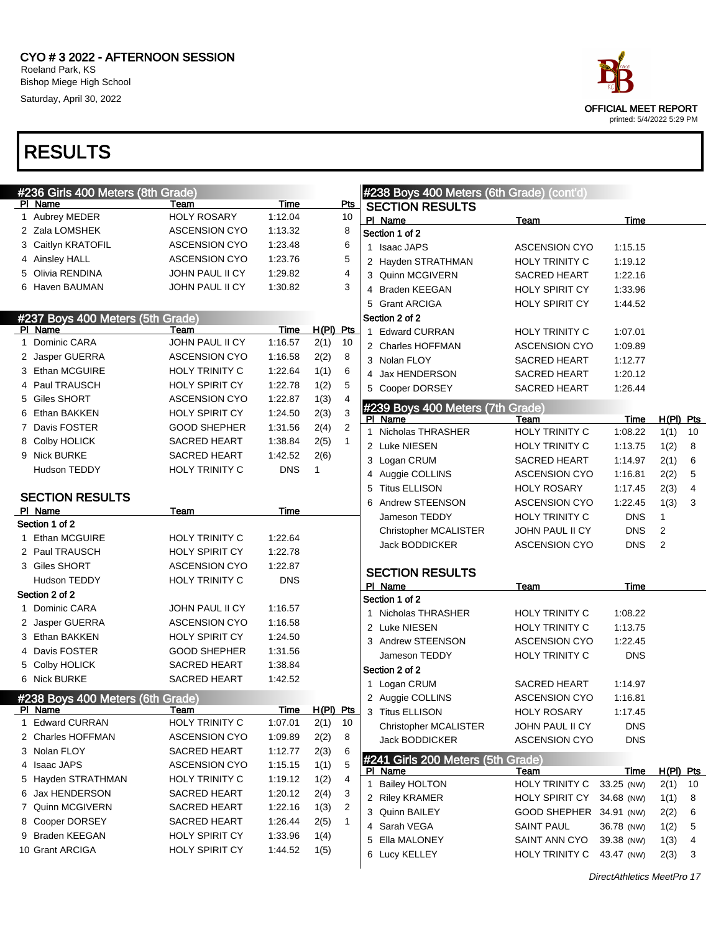

| #236 Girls 400 Meters (8th Grade) |                       |            |              |                |                | #238 Boys 400 Meters (6th Grade) (cont'd) |                               |                           |                   |    |
|-----------------------------------|-----------------------|------------|--------------|----------------|----------------|-------------------------------------------|-------------------------------|---------------------------|-------------------|----|
| PI Name                           | Team                  | Time       |              | $P$ ts         |                | <b>SECTION RESULTS</b>                    |                               |                           |                   |    |
| 1 Aubrey MEDER                    | <b>HOLY ROSARY</b>    | 1:12.04    |              | 10             | PI Name        |                                           | Team                          | Time                      |                   |    |
| 2 Zala LOMSHEK                    | <b>ASCENSION CYO</b>  | 1:13.32    |              | 8              |                | Section 1 of 2                            |                               |                           |                   |    |
| 3 Caitlyn KRATOFIL                | <b>ASCENSION CYO</b>  | 1:23.48    |              | 6              |                | 1 Isaac JAPS                              | <b>ASCENSION CYO</b>          | 1:15.15                   |                   |    |
| 4 Ainsley HALL                    | <b>ASCENSION CYO</b>  | 1:23.76    |              | 5              |                | 2 Hayden STRATHMAN                        | HOLY TRINITY C                | 1:19.12                   |                   |    |
| 5 Olivia RENDINA                  | JOHN PAUL II CY       | 1:29.82    |              | 4              |                | 3 Quinn MCGIVERN                          | SACRED HEART                  | 1:22.16                   |                   |    |
| 6 Haven BAUMAN                    | JOHN PAUL II CY       | 1:30.82    |              | 3              |                | 4 Braden KEEGAN                           | HOLY SPIRIT CY                | 1:33.96                   |                   |    |
|                                   |                       |            |              |                |                | 5 Grant ARCIGA                            | HOLY SPIRIT CY                | 1:44.52                   |                   |    |
| #237 Boys 400 Meters (5th Grade)  |                       |            |              |                |                | Section 2 of 2                            |                               |                           |                   |    |
| PI Name                           | Team                  | Time       | $H(PI)$ Pts  |                |                | 1 Edward CURRAN                           | HOLY TRINITY C                | 1:07.01                   |                   |    |
| 1 Dominic CARA                    | JOHN PAUL II CY       | 1:16.57    | 2(1)         | 10             |                | 2 Charles HOFFMAN                         | <b>ASCENSION CYO</b>          | 1:09.89                   |                   |    |
| 2 Jasper GUERRA                   | <b>ASCENSION CYO</b>  | 1:16.58    | 2(2)         | 8              |                | 3 Nolan FLOY                              | SACRED HEART                  | 1:12.77                   |                   |    |
| 3 Ethan MCGUIRE                   | <b>HOLY TRINITY C</b> | 1:22.64    | 1(1)         | 6              |                | 4 Jax HENDERSON                           | SACRED HEART                  | 1:20.12                   |                   |    |
| 4 Paul TRAUSCH                    | <b>HOLY SPIRIT CY</b> | 1:22.78    | 1(2)         | 5              |                | 5 Cooper DORSEY                           | SACRED HEART                  | 1:26.44                   |                   |    |
| 5 Giles SHORT                     | <b>ASCENSION CYO</b>  | 1:22.87    | 1(3)         | 4              |                |                                           |                               |                           |                   |    |
| 6 Ethan BAKKEN                    | <b>HOLY SPIRIT CY</b> | 1:24.50    | 2(3)         | 3              | PI Name        | #239 Boys 400 Meters (7th Grade)          | Team                          | Time                      | $H(PI)$ Pts       |    |
| 7 Davis FOSTER                    | <b>GOOD SHEPHER</b>   | 1:31.56    | 2(4)         | $\overline{2}$ |                | 1 Nicholas THRASHER                       | HOLY TRINITY C                | 1:08.22                   | 1(1)              | 10 |
| 8 Colby HOLICK                    | SACRED HEART          | 1:38.84    | 2(5)         | $\mathbf{1}$   |                | 2 Luke NIESEN                             | HOLY TRINITY C                | 1:13.75                   | 1(2)              | 8  |
| 9 Nick BURKE                      | SACRED HEART          | 1:42.52    | 2(6)         |                |                | 3 Logan CRUM                              | SACRED HEART                  | 1:14.97                   | 2(1)              | 6  |
| <b>Hudson TEDDY</b>               | <b>HOLY TRINITY C</b> | <b>DNS</b> | $\mathbf{1}$ |                |                | 4 Auggie COLLINS                          | <b>ASCENSION CYO</b>          | 1:16.81                   | 2(2)              | 5  |
|                                   |                       |            |              |                |                | 5 Titus ELLISON                           | <b>HOLY ROSARY</b>            | 1:17.45                   | 2(3)              | 4  |
| <b>SECTION RESULTS</b>            |                       |            |              |                |                | 6 Andrew STEENSON                         | <b>ASCENSION CYO</b>          | 1:22.45                   | 1(3)              | 3  |
| PI Name                           | Team                  | Time       |              |                |                | Jameson TEDDY                             | HOLY TRINITY C                | <b>DNS</b>                | 1                 |    |
| Section 1 of 2                    |                       |            |              |                |                | Christopher MCALISTER                     | JOHN PAUL II CY               | <b>DNS</b>                | 2                 |    |
| 1 Ethan MCGUIRE                   | HOLY TRINITY C        | 1:22.64    |              |                |                | <b>Jack BODDICKER</b>                     | <b>ASCENSION CYO</b>          | <b>DNS</b>                | 2                 |    |
| 2 Paul TRAUSCH                    | HOLY SPIRIT CY        | 1:22.78    |              |                |                |                                           |                               |                           |                   |    |
| 3 Giles SHORT                     | <b>ASCENSION CYO</b>  | 1:22.87    |              |                |                | <b>SECTION RESULTS</b>                    |                               |                           |                   |    |
| Hudson TEDDY                      | HOLY TRINITY C        | <b>DNS</b> |              |                | PI Name        |                                           | Team                          | Time                      |                   |    |
| Section 2 of 2                    |                       |            |              |                |                | Section 1 of 2                            |                               |                           |                   |    |
| 1 Dominic CARA                    | JOHN PAUL II CY       | 1:16.57    |              |                |                | 1 Nicholas THRASHER                       | <b>HOLY TRINITY C</b>         | 1:08.22                   |                   |    |
| 2 Jasper GUERRA                   | <b>ASCENSION CYO</b>  | 1:16.58    |              |                |                | 2 Luke NIESEN                             | <b>HOLY TRINITY C</b>         | 1:13.75                   |                   |    |
| 3 Ethan BAKKEN                    | HOLY SPIRIT CY        | 1:24.50    |              |                |                | 3 Andrew STEENSON                         | <b>ASCENSION CYO</b>          | 1:22.45                   |                   |    |
| 4 Davis FOSTER                    | <b>GOOD SHEPHER</b>   | 1:31.56    |              |                |                | Jameson TEDDY                             | HOLY TRINITY C                | <b>DNS</b>                |                   |    |
| 5 Colby HOLICK                    | <b>SACRED HEART</b>   | 1:38.84    |              |                |                | Section 2 of 2                            |                               |                           |                   |    |
| 6 Nick BURKE                      | SACRED HEART          | 1:42.52    |              |                |                | 1 Logan CRUM                              | SACRED HEART                  | 1:14.97                   |                   |    |
| #238 Boys 400 Meters (6th Grade)  |                       |            |              |                |                | 2 Auggie COLLINS                          | <b>ASCENSION CYO</b>          | 1:16.81                   |                   |    |
| PI Name                           | Team                  | Time       | H(PI) Pts    |                |                | 3 Titus ELLISON                           | HOLY ROSARY                   | 1:17.45                   |                   |    |
| 1 Edward CURRAN                   | HOLY TRINITY C        | 1:07.01    | 2(1)         | 10             |                | <b>Christopher MCALISTER</b>              | JOHN PAUL II CY               | DNS                       |                   |    |
| 2 Charles HOFFMAN                 | <b>ASCENSION CYO</b>  | 1:09.89    | 2(2)         | 8              |                | Jack BODDICKER                            | <b>ASCENSION CYO</b>          | <b>DNS</b>                |                   |    |
| 3 Nolan FLOY                      | SACRED HEART          | 1:12.77    | 2(3)         | 6              |                |                                           |                               |                           |                   |    |
| 4 Isaac JAPS                      | <b>ASCENSION CYO</b>  | 1:15.15    | 1(1)         | 5              |                | #241 Girls 200 Meters (5th Grade)         |                               |                           |                   |    |
| 5 Hayden STRATHMAN                | <b>HOLY TRINITY C</b> | 1:19.12    | 1(2)         | 4              | <b>PI</b> Name | 1 Bailey HOLTON                           | <u>Team</u><br>HOLY TRINITY C | <b>Time</b><br>33.25 (NW) | H(PI) Pts<br>2(1) | 10 |
| 6 Jax HENDERSON                   | SACRED HEART          | 1:20.12    | 2(4)         | 3              |                | 2 Riley KRAMER                            | HOLY SPIRIT CY                | 34.68 (NW)                |                   |    |
| 7 Quinn MCGIVERN                  | SACRED HEART          | 1:22.16    | 1(3)         | 2              |                | 3 Quinn BAILEY                            |                               |                           | 1(1)              | 8  |
| 8 Cooper DORSEY                   | SACRED HEART          | 1:26.44    | 2(5)         | 1              |                | 4 Sarah VEGA                              | GOOD SHEPHER 34.91 (NW)       |                           | 2(2)              | 6  |
| 9 Braden KEEGAN                   | <b>HOLY SPIRIT CY</b> | 1:33.96    | 1(4)         |                |                | 5 Ella MALONEY                            | <b>SAINT PAUL</b>             | 36.78 (NW)                | 1(2)              | 5  |
| 10 Grant ARCIGA                   | <b>HOLY SPIRIT CY</b> | 1:44.52    | 1(5)         |                |                |                                           | SAINT ANN CYO                 | 39.38 (NW)                | 1(3)              | 4  |
|                                   |                       |            |              |                |                | 6 Lucy KELLEY                             | HOLY TRINITY C                | 43.47 (NW)                | 2(3)              | 3  |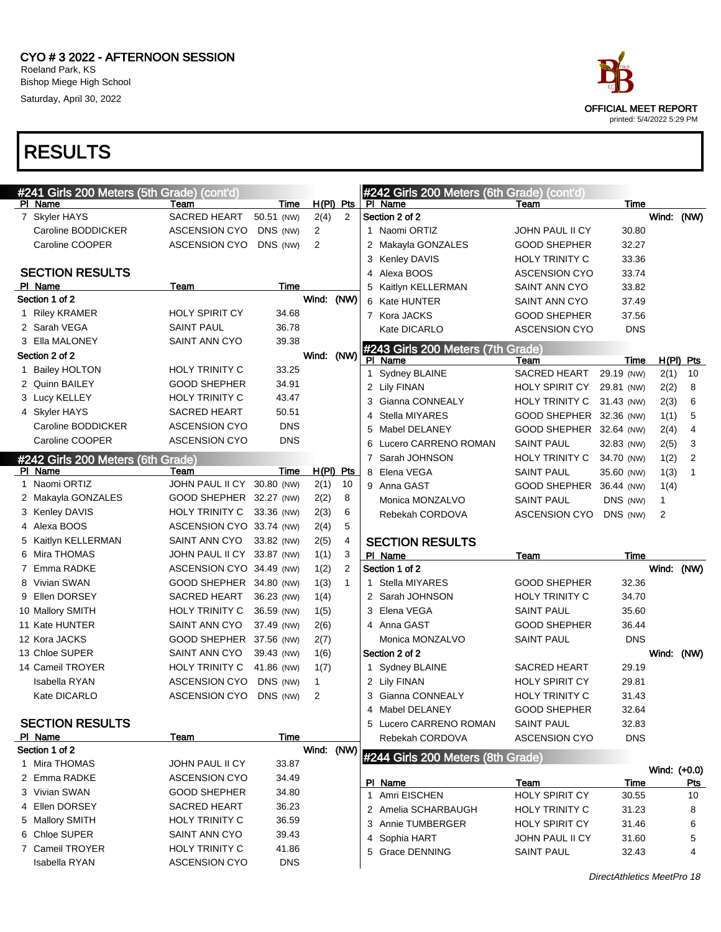

| #241 Girls 200 Meters (5th Grade) (cont'd) |                                        |                     |              |                |                                   | #242 Girls 200 Meters (6th Grade) (cont'd) |             |              |                |
|--------------------------------------------|----------------------------------------|---------------------|--------------|----------------|-----------------------------------|--------------------------------------------|-------------|--------------|----------------|
| PI Name                                    | Team                                   | Time                |              | $H(PI)$ Pts    | PI Name                           | Team                                       | Time        |              |                |
| 7 Skyler HAYS                              | <b>SACRED HEART</b>                    | 50.51 (NW)          | 2(4)         | $\overline{2}$ | Section 2 of 2                    |                                            |             | Wind: (NW)   |                |
| Caroline BODDICKER                         | <b>ASCENSION CYO</b>                   | DNS (NW)            | 2            |                | 1 Naomi ORTIZ                     | JOHN PAUL II CY                            | 30.80       |              |                |
| Caroline COOPER                            | <b>ASCENSION CYO</b>                   | DNS (NW)            | 2            |                | 2 Makayla GONZALES                | <b>GOOD SHEPHER</b>                        | 32.27       |              |                |
|                                            |                                        |                     |              |                | 3 Kenley DAVIS                    | HOLY TRINITY C                             | 33.36       |              |                |
| <b>SECTION RESULTS</b>                     |                                        |                     |              |                | Alexa BOOS<br>4                   | <b>ASCENSION CYO</b>                       | 33.74       |              |                |
| PI Name                                    | Team                                   | Time                |              |                | 5<br>Kaitlyn KELLERMAN            | SAINT ANN CYO                              | 33.82       |              |                |
| Section 1 of 2                             |                                        |                     | Wind: (NW)   |                | 6 Kate HUNTER                     | SAINT ANN CYO                              | 37.49       |              |                |
| 1 Riley KRAMER                             | <b>HOLY SPIRIT CY</b>                  | 34.68               |              |                | 7 Kora JACKS                      | <b>GOOD SHEPHER</b>                        | 37.56       |              |                |
| 2 Sarah VEGA                               | <b>SAINT PAUL</b>                      | 36.78               |              |                | Kate DICARLO                      | <b>ASCENSION CYO</b>                       | <b>DNS</b>  |              |                |
| 3 Ella MALONEY                             | SAINT ANN CYO                          | 39.38               |              |                | #243 Girls 200 Meters (7th Grade) |                                            |             |              |                |
| Section 2 of 2                             |                                        |                     | Wind:        | (NW)           | PI Name                           | Team                                       | Time        | $H(PI)$ Pts  |                |
| 1 Bailey HOLTON                            | <b>HOLY TRINITY C</b>                  | 33.25               |              |                | 1 Sydney BLAINE                   | <b>SACRED HEART</b>                        | 29.19 (NW)  | 2(1)         | 10             |
| 2 Quinn BAILEY                             | <b>GOOD SHEPHER</b>                    | 34.91               |              |                | 2 Lily FINAN                      | <b>HOLY SPIRIT CY</b>                      | 29.81 (NW)  | 2(2)         | 8              |
| 3 Lucy KELLEY                              | <b>HOLY TRINITY C</b>                  | 43.47               |              |                | Gianna CONNEALY<br>3              | HOLY TRINITY C                             | 31.43 (NW)  | 2(3)         | 6              |
| 4 Skyler HAYS                              | <b>SACRED HEART</b>                    | 50.51               |              |                | Stella MIYARES<br>4               | GOOD SHEPHER 32.36 (NW)                    |             | 1(1)         | 5              |
| Caroline BODDICKER                         | <b>ASCENSION CYO</b>                   | <b>DNS</b>          |              |                | Mabel DELANEY<br>5                | GOOD SHEPHER 32.64 (NW)                    |             | 2(4)         | $\overline{4}$ |
| Caroline COOPER                            | <b>ASCENSION CYO</b>                   | <b>DNS</b>          |              |                | Lucero CARRENO ROMAN<br>6         | <b>SAINT PAUL</b>                          | 32.83 (NW)  | 2(5)         | 3              |
| #242 Girls 200 Meters (6th Grade)          |                                        |                     |              |                | Sarah JOHNSON<br>7                | <b>HOLY TRINITY C</b>                      | 34.70 (NW)  | 1(2)         | $\overline{2}$ |
| PI Name                                    | Team                                   | Time                |              | $H(PI)$ Pts    | Elena VEGA<br>8                   | <b>SAINT PAUL</b>                          | 35.60 (NW)  | 1(3)         | 1              |
| 1 Naomi ORTIZ                              | JOHN PAUL II CY 30.80 (NW)             |                     | 2(1)         | 10             | 9 Anna GAST                       | GOOD SHEPHER 36.44 (NW)                    |             | 1(4)         |                |
| 2 Makayla GONZALES                         | GOOD SHEPHER 32.27 (NW)                |                     | 2(2)         | 8              | Monica MONZALVO                   | <b>SAINT PAUL</b>                          | DNS (NW)    | 1            |                |
| 3 Kenley DAVIS                             | <b>HOLY TRINITY C</b>                  | 33.36 (NW)          | 2(3)         | 6              | Rebekah CORDOVA                   | <b>ASCENSION CYO</b>                       | DNS (NW)    | 2            |                |
|                                            | ASCENSION CYO 33.74 (NW)               |                     | 2(4)         | 5              |                                   |                                            |             |              |                |
| 4 Alexa BOOS                               |                                        |                     |              |                |                                   |                                            |             |              |                |
| 5 Kaitlyn KELLERMAN                        | SAINT ANN CYO                          | 33.82 (NW)          | 2(5)         | 4              | <b>SECTION RESULTS</b>            |                                            |             |              |                |
| 6 Mira THOMAS                              | JOHN PAUL II CY 33.87 (NW)             |                     | 1(1)         | 3              | PI Name                           | Team                                       | <b>Time</b> |              |                |
| 7 Emma RADKE                               | ASCENSION CYO 34.49 (NW)               |                     | 1(2)         | $\overline{2}$ | Section 1 of 2                    |                                            |             | Wind: (NW)   |                |
| 8 Vivian SWAN                              | GOOD SHEPHER 34.80 (NW)                |                     | 1(3)         | $\mathbf{1}$   | 1 Stella MIYARES                  | GOOD SHEPHER                               | 32.36       |              |                |
| 9 Ellen DORSEY                             | SACRED HEART                           | 36.23 (NW)          | 1(4)         |                | 2 Sarah JOHNSON                   | <b>HOLY TRINITY C</b>                      | 34.70       |              |                |
| 10 Mallory SMITH                           | <b>HOLY TRINITY C</b>                  | 36.59 (NW)          | 1(5)         |                | 3 Elena VEGA                      | SAINT PAUL                                 | 35.60       |              |                |
| 11 Kate HUNTER                             | SAINT ANN CYO                          | 37.49 (NW)          | 2(6)         |                | 4 Anna GAST                       | GOOD SHEPHER                               | 36.44       |              |                |
| 12 Kora JACKS                              | GOOD SHEPHER 37.56 (NW)                |                     | 2(7)         |                | Monica MONZALVO                   | <b>SAINT PAUL</b>                          | <b>DNS</b>  |              |                |
| 13 Chloe SUPER                             | SAINT ANN CYO                          | 39.43 (NW)          | 1(6)         |                | Section 2 of 2                    |                                            |             | Wind: (NW)   |                |
| 14 Cameil TROYER                           | <b>HOLY TRINITY C</b>                  | 41.86 (NW)          | 1(7)         |                | 1 Sydney BLAINE                   | <b>SACRED HEART</b>                        | 29.19       |              |                |
| <b>Isabella RYAN</b>                       | <b>ASCENSION CYO</b>                   | DNS (NW)            | $\mathbf{1}$ |                | 2 Lily FINAN                      | <b>HOLY SPIRIT CY</b>                      | 29.81       |              |                |
| Kate DICARLO                               | <b>ASCENSION CYO</b>                   | DNS (NW)            | 2            |                | 3 Gianna CONNEALY                 | <b>HOLY TRINITY C</b>                      | 31.43       |              |                |
|                                            |                                        |                     |              |                | 4 Mabel DELANEY                   | <b>GOOD SHEPHER</b>                        | 32.64       |              |                |
| <b>SECTION RESULTS</b>                     |                                        |                     |              |                | 5 Lucero CARRENO ROMAN            | SAINT PAUL                                 | 32.83       |              |                |
| PI Name                                    | <b>Team</b>                            | Time                |              |                | Rebekah CORDOVA                   | <b>ASCENSION CYO</b>                       | <b>DNS</b>  |              |                |
| Section 1 of 2                             |                                        |                     | Wind:        | (NW)           | #244 Girls 200 Meters (8th Grade) |                                            |             |              |                |
| 1 Mira THOMAS                              | JOHN PAUL II CY                        | 33.87               |              |                |                                   |                                            |             | Wind: (+0.0) |                |
| 2 Emma RADKE                               | <b>ASCENSION CYO</b>                   | 34.49               |              |                | PI Name                           | Team                                       | Time        |              | <u>Pts</u>     |
| 3 Vivian SWAN                              | <b>GOOD SHEPHER</b>                    | 34.80               |              |                | 1 Amri EISCHEN                    | <b>HOLY SPIRIT CY</b>                      | 30.55       |              | 10             |
| 4 Ellen DORSEY                             | SACRED HEART                           | 36.23               |              |                | 2 Amelia SCHARBAUGH               | <b>HOLY TRINITY C</b>                      | 31.23       |              | 8              |
| 5 Mallory SMITH                            | HOLY TRINITY C                         | 36.59               |              |                | 3 Annie TUMBERGER                 | <b>HOLY SPIRIT CY</b>                      | 31.46       |              | 6              |
| 6 Chloe SUPER                              | SAINT ANN CYO                          | 39.43               |              |                | 4 Sophia HART                     | JOHN PAUL II CY                            | 31.60       |              | 5              |
| 7 Cameil TROYER<br>Isabella RYAN           | HOLY TRINITY C<br><b>ASCENSION CYO</b> | 41.86<br><b>DNS</b> |              |                | 5 Grace DENNING                   | <b>SAINT PAUL</b>                          | 32.43       |              | 4              |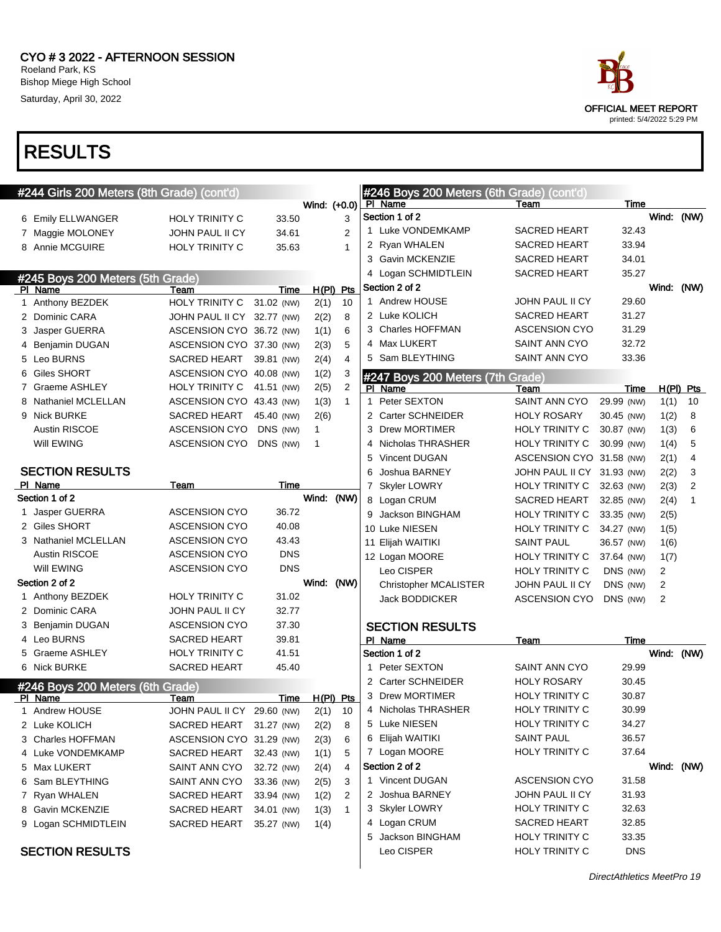

| <b>RESULIS</b>                              |                            |            |              |                |                                                      |                            |            |                |                |
|---------------------------------------------|----------------------------|------------|--------------|----------------|------------------------------------------------------|----------------------------|------------|----------------|----------------|
|                                             |                            |            |              |                |                                                      |                            |            |                |                |
| #244 Girls 200 Meters (8th Grade) (cont'd)  |                            |            | Wind: (+0.0) |                | #246 Boys 200 Meters (6th Grade) (cont'd)<br>PI Name | Team                       | Time       |                |                |
| 6 Emily ELLWANGER                           | <b>HOLY TRINITY C</b>      | 33.50      |              | 3              | Section 1 of 2                                       |                            |            | Wind: (NW)     |                |
| 7 Maggie MOLONEY                            | <b>JOHN PAUL II CY</b>     | 34.61      |              | $\overline{2}$ | 1 Luke VONDEMKAMP                                    | <b>SACRED HEART</b>        | 32.43      |                |                |
| 8 Annie MCGUIRE                             | <b>HOLY TRINITY C</b>      | 35.63      |              | $\mathbf{1}$   | 2 Ryan WHALEN                                        | <b>SACRED HEART</b>        | 33.94      |                |                |
|                                             |                            |            |              |                | 3 Gavin MCKENZIE                                     | <b>SACRED HEART</b>        | 34.01      |                |                |
|                                             |                            |            |              |                | 4 Logan SCHMIDTLEIN                                  | <b>SACRED HEART</b>        | 35.27      |                |                |
| #245 Boys 200 Meters (5th Grade)<br>PI Name | Team                       | Time       |              | H(PI) Pts      | Section 2 of 2                                       |                            |            | Wind: (NW)     |                |
| 1 Anthony BEZDEK                            | <b>HOLY TRINITY C</b>      | 31.02 (NW) | 2(1)         | 10             | 1 Andrew HOUSE                                       | <b>JOHN PAUL II CY</b>     | 29.60      |                |                |
| 2 Dominic CARA                              | JOHN PAUL II CY 32.77 (NW) |            | 2(2)         | 8              | 2 Luke KOLICH                                        | <b>SACRED HEART</b>        | 31.27      |                |                |
| 3 Jasper GUERRA                             | ASCENSION CYO 36.72 (NW)   |            | 1(1)         | 6              | 3 Charles HOFFMAN                                    | <b>ASCENSION CYO</b>       | 31.29      |                |                |
| 4 Benjamin DUGAN                            | ASCENSION CYO 37.30 (NW)   |            | 2(3)         | 5              | 4 Max LUKERT                                         | SAINT ANN CYO              | 32.72      |                |                |
| 5 Leo BURNS                                 | SACRED HEART               | 39.81 (NW) | 2(4)         | $\overline{4}$ | 5 Sam BLEYTHING                                      | SAINT ANN CYO              | 33.36      |                |                |
| 6 Giles SHORT                               | ASCENSION CYO 40.08 (NW)   |            | 1(2)         | 3              | #247 Boys 200 Meters (7th Grade)                     |                            |            |                |                |
| 7 Graeme ASHLEY                             | HOLY TRINITY C 41.51 (NW)  |            | 2(5)         | $\overline{2}$ | PI Name                                              | Team                       | Time       |                | $H(PI)$ Pts    |
| 8 Nathaniel MCLELLAN                        | ASCENSION CYO 43.43 (NW)   |            | 1(3)         | $\mathbf{1}$   | 1 Peter SEXTON                                       | SAINT ANN CYO              | 29.99 (NW) | 1(1)           | 10             |
| 9 Nick BURKE                                | SACRED HEART 45.40 (NW)    |            | 2(6)         |                | 2 Carter SCHNEIDER                                   | <b>HOLY ROSARY</b>         | 30.45 (NW) | 1(2)           | 8              |
| <b>Austin RISCOE</b>                        | <b>ASCENSION CYO</b>       | DNS (NW)   | 1            |                | 3 Drew MORTIMER                                      | <b>HOLY TRINITY C</b>      | 30.87 (NW) | 1(3)           | 6              |
| Will EWING                                  | ASCENSION CYO              | DNS (NW)   | $\mathbf{1}$ |                | 4 Nicholas THRASHER                                  | <b>HOLY TRINITY C</b>      | 30.99 (NW) | 1(4)           | 5              |
|                                             |                            |            |              |                | 5 Vincent DUGAN                                      | ASCENSION CYO 31.58 (NW)   |            | 2(1)           | $\overline{4}$ |
| <b>SECTION RESULTS</b>                      |                            |            |              |                | 6 Joshua BARNEY                                      | JOHN PAUL II CY 31.93 (NW) |            | 2(2)           | 3              |
| PI Name                                     | Team                       | Time       |              |                | 7 Skyler LOWRY                                       | <b>HOLY TRINITY C</b>      | 32.63 (NW) | 2(3)           | 2              |
| Section 1 of 2                              |                            |            | Wind: (NW)   |                | 8 Logan CRUM                                         | <b>SACRED HEART</b>        | 32.85 (NW) | 2(4)           | $\mathbf{1}$   |
| 1 Jasper GUERRA                             | <b>ASCENSION CYO</b>       | 36.72      |              |                | 9 Jackson BINGHAM                                    | <b>HOLY TRINITY C</b>      | 33.35 (NW) | 2(5)           |                |
| 2 Giles SHORT                               | <b>ASCENSION CYO</b>       | 40.08      |              |                | 10 Luke NIESEN                                       | <b>HOLY TRINITY C</b>      | 34.27 (NW) | 1(5)           |                |
| 3 Nathaniel MCLELLAN                        | <b>ASCENSION CYO</b>       | 43.43      |              |                | 11 Elijah WAITIKI                                    | <b>SAINT PAUL</b>          | 36.57 (NW) | 1(6)           |                |
| <b>Austin RISCOE</b>                        | <b>ASCENSION CYO</b>       | <b>DNS</b> |              |                | 12 Logan MOORE                                       | <b>HOLY TRINITY C</b>      | 37.64 (NW) | 1(7)           |                |
| Will EWING                                  | <b>ASCENSION CYO</b>       | DNS        |              |                | Leo CISPER                                           | <b>HOLY TRINITY C</b>      | DNS (NW)   | $\overline{c}$ |                |
| Section 2 of 2                              |                            |            | Wind: (NW)   |                | <b>Christopher MCALISTER</b>                         | JOHN PAUL II CY            | DNS (NW)   | 2              |                |
| 1 Anthony BEZDEK                            | <b>HOLY TRINITY C</b>      | 31.02      |              |                | <b>Jack BODDICKER</b>                                | <b>ASCENSION CYO</b>       | DNS (NW)   | 2              |                |
| 2 Dominic CARA                              | JOHN PAUL II CY            | 32.77      |              |                |                                                      |                            |            |                |                |
| 3 Benjamin DUGAN                            | <b>ASCENSION CYO</b>       | 37.30      |              |                | <b>SECTION RESULTS</b>                               |                            |            |                |                |
| 4 Leo BURNS                                 | <b>SACRED HEART</b>        | 39.81      |              |                | PI Name                                              | Team                       | Time       |                |                |
| 5 Graeme ASHLEY                             | HOLY TRINITY C             | 41.51      |              |                | Section 1 of 2                                       |                            |            | Wind: (NW)     |                |
| 6 Nick BURKE                                | <b>SACRED HEART</b>        | 45.40      |              |                | 1 Peter SEXTON                                       | <b>SAINT ANN CYO</b>       | 29.99      |                |                |
| #246 Boys 200 Meters (6th Grade)            |                            |            |              |                | 2 Carter SCHNEIDER                                   | <b>HOLY ROSARY</b>         | 30.45      |                |                |
| PI Name                                     | Team                       | Time       | $H(PI)$ Pts  |                | 3 Drew MORTIMER                                      | <b>HOLY TRINITY C</b>      | 30.87      |                |                |
| 1 Andrew HOUSE                              | JOHN PAUL II CY 29.60 (NW) |            | 2(1)         | 10             | 4 Nicholas THRASHER                                  | <b>HOLY TRINITY C</b>      | 30.99      |                |                |
| 2 Luke KOLICH                               | SACRED HEART 31.27 (NW)    |            | 2(2)         | 8              | 5 Luke NIESEN                                        | <b>HOLY TRINITY C</b>      | 34.27      |                |                |
| 3 Charles HOFFMAN                           | ASCENSION CYO 31.29 (NW)   |            | 2(3)         | 6              | 6 Elijah WAITIKI                                     | <b>SAINT PAUL</b>          | 36.57      |                |                |
| 4 Luke VONDEMKAMP                           | SACRED HEART               | 32.43 (NW) | 1(1)         | 5              | 7 Logan MOORE                                        | <b>HOLY TRINITY C</b>      | 37.64      |                |                |
| 5 Max LUKERT                                | SAINT ANN CYO              | 32.72 (NW) | 2(4)         | 4              | Section 2 of 2                                       |                            |            | Wind: (NW)     |                |
| 6 Sam BLEYTHING                             | SAINT ANN CYO              | 33.36 (NW) | 2(5)         | 3              | 1 Vincent DUGAN                                      | <b>ASCENSION CYO</b>       | 31.58      |                |                |
| 7 Ryan WHALEN                               | SACRED HEART               | 33.94 (NW) | 1(2)         | 2              | 2 Joshua BARNEY                                      | JOHN PAUL II CY            | 31.93      |                |                |
| 8 Gavin MCKENZIE                            | SACRED HEART               | 34.01 (NW) | 1(3)         | $\mathbf{1}$   | 3 Skyler LOWRY                                       | <b>HOLY TRINITY C</b>      | 32.63      |                |                |
| 9 Logan SCHMIDTLEIN                         | SACRED HEART               | 35.27 (NW) | 1(4)         |                | 4 Logan CRUM                                         | SACRED HEART               | 32.85      |                |                |
|                                             |                            |            |              |                | 5 Jackson BINGHAM                                    | <b>HOLY TRINITY C</b>      | 33.35      |                |                |
| <b>SECTION RESULTS</b>                      |                            |            |              |                | Leo CISPER                                           | <b>HOLY TRINITY C</b>      | <b>DNS</b> |                |                |
|                                             |                            |            |              |                |                                                      |                            |            |                |                |



printed: 5/4/2022 5:29 PM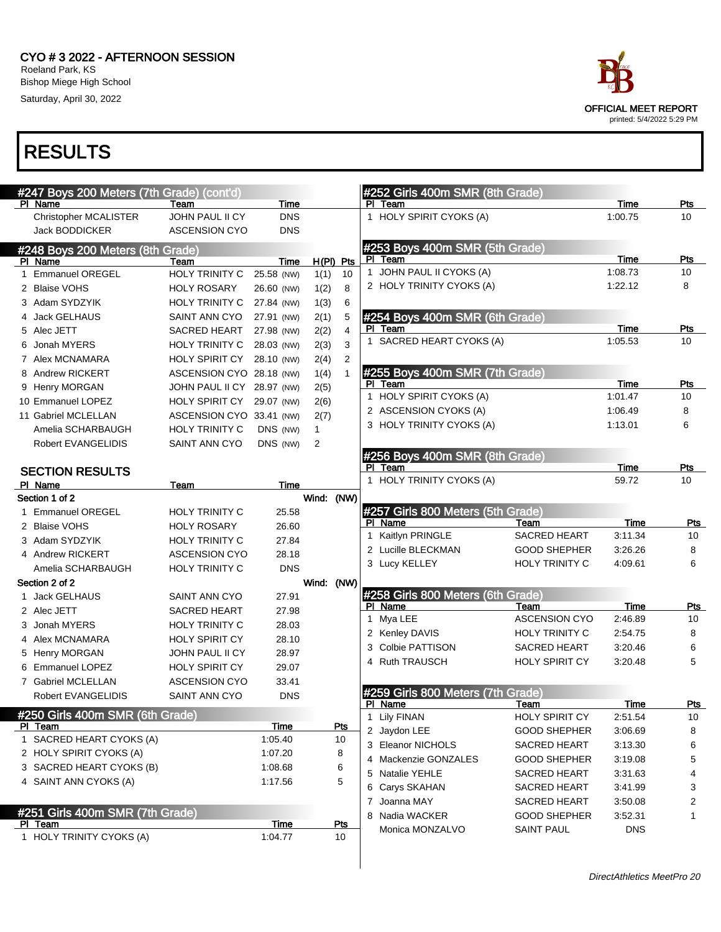#### CYO # 3 2022 - AFTERNOON SESSION Roeland Park, KS Bishop Miege High School Saturday, April 30, 2022



| race                                                     |
|----------------------------------------------------------|
| <b>OFFICIAL MEET REPORT</b><br>printed: 5/4/2022 5:29 PM |
|                                                          |

|   | #247 Boys 200 Meters (7th Grade) (cont'd) |                               |                          |              |                |   |                      | #252 Girls 400m SMR (8th Grade)   |                              |                 |                |
|---|-------------------------------------------|-------------------------------|--------------------------|--------------|----------------|---|----------------------|-----------------------------------|------------------------------|-----------------|----------------|
|   | PI Name                                   | Team                          | Time                     |              |                |   | PI Team              |                                   |                              | Time            | Pts            |
|   | <b>Christopher MCALISTER</b>              | JOHN PAUL II CY               | <b>DNS</b>               |              |                |   |                      | 1 HOLY SPIRIT CYOKS (A)           |                              | 1:00.75         | 10             |
|   | <b>Jack BODDICKER</b>                     | <b>ASCENSION CYO</b>          | <b>DNS</b>               |              |                |   |                      |                                   |                              |                 |                |
|   | #248 Boys 200 Meters (8th Grade)          |                               |                          |              |                |   | PI Team              | #253 Boys 400m SMR (5th Grade)    |                              | Time            |                |
|   | PI Name                                   | Team                          | Time                     |              | $H(PI)$ Pts    |   |                      | 1 JOHN PAUL II CYOKS (A)          |                              | 1:08.73         | Pts<br>10      |
| 1 | <b>Emmanuel OREGEL</b>                    | HOLY TRINITY C                | 25.58 (NW)               | 1(1)         | 10             |   |                      | 2 HOLY TRINITY CYOKS (A)          |                              | 1:22.12         | 8              |
|   | 2 Blaise VOHS                             | <b>HOLY ROSARY</b>            | 26.60 (NW)               | 1(2)         | 8              |   |                      |                                   |                              |                 |                |
|   | 3 Adam SYDZYIK<br>4 Jack GELHAUS          | <b>HOLY TRINITY C</b>         | 27.84 (NW)               | 1(3)         | 6              |   |                      |                                   |                              |                 |                |
|   | 5 Alec JETT                               | SAINT ANN CYO<br>SACRED HEART | 27.91 (NW)<br>27.98 (NW) | 2(1)         | 5<br>4         |   | PI Team              | #254 Boys 400m SMR (6th Grade)    |                              | <b>Time</b>     | Pts            |
|   | 6 Jonah MYERS                             | <b>HOLY TRINITY C</b>         | 28.03 (NW)               | 2(2)<br>2(3) | 3              |   |                      | 1 SACRED HEART CYOKS (A)          |                              | 1:05.53         | 10             |
|   | 7 Alex MCNAMARA                           | <b>HOLY SPIRIT CY</b>         | 28.10 (NW)               | 2(4)         | $\overline{c}$ |   |                      |                                   |                              |                 |                |
|   | 8 Andrew RICKERT                          | ASCENSION CYO 28.18 (NW)      |                          | 1(4)         | 1              |   |                      | #255 Boys 400m SMR (7th Grade)    |                              |                 |                |
|   | 9 Henry MORGAN                            | JOHN PAUL II CY 28.97 (NW)    |                          | 2(5)         |                |   | PI Team              |                                   |                              | Time            | Pts            |
|   | 10 Emmanuel LOPEZ                         | HOLY SPIRIT CY                | 29.07 (NW)               | 2(6)         |                |   |                      | 1 HOLY SPIRIT CYOKS (A)           |                              | 1:01.47         | 10             |
|   | 11 Gabriel MCLELLAN                       | ASCENSION CYO 33.41 (NW)      |                          | 2(7)         |                |   |                      | 2 ASCENSION CYOKS (A)             |                              | 1:06.49         | 8              |
|   | Amelia SCHARBAUGH                         | <b>HOLY TRINITY C</b>         | DNS (NW)                 | $\mathbf{1}$ |                |   |                      | 3 HOLY TRINITY CYOKS (A)          |                              | 1:13.01         | 6              |
|   | Robert EVANGELIDIS                        | SAINT ANN CYO                 | DNS (NW)                 | 2            |                |   |                      |                                   |                              |                 |                |
|   |                                           |                               |                          |              |                |   |                      | #256 Boys 400m SMR (8th Grade)    |                              |                 |                |
|   | <b>SECTION RESULTS</b>                    |                               |                          |              |                |   | PI Team              |                                   |                              | Time            | Pts            |
|   | PI Name                                   | Team                          | Time                     |              |                |   |                      | 1 HOLY TRINITY CYOKS (A)          |                              | 59.72           | 10             |
|   | Section 1 of 2                            |                               |                          | Wind: (NW)   |                |   |                      |                                   |                              |                 |                |
|   | 1 Emmanuel OREGEL                         | <b>HOLY TRINITY C</b>         | 25.58                    |              |                |   |                      | #257 Girls 800 Meters (5th Grade) |                              |                 |                |
|   | 2 Blaise VOHS                             | <b>HOLY ROSARY</b>            | 26.60                    |              |                |   | PI Name              |                                   | Team                         | Time            | Pts            |
|   | 3 Adam SYDZYIK                            | <b>HOLY TRINITY C</b>         | 27.84                    |              |                |   |                      | 1 Kaitlyn PRINGLE                 | <b>SACRED HEART</b>          | 3:11.34         | 10             |
|   | 4 Andrew RICKERT                          | <b>ASCENSION CYO</b>          | 28.18                    |              |                |   |                      | 2 Lucille BLECKMAN                | <b>GOOD SHEPHER</b>          | 3:26.26         | 8              |
|   | Amelia SCHARBAUGH                         | <b>HOLY TRINITY C</b>         | <b>DNS</b>               |              |                |   |                      | 3 Lucy KELLEY                     | <b>HOLY TRINITY C</b>        | 4:09.61         | 6              |
|   | Section 2 of 2                            |                               |                          | Wind: (NW)   |                |   |                      |                                   |                              |                 |                |
|   | 1 Jack GELHAUS                            | SAINT ANN CYO                 | 27.91                    |              |                |   |                      | #258 Girls 800 Meters (6th Grade) |                              |                 |                |
|   | 2 Alec JETT                               | <b>SACRED HEART</b>           | 27.98                    |              |                |   | PI Name<br>1 Mya LEE |                                   | Team<br><b>ASCENSION CYO</b> | Time<br>2:46.89 | Pts<br>10      |
|   | 3 Jonah MYERS                             | <b>HOLY TRINITY C</b>         | 28.03                    |              |                |   |                      | 2 Kenley DAVIS                    | <b>HOLY TRINITY C</b>        | 2:54.75         | 8              |
|   | 4 Alex MCNAMARA                           | <b>HOLY SPIRIT CY</b>         | 28.10                    |              |                | 3 |                      | Colbie PATTISON                   | <b>SACRED HEART</b>          | 3:20.46         | 6              |
|   | 5 Henry MORGAN                            | <b>JOHN PAUL II CY</b>        | 28.97                    |              |                |   |                      | 4 Ruth TRAUSCH                    | <b>HOLY SPIRIT CY</b>        | 3:20.48         | 5              |
|   | 6 Emmanuel LOPEZ                          | <b>HOLY SPIRIT CY</b>         | 29.07                    |              |                |   |                      |                                   |                              |                 |                |
|   | 7 Gabriel MCLELLAN                        | <b>ASCENSION CYO</b>          | 33.41                    |              |                |   |                      |                                   |                              |                 |                |
|   | Robert EVANGELIDIS                        | SAINT ANN CYO                 | <b>DNS</b>               |              |                |   | PI Name              | #259 Girls 800 Meters (7th Grade) | <u>Team</u>                  | <u>Time</u>     | <u>Pts</u>     |
|   | #250 Girls 400m SMR (6th Grade)           |                               |                          |              |                |   | 1 Lily FINAN         |                                   | <b>HOLY SPIRIT CY</b>        | 2:51.54         | 10             |
|   | PI Team                                   |                               | <b>Time</b>              |              | <u>Pts</u>     |   | 2 Jaydon LEE         |                                   | <b>GOOD SHEPHER</b>          | 3:06.69         | 8              |
|   | 1 SACRED HEART CYOKS (A)                  |                               | 1:05.40                  |              | 10             |   |                      | 3 Eleanor NICHOLS                 | SACRED HEART                 | 3:13.30         | 6              |
|   | 2 HOLY SPIRIT CYOKS (A)                   |                               | 1:07.20                  |              | 8              |   |                      | 4 Mackenzie GONZALES              | <b>GOOD SHEPHER</b>          | 3:19.08         | 5              |
|   | 3 SACRED HEART CYOKS (B)                  |                               | 1:08.68                  |              | 6              |   |                      | 5 Natalie YEHLE                   | SACRED HEART                 | 3:31.63         | 4              |
|   | 4 SAINT ANN CYOKS (A)                     |                               | 1:17.56                  |              | 5              |   |                      | 6 Carys SKAHAN                    | SACRED HEART                 | 3:41.99         | 3              |
|   |                                           |                               |                          |              |                |   | 7 Joanna MAY         |                                   | SACRED HEART                 | 3:50.08         | $\overline{2}$ |
|   | #251 Girls 400m SMR (7th Grade)           |                               |                          |              |                |   |                      | 8 Nadia WACKER                    | <b>GOOD SHEPHER</b>          | 3:52.31         | 1              |
|   | PI Team                                   |                               | Time                     |              | Pts            |   |                      | Monica MONZALVO                   | <b>SAINT PAUL</b>            | <b>DNS</b>      |                |
|   | 1 HOLY TRINITY CYOKS (A)                  |                               | 1:04.77                  |              | 10             |   |                      |                                   |                              |                 |                |
|   |                                           |                               |                          |              |                |   |                      |                                   |                              |                 |                |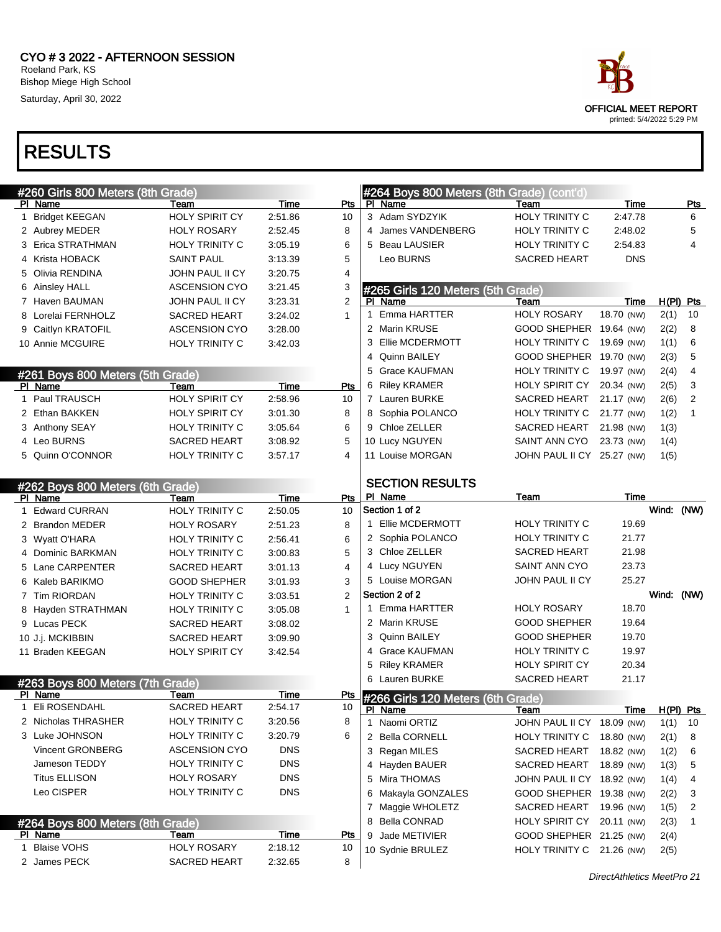

|   | #260 Girls 800 Meters (8th Grade) |                       |             |              | #264 Boys 800 Meters (8th Grade) (cont'd) |                            |             |             |              |
|---|-----------------------------------|-----------------------|-------------|--------------|-------------------------------------------|----------------------------|-------------|-------------|--------------|
|   | PI Name                           | Team                  | Time        | Pts          | PI Name                                   | Team                       | Time        |             | <b>Pts</b>   |
| 1 | <b>Bridget KEEGAN</b>             | HOLY SPIRIT CY        | 2:51.86     | 10           | 3 Adam SYDZYIK                            | <b>HOLY TRINITY C</b>      | 2:47.78     |             | 6            |
|   | 2 Aubrey MEDER                    | <b>HOLY ROSARY</b>    | 2:52.45     | 8            | James VANDENBERG<br>4                     | <b>HOLY TRINITY C</b>      | 2:48.02     |             | 5            |
|   | 3 Erica STRATHMAN                 | <b>HOLY TRINITY C</b> | 3:05.19     | 6            | <b>Beau LAUSIER</b><br>5                  | HOLY TRINITY C             | 2:54.83     |             | 4            |
|   | 4 Krista HOBACK                   | <b>SAINT PAUL</b>     | 3:13.39     | 5            | Leo BURNS                                 | <b>SACRED HEART</b>        | <b>DNS</b>  |             |              |
|   | 5 Olivia RENDINA                  | JOHN PAUL II CY       | 3:20.75     | 4            |                                           |                            |             |             |              |
|   | 6 Ainsley HALL                    | <b>ASCENSION CYO</b>  | 3:21.45     | 3            | #265 Girls 120 Meters (5th Grade)         |                            |             |             |              |
|   | 7 Haven BAUMAN                    | JOHN PAUL II CY       | 3:23.31     | 2            | PI Name                                   | Team                       | Time        | $H(PI)$ Pts |              |
|   | 8 Lorelai FERNHOLZ                | <b>SACRED HEART</b>   | 3:24.02     | $\mathbf{1}$ | Emma HARTTER<br>1                         | <b>HOLY ROSARY</b>         | 18.70 (NW)  | 2(1)        | 10           |
|   | 9 Caitlyn KRATOFIL                | <b>ASCENSION CYO</b>  | 3:28.00     |              | 2 Marin KRUSE                             | GOOD SHEPHER 19.64 (NW)    |             | 2(2)        | 8            |
|   | 10 Annie MCGUIRE                  | HOLY TRINITY C        | 3:42.03     |              | Ellie MCDERMOTT<br>3                      | HOLY TRINITY C             | 19.69 (NW)  | 1(1)        | 6            |
|   |                                   |                       |             |              | Quinn BAILEY<br>4                         | GOOD SHEPHER 19.70 (NW)    |             | 2(3)        | 5            |
|   | #261 Boys 800 Meters (5th Grade)  |                       |             |              | <b>Grace KAUFMAN</b><br>5                 | HOLY TRINITY C             | 19.97 (NW)  | 2(4)        | 4            |
|   | PI Name                           | Team                  | <b>Time</b> | Pts          | <b>Riley KRAMER</b><br>6                  | <b>HOLY SPIRIT CY</b>      | 20.34 (NW)  | 2(5)        | 3            |
|   | 1 Paul TRAUSCH                    | HOLY SPIRIT CY        | 2:58.96     | 10           | 7 Lauren BURKE                            | SACRED HEART               | 21.17 (NW)  | 2(6)        | 2            |
|   | 2 Ethan BAKKEN                    | HOLY SPIRIT CY        | 3:01.30     | 8            | 8 Sophia POLANCO                          | HOLY TRINITY C             | 21.77 (NW)  | 1(2)        | $\mathbf{1}$ |
|   | 3 Anthony SEAY                    | HOLY TRINITY C        | 3:05.64     | 6            | 9 Chloe ZELLER                            | SACRED HEART               | 21.98 (NW)  | 1(3)        |              |
|   | 4 Leo BURNS                       | <b>SACRED HEART</b>   | 3:08.92     | 5            | 10 Lucy NGUYEN                            | SAINT ANN CYO              | 23.73 (NW)  | 1(4)        |              |
|   | 5 Quinn O'CONNOR                  | <b>HOLY TRINITY C</b> | 3:57.17     | 4            | 11 Louise MORGAN                          | JOHN PAUL II CY 25.27 (NW) |             | 1(5)        |              |
|   |                                   |                       |             |              |                                           |                            |             |             |              |
|   | #262 Boys 800 Meters (6th Grade)  |                       |             |              | <b>SECTION RESULTS</b>                    |                            |             |             |              |
|   | PI Name                           | Team                  | Time        | Pts          | PI Name                                   | Team                       | Time        |             |              |
| 1 | <b>Edward CURRAN</b>              | <b>HOLY TRINITY C</b> | 2:50.05     | 10           | Section 1 of 2                            |                            |             | Wind:       | (NW)         |
|   | 2 Brandon MEDER                   | <b>HOLY ROSARY</b>    | 2:51.23     | 8            | Ellie MCDERMOTT<br>1                      | <b>HOLY TRINITY C</b>      | 19.69       |             |              |
|   | 3 Wyatt O'HARA                    | <b>HOLY TRINITY C</b> | 2:56.41     | 6            | 2 Sophia POLANCO                          | <b>HOLY TRINITY C</b>      | 21.77       |             |              |
|   | 4 Dominic BARKMAN                 | <b>HOLY TRINITY C</b> | 3:00.83     | 5            | 3 Chloe ZELLER                            | SACRED HEART               | 21.98       |             |              |
|   | 5 Lane CARPENTER                  | <b>SACRED HEART</b>   | 3:01.13     | 4            | 4 Lucy NGUYEN                             | SAINT ANN CYO              | 23.73       |             |              |
|   | 6 Kaleb BARIKMO                   | <b>GOOD SHEPHER</b>   | 3:01.93     | 3            | 5 Louise MORGAN                           | JOHN PAUL II CY            | 25.27       |             |              |
|   | 7 Tim RIORDAN                     | HOLY TRINITY C        | 3:03.51     | 2            | Section 2 of 2                            |                            |             | Wind:       | (NW)         |
|   | 8 Hayden STRATHMAN                | HOLY TRINITY C        | 3:05.08     | $\mathbf{1}$ | Emma HARTTER<br>1                         | <b>HOLY ROSARY</b>         | 18.70       |             |              |
|   | 9 Lucas PECK                      | <b>SACRED HEART</b>   | 3:08.02     |              | 2 Marin KRUSE                             | <b>GOOD SHEPHER</b>        | 19.64       |             |              |
|   | 10 J.j. MCKIBBIN                  | <b>SACRED HEART</b>   | 3:09.90     |              | Quinn BAILEY<br>3                         | <b>GOOD SHEPHER</b>        | 19.70       |             |              |
|   | 11 Braden KEEGAN                  | <b>HOLY SPIRIT CY</b> | 3:42.54     |              | <b>Grace KAUFMAN</b><br>4                 | <b>HOLY TRINITY C</b>      | 19.97       |             |              |
|   |                                   |                       |             |              | <b>Riley KRAMER</b><br>5                  | <b>HOLY SPIRIT CY</b>      | 20.34       |             |              |
|   | #263 Boys 800 Meters (7th Grade)  |                       |             |              | 6 Lauren BURKE                            | <b>SACRED HEART</b>        | 21.17       |             |              |
|   | PI Name                           | Team                  | Time        | Pts          | #266 Girls 120 Meters (6th Grade)         |                            |             |             |              |
|   | 1 Eli ROSENDAHL                   | <b>SACRED HEART</b>   | 2:54.17     | 10           | PI Name                                   | <u>Team</u>                | <b>Time</b> | $H(PI)$ Pts |              |
|   | 2 Nicholas THRASHER               | <b>HOLY TRINITY C</b> | 3:20.56     | 8            | 1 Naomi ORTIZ                             | JOHN PAUL II CY 18.09 (NW) |             | 1(1)        | -10          |
|   | 3 Luke JOHNSON                    | HOLY TRINITY C        | 3:20.79     | 6            | 2 Bella CORNELL                           | HOLY TRINITY C 18.80 (NW)  |             | 2(1)        | 8            |
|   | Vincent GRONBERG                  | <b>ASCENSION CYO</b>  | <b>DNS</b>  |              | 3 Regan MILES                             | SACRED HEART 18.82 (NW)    |             | 1(2)        | 6            |
|   | Jameson TEDDY                     | HOLY TRINITY C        | <b>DNS</b>  |              | 4 Hayden BAUER                            | SACRED HEART 18.89 (NW)    |             | 1(3)        | 5            |
|   | <b>Titus ELLISON</b>              | <b>HOLY ROSARY</b>    | <b>DNS</b>  |              | 5 Mira THOMAS                             | JOHN PAUL II CY 18.92 (NW) |             | 1(4)        | 4            |
|   | Leo CISPER                        | HOLY TRINITY C        | <b>DNS</b>  |              | 6 Makayla GONZALES                        | GOOD SHEPHER 19.38 (NW)    |             | 2(2)        | 3            |
|   |                                   |                       |             |              | 7 Maggie WHOLETZ                          | SACRED HEART 19.96 (NW)    |             | 1(5)        | 2            |
|   | #264 Boys 800 Meters (8th Grade)  |                       |             |              | 8 Bella CONRAD                            | HOLY SPIRIT CY 20.11 (NW)  |             | 2(3)        | 1            |
|   | PI Name                           | Team                  | Time        | <u>Pts</u>   | Jade METIVIER<br>9                        | GOOD SHEPHER 21.25 (NW)    |             | 2(4)        |              |
|   | 1 Blaise VOHS                     | <b>HOLY ROSARY</b>    | 2:18.12     | 10           | 10 Sydnie BRULEZ                          | HOLY TRINITY C 21.26 (NW)  |             | 2(5)        |              |
|   | 2 James PECK                      | SACRED HEART          | 2:32.65     | 8            |                                           |                            |             |             |              |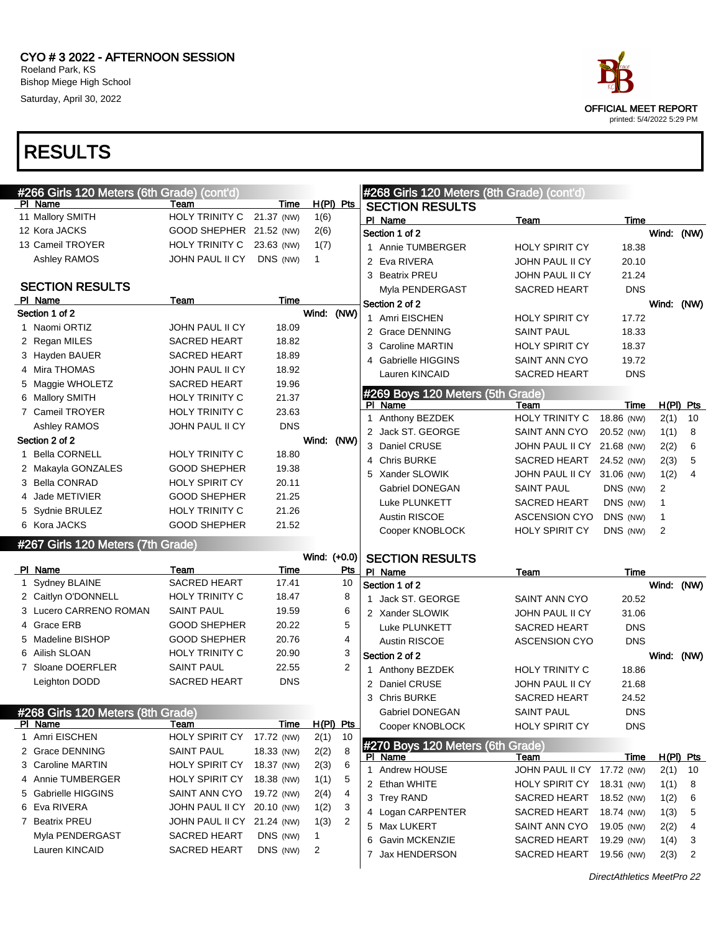



| #266 Girls 120 Meters (6th Grade) (cont'd) |                            |             |              |                | #268 Girls 120 Meters (8th Grade) (cont'd)  |                            |             |                |                |
|--------------------------------------------|----------------------------|-------------|--------------|----------------|---------------------------------------------|----------------------------|-------------|----------------|----------------|
| PI Name                                    | Team                       | Time        | H(PI) Pts    |                | <b>SECTION RESULTS</b>                      |                            |             |                |                |
| 11 Mallory SMITH                           | HOLY TRINITY C             | 21.37 (NW)  | 1(6)         |                | PI Name                                     | <b>Team</b>                | Time        |                |                |
| 12 Kora JACKS                              | GOOD SHEPHER 21.52 (NW)    |             | 2(6)         |                | Section 1 of 2                              |                            |             | Wind: (NW)     |                |
| 13 Cameil TROYER                           | HOLY TRINITY C             | 23.63 (NW)  | 1(7)         |                | 1 Annie TUMBERGER                           | <b>HOLY SPIRIT CY</b>      | 18.38       |                |                |
| Ashley RAMOS                               | JOHN PAUL II CY            | DNS (NW)    | 1            |                | 2 Eva RIVERA                                | <b>JOHN PAUL II CY</b>     | 20.10       |                |                |
| <b>SECTION RESULTS</b>                     |                            |             |              |                | 3 Beatrix PREU                              | <b>JOHN PAUL II CY</b>     | 21.24       |                |                |
| PI Name                                    | Team                       | <b>Time</b> |              |                | Myla PENDERGAST                             | SACRED HEART               | <b>DNS</b>  |                |                |
| Section 1 of 2                             |                            |             | Wind: (NW)   |                | Section 2 of 2                              |                            |             | Wind:          | (NW)           |
| 1 Naomi ORTIZ                              | JOHN PAUL II CY            | 18.09       |              |                | 1 Amri EISCHEN                              | <b>HOLY SPIRIT CY</b>      | 17.72       |                |                |
| 2 Regan MILES                              | <b>SACRED HEART</b>        | 18.82       |              |                | 2 Grace DENNING                             | <b>SAINT PAUL</b>          | 18.33       |                |                |
| 3 Hayden BAUER                             | <b>SACRED HEART</b>        | 18.89       |              |                | 3 Caroline MARTIN                           | <b>HOLY SPIRIT CY</b>      | 18.37       |                |                |
| 4 Mira THOMAS                              | JOHN PAUL II CY            | 18.92       |              |                | <b>Gabrielle HIGGINS</b><br>4               | SAINT ANN CYO              | 19.72       |                |                |
| 5 Maggie WHOLETZ                           | <b>SACRED HEART</b>        | 19.96       |              |                | Lauren KINCAID                              | <b>SACRED HEART</b>        | <b>DNS</b>  |                |                |
| 6 Mallory SMITH                            | <b>HOLY TRINITY C</b>      | 21.37       |              |                | #269 Boys 120 Meters (5th Grade)            |                            |             |                |                |
| 7 Cameil TROYER                            | <b>HOLY TRINITY C</b>      | 23.63       |              |                | PI Name                                     | Team                       | Time        |                | $H(PI)$ Pts    |
| Ashley RAMOS                               | JOHN PAUL II CY            | <b>DNS</b>  |              |                | 1 Anthony BEZDEK                            | HOLY TRINITY C             | 18.86 (NW)  | 2(1)           | 10             |
| Section 2 of 2                             |                            |             | Wind: (NW)   |                | 2 Jack ST. GEORGE                           | SAINT ANN CYO              | 20.52 (NW)  | 1(1)           | 8              |
| 1 Bella CORNELL                            | <b>HOLY TRINITY C</b>      | 18.80       |              |                | 3 Daniel CRUSE                              | JOHN PAUL II CY            | 21.68 (NW)  | 2(2)           | 6              |
| 2 Makayla GONZALES                         | <b>GOOD SHEPHER</b>        | 19.38       |              |                | <b>Chris BURKE</b><br>4                     | SACRED HEART               | 24.52 (NW)  | 2(3)           | 5              |
| 3 Bella CONRAD                             | <b>HOLY SPIRIT CY</b>      | 20.11       |              |                | 5 Xander SLOWIK                             | JOHN PAUL II CY 31.06 (NW) |             | 1(2)           | $\overline{4}$ |
| 4 Jade METIVIER                            | <b>GOOD SHEPHER</b>        | 21.25       |              |                | Gabriel DONEGAN                             | <b>SAINT PAUL</b>          | DNS (NW)    | $\overline{2}$ |                |
| 5 Sydnie BRULEZ                            | <b>HOLY TRINITY C</b>      | 21.26       |              |                | Luke PLUNKETT                               | <b>SACRED HEART</b>        | DNS (NW)    | 1              |                |
| 6 Kora JACKS                               | <b>GOOD SHEPHER</b>        | 21.52       |              |                | Austin RISCOE                               | <b>ASCENSION CYO</b>       | DNS (NW)    | 1              |                |
|                                            |                            |             |              |                | Cooper KNOBLOCK                             | <b>HOLY SPIRIT CY</b>      | DNS (NW)    | 2              |                |
|                                            |                            |             |              |                |                                             |                            |             |                |                |
| #267 Girls 120 Meters (7th Grade)          |                            |             |              |                |                                             |                            |             |                |                |
| PI Name                                    | Team                       | Time        | Wind: (+0.0) | Pts            | <b>SECTION RESULTS</b>                      |                            |             |                |                |
| 1 Sydney BLAINE                            | <b>SACRED HEART</b>        | 17.41       |              | 10             | PI Name<br>Section 1 of 2                   | Team                       | <b>Time</b> | Wind: (NW)     |                |
| 2 Caitlyn O'DONNELL                        | <b>HOLY TRINITY C</b>      | 18.47       |              | 8              | 1 Jack ST. GEORGE                           | SAINT ANN CYO              | 20.52       |                |                |
| 3 Lucero CARRENO ROMAN                     | <b>SAINT PAUL</b>          | 19.59       |              | 6              | 2 Xander SLOWIK                             | <b>JOHN PAUL II CY</b>     | 31.06       |                |                |
| 4 Grace ERB                                | <b>GOOD SHEPHER</b>        | 20.22       |              | 5              | Luke PLUNKETT                               | <b>SACRED HEART</b>        | <b>DNS</b>  |                |                |
| 5 Madeline BISHOP                          | <b>GOOD SHEPHER</b>        | 20.76       |              | 4              | <b>Austin RISCOE</b>                        | <b>ASCENSION CYO</b>       | <b>DNS</b>  |                |                |
| 6 Ailish SLOAN                             | <b>HOLY TRINITY C</b>      | 20.90       |              | 3              | Section 2 of 2                              |                            |             | Wind: (NW)     |                |
| 7 Sloane DOERFLER                          | <b>SAINT PAUL</b>          | 22.55       |              | $\overline{2}$ | 1 Anthony BEZDEK                            | <b>HOLY TRINITY C</b>      | 18.86       |                |                |
| Leighton DODD                              | <b>SACRED HEART</b>        | <b>DNS</b>  |              |                | 2 Daniel CRUSE                              | <b>JOHN PAUL II CY</b>     | 21.68       |                |                |
|                                            |                            |             |              |                | 3 Chris BURKE                               | <b>SACRED HEART</b>        | 24.52       |                |                |
| #268 Girls 120 Meters (8th Grade)          |                            |             |              |                | Gabriel DONEGAN                             | <b>SAINT PAUL</b>          | <b>DNS</b>  |                |                |
| PI Name                                    | Team                       | Time        | $H(PI)$ Pts  |                | Cooper KNOBLOCK                             | <b>HOLY SPIRIT CY</b>      | <b>DNS</b>  |                |                |
| 1 Amri EISCHEN                             | <b>HOLY SPIRIT CY</b>      | 17.72 (NW)  | 2(1)         | 10             |                                             |                            |             |                |                |
| 2 Grace DENNING                            | <b>SAINT PAUL</b>          | 18.33 (NW)  | 2(2)         | 8              | #270 Boys 120 Meters (6th Grade)<br>PI Name | <u>Team</u>                | <u>Time</u> |                | H(PI) Pts      |
| 3 Caroline MARTIN                          | HOLY SPIRIT CY             | 18.37 (NW)  | 2(3)         | 6              | 1 Andrew HOUSE                              | JOHN PAUL II CY 17.72 (NW) |             | 2(1)           | 10             |
| 4 Annie TUMBERGER                          | <b>HOLY SPIRIT CY</b>      | 18.38 (NW)  | 1(1)         | 5              | 2 Ethan WHITE                               | <b>HOLY SPIRIT CY</b>      | 18.31 (NW)  | 1(1)           | 8              |
| 5 Gabrielle HIGGINS                        | SAINT ANN CYO              | 19.72 (NW)  | 2(4)         | 4              | 3 Trey RAND                                 | <b>SACRED HEART</b>        | 18.52 (NW)  | 1(2)           | 6              |
| 6 Eva RIVERA                               | JOHN PAUL II CY 20.10 (NW) |             | 1(2)         | 3              | 4 Logan CARPENTER                           | SACRED HEART               | 18.74 (NW)  | 1(3)           | 5              |
| 7 Beatrix PREU                             | JOHN PAUL II CY 21.24 (NW) |             | 1(3)         | 2              | 5 Max LUKERT                                | SAINT ANN CYO              | 19.05 (NW)  | 2(2)           | 4              |
| Myla PENDERGAST                            | SACRED HEART               | DNS (NW)    | 1            |                | 6 Gavin MCKENZIE                            | SACRED HEART               | 19.29 (NW)  | 1(4)           | 3              |
| Lauren KINCAID                             | <b>SACRED HEART</b>        | DNS (NW)    | 2            |                | Jax HENDERSON<br>7                          | <b>SACRED HEART</b>        | 19.56 (NW)  | 2(3)           | 2              |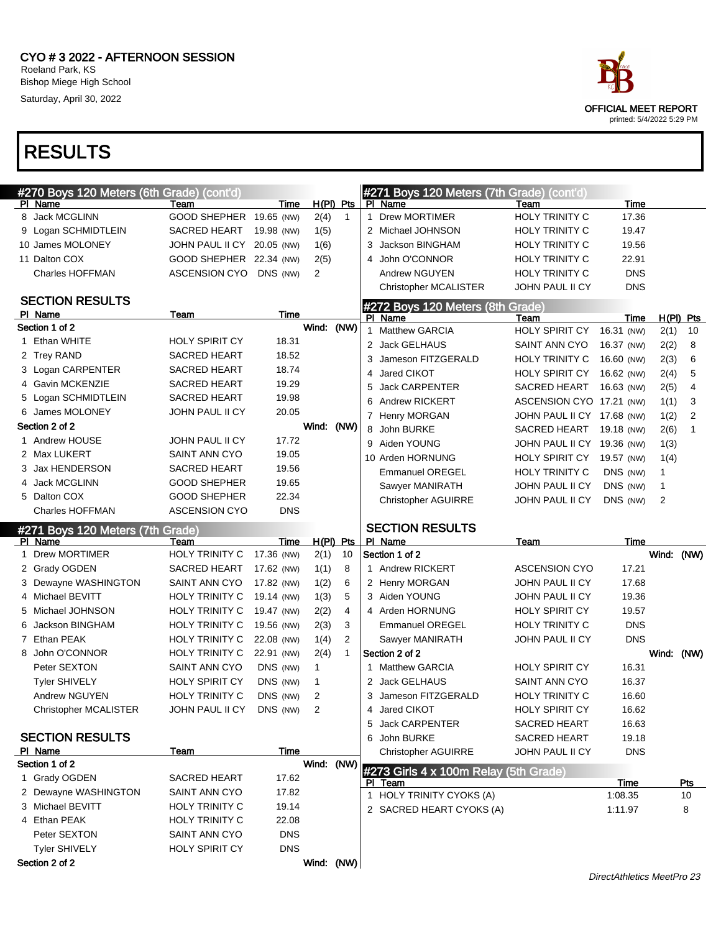

|   | #270 Boys 120 Meters (6th Grade) (cont'd) |                            |            |             |                |   | #271 Boys 120 Meters (7th Grade) (cont'd)        |                            |            |            |                |
|---|-------------------------------------------|----------------------------|------------|-------------|----------------|---|--------------------------------------------------|----------------------------|------------|------------|----------------|
|   | PI Name                                   | Team                       | Time       | $H(PI)$ Pts |                |   | PI Name                                          | Team                       | Time       |            |                |
|   | 8 Jack MCGLINN                            | GOOD SHEPHER 19.65 (NW)    |            | 2(4)        | $\mathbf{1}$   | 1 | <b>Drew MORTIMER</b>                             | <b>HOLY TRINITY C</b>      | 17.36      |            |                |
|   | 9 Logan SCHMIDTLEIN                       | SACRED HEART               | 19.98 (NW) | 1(5)        |                |   | 2 Michael JOHNSON                                | HOLY TRINITY C             | 19.47      |            |                |
|   | 10 James MOLONEY                          | JOHN PAUL II CY 20.05 (NW) |            | 1(6)        |                | 3 | Jackson BINGHAM                                  | HOLY TRINITY C             | 19.56      |            |                |
|   | 11 Dalton COX                             | GOOD SHEPHER 22.34 (NW)    |            | 2(5)        |                | 4 | John O'CONNOR                                    | HOLY TRINITY C             | 22.91      |            |                |
|   | <b>Charles HOFFMAN</b>                    | ASCENSION CYO              | DNS (NW)   | 2           |                |   | Andrew NGUYEN                                    | <b>HOLY TRINITY C</b>      | <b>DNS</b> |            |                |
|   |                                           |                            |            |             |                |   | <b>Christopher MCALISTER</b>                     | JOHN PAUL II CY            | <b>DNS</b> |            |                |
|   | <b>SECTION RESULTS</b>                    |                            |            |             |                |   | #272 Boys 120 Meters (8th Grade)                 |                            |            |            |                |
|   | PI Name                                   | Team                       | Time       |             |                |   | PI Name                                          | Team                       | Time       |            | $H(PI)$ Pts    |
|   | Section 1 of 2                            |                            |            | Wind:       | (NW)           |   | 1 Matthew GARCIA                                 | <b>HOLY SPIRIT CY</b>      | 16.31 (NW) | 2(1)       | 10             |
|   | 1 Ethan WHITE                             | <b>HOLY SPIRIT CY</b>      | 18.31      |             |                |   | 2 Jack GELHAUS                                   | SAINT ANN CYO              | 16.37 (NW) | 2(2)       | 8              |
|   | 2 Trey RAND                               | <b>SACRED HEART</b>        | 18.52      |             |                | 3 | Jameson FITZGERALD                               | HOLY TRINITY C             | 16.60 (NW) | 2(3)       | 6              |
|   | 3 Logan CARPENTER                         | <b>SACRED HEART</b>        | 18.74      |             |                | 4 | Jared CIKOT                                      | <b>HOLY SPIRIT CY</b>      | 16.62 (NW) | 2(4)       | 5              |
|   | 4 Gavin MCKENZIE                          | <b>SACRED HEART</b>        | 19.29      |             |                | 5 | <b>Jack CARPENTER</b>                            | SACRED HEART               | 16.63 (NW) | 2(5)       | 4              |
|   | 5 Logan SCHMIDTLEIN                       | <b>SACRED HEART</b>        | 19.98      |             |                | 6 | <b>Andrew RICKERT</b>                            | ASCENSION CYO 17.21 (NW)   |            | 1(1)       | 3              |
|   | 6 James MOLONEY                           | JOHN PAUL II CY            | 20.05      |             |                |   | 7 Henry MORGAN                                   | JOHN PAUL II CY 17.68 (NW) |            | 1(2)       | $\overline{2}$ |
|   | Section 2 of 2                            |                            |            | Wind: (NW)  |                |   | 8 John BURKE                                     | <b>SACRED HEART</b>        | 19.18 (NW) | 2(6)       | $\mathbf{1}$   |
|   | Andrew HOUSE                              | JOHN PAUL II CY            | 17.72      |             |                |   | 9 Aiden YOUNG                                    | JOHN PAUL II CY 19.36 (NW) |            | 1(3)       |                |
|   | 2 Max LUKERT                              | SAINT ANN CYO              | 19.05      |             |                |   | 10 Arden HORNUNG                                 | <b>HOLY SPIRIT CY</b>      | 19.57 (NW) | 1(4)       |                |
|   | 3 Jax HENDERSON                           | <b>SACRED HEART</b>        | 19.56      |             |                |   | <b>Emmanuel OREGEL</b>                           | HOLY TRINITY C             | DNS (NW)   | 1          |                |
|   | 4 Jack MCGLINN                            | <b>GOOD SHEPHER</b>        | 19.65      |             |                |   | Sawyer MANIRATH                                  | JOHN PAUL II CY            | DNS (NW)   | 1          |                |
|   | 5 Dalton COX                              | <b>GOOD SHEPHER</b>        | 22.34      |             |                |   | <b>Christopher AGUIRRE</b>                       | JOHN PAUL II CY            | DNS (NW)   | 2          |                |
|   | <b>Charles HOFFMAN</b>                    | <b>ASCENSION CYO</b>       | <b>DNS</b> |             |                |   |                                                  |                            |            |            |                |
|   | #271 Boys 120 Meters (7th Grade)          |                            |            |             |                |   | <b>SECTION RESULTS</b>                           |                            |            |            |                |
|   |                                           |                            |            |             |                |   |                                                  |                            |            |            |                |
|   | PI Name                                   | Team                       | Time       |             | $H(PI)$ Pts    |   | PI Name                                          | Team                       | Time       |            |                |
| 1 | <b>Drew MORTIMER</b>                      | <b>HOLY TRINITY C</b>      | 17.36 (NW) | 2(1)        | 10             |   | Section 1 of 2                                   |                            |            | Wind: (NW) |                |
|   | 2 Grady OGDEN                             | <b>SACRED HEART</b>        | 17.62 (NW) | 1(1)        | 8              |   | 1 Andrew RICKERT                                 | <b>ASCENSION CYO</b>       | 17.21      |            |                |
|   | 3 Dewayne WASHINGTON                      | SAINT ANN CYO              | 17.82 (NW) | 1(2)        | 6              |   | 2 Henry MORGAN                                   | JOHN PAUL II CY            | 17.68      |            |                |
|   | 4 Michael BEVITT                          | <b>HOLY TRINITY C</b>      | 19.14 (NW) | 1(3)        | 5              |   | 3 Aiden YOUNG                                    | JOHN PAUL II CY            | 19.36      |            |                |
|   | 5 Michael JOHNSON                         | <b>HOLY TRINITY C</b>      | 19.47 (NW) | 2(2)        | 4              |   | 4 Arden HORNUNG                                  | <b>HOLY SPIRIT CY</b>      | 19.57      |            |                |
|   | 6 Jackson BINGHAM                         | <b>HOLY TRINITY C</b>      | 19.56 (NW) | 2(3)        | 3              |   | <b>Emmanuel OREGEL</b>                           | <b>HOLY TRINITY C</b>      | <b>DNS</b> |            |                |
|   | 7 Ethan PEAK                              | <b>HOLY TRINITY C</b>      | 22.08 (NW) | 1(4)        | $\overline{2}$ |   | Sawyer MANIRATH                                  | JOHN PAUL II CY            | <b>DNS</b> |            |                |
|   | 8 John O'CONNOR                           | <b>HOLY TRINITY C</b>      | 22.91 (NW) | 2(4)        | $\mathbf{1}$   |   | Section 2 of 2                                   |                            |            | Wind: (NW) |                |
|   | Peter SEXTON                              | <b>SAINT ANN CYO</b>       | DNS (NW)   | 1           |                | 1 | <b>Matthew GARCIA</b>                            | <b>HOLY SPIRIT CY</b>      | 16.31      |            |                |
|   | <b>Tyler SHIVELY</b>                      | <b>HOLY SPIRIT CY</b>      | DNS (NW)   | 1           |                |   | 2 Jack GELHAUS                                   | SAINT ANN CYO              | 16.37      |            |                |
|   | Andrew NGUYEN                             | <b>HOLY TRINITY C</b>      | DNS (NW)   | 2           |                |   | 3 Jameson FITZGERALD                             | <b>HOLY TRINITY C</b>      | 16.60      |            |                |
|   | Christopher MCALISTER                     | JOHN PAUL II CY            | DNS (NW)   | 2           |                | 4 | Jared CIKOT                                      | <b>HOLY SPIRIT CY</b>      | 16.62      |            |                |
|   |                                           |                            |            |             |                |   | 5 Jack CARPENTER                                 | SACRED HEART               | 16.63      |            |                |
|   | <b>SECTION RESULTS</b>                    |                            |            |             |                |   | 6 John BURKE                                     | <b>SACRED HEART</b>        | 19.18      |            |                |
|   | PI Name                                   | Team                       | Time       |             |                |   | <b>Christopher AGUIRRE</b>                       | JOHN PAUL II CY            | <b>DNS</b> |            |                |
|   | Section 1 of 2                            |                            |            | Wind:       | (NW)           |   |                                                  |                            |            |            |                |
|   | 1 Grady OGDEN                             | SACRED HEART               | 17.62      |             |                |   | #273 Girls 4 x 100m Relay (5th Grade)<br>PI Team |                            | Time       |            | Pts            |
|   | 2 Dewayne WASHINGTON                      | SAINT ANN CYO              | 17.82      |             |                |   | 1 HOLY TRINITY CYOKS (A)                         |                            | 1:08.35    |            | 10             |
|   | 3 Michael BEVITT                          | HOLY TRINITY C             | 19.14      |             |                |   | 2 SACRED HEART CYOKS (A)                         |                            | 1:11.97    |            | 8              |
|   | 4 Ethan PEAK                              | HOLY TRINITY C             | 22.08      |             |                |   |                                                  |                            |            |            |                |
|   | Peter SEXTON                              | SAINT ANN CYO              | <b>DNS</b> |             |                |   |                                                  |                            |            |            |                |
|   | <b>Tyler SHIVELY</b><br>Section 2 of 2    | HOLY SPIRIT CY             | <b>DNS</b> | Wind: (NW)  |                |   |                                                  |                            |            |            |                |